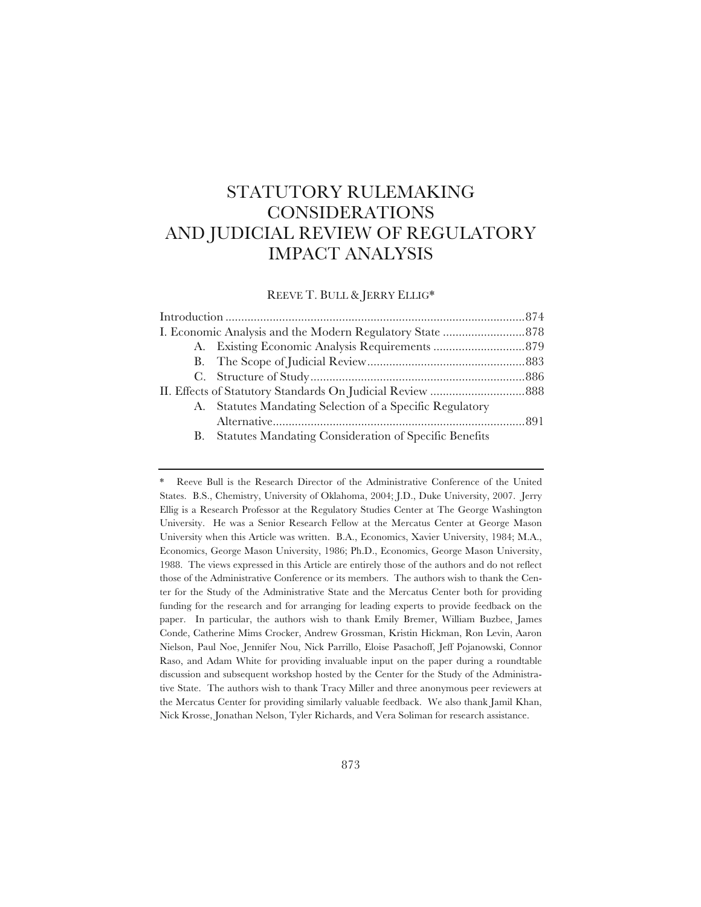# STATUTORY RULEMAKING CONSIDERATIONS AND JUDICIAL REVIEW OF REGULATORY IMPACT ANALYSIS

REEVE T. BULL & JERRY ELLIG\*

|  | A. Statutes Mandating Selection of a Specific Regulatory |  |
|--|----------------------------------------------------------|--|
|  |                                                          |  |
|  | B. Statutes Mandating Consideration of Specific Benefits |  |

<sup>\*</sup> Reeve Bull is the Research Director of the Administrative Conference of the United States. B.S., Chemistry, University of Oklahoma, 2004; J.D., Duke University, 2007. Jerry Ellig is a Research Professor at the Regulatory Studies Center at The George Washington University. He was a Senior Research Fellow at the Mercatus Center at George Mason University when this Article was written. B.A., Economics, Xavier University, 1984; M.A., Economics, George Mason University, 1986; Ph.D., Economics, George Mason University, 1988. The views expressed in this Article are entirely those of the authors and do not reflect those of the Administrative Conference or its members. The authors wish to thank the Center for the Study of the Administrative State and the Mercatus Center both for providing funding for the research and for arranging for leading experts to provide feedback on the paper. In particular, the authors wish to thank Emily Bremer, William Buzbee, James Conde, Catherine Mims Crocker, Andrew Grossman, Kristin Hickman, Ron Levin, Aaron Nielson, Paul Noe, Jennifer Nou, Nick Parrillo, Eloise Pasachoff, Jeff Pojanowski, Connor Raso, and Adam White for providing invaluable input on the paper during a roundtable discussion and subsequent workshop hosted by the Center for the Study of the Administrative State. The authors wish to thank Tracy Miller and three anonymous peer reviewers at the Mercatus Center for providing similarly valuable feedback. We also thank Jamil Khan, Nick Krosse, Jonathan Nelson, Tyler Richards, and Vera Soliman for research assistance.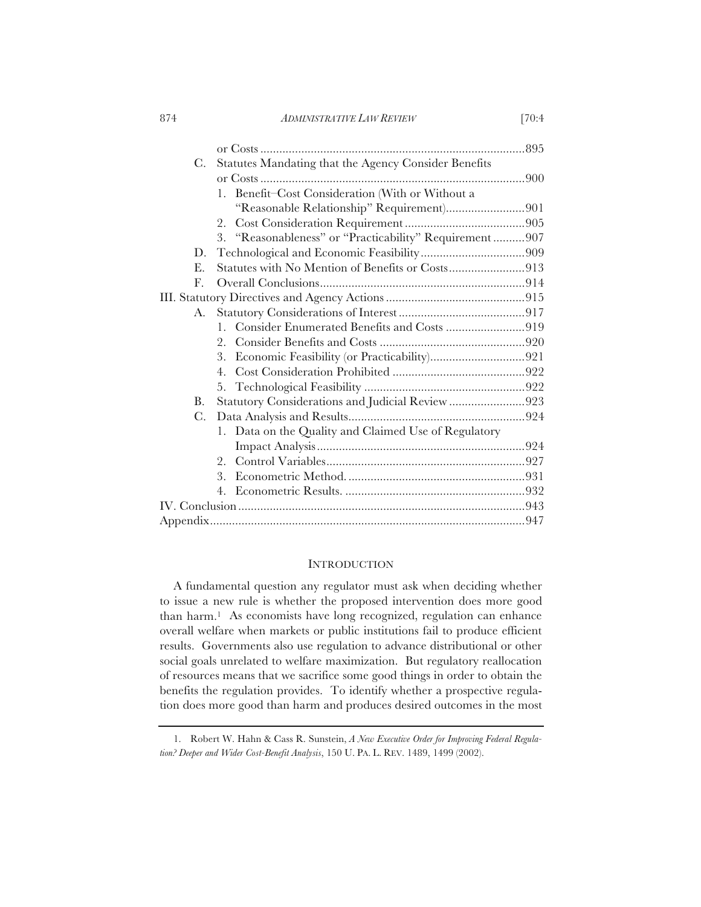874 *ADMINISTRATIVE LAW REVIEW* [70:4

| C.                   | Statutes Mandating that the Agency Consider Benefits     |  |
|----------------------|----------------------------------------------------------|--|
|                      |                                                          |  |
|                      | 1. Benefit-Cost Consideration (With or Without a         |  |
|                      | "Reasonable Relationship" Requirement)901                |  |
|                      | 2.                                                       |  |
|                      | 3. "Reasonableness" or "Practicability" Requirement  907 |  |
| D.                   |                                                          |  |
| Е.                   | Statutes with No Mention of Benefits or Costs913         |  |
| $\mathbf{F}_{\cdot}$ |                                                          |  |
|                      |                                                          |  |
| A.                   |                                                          |  |
|                      | 1. Consider Enumerated Benefits and Costs 919            |  |
|                      | 2.                                                       |  |
|                      | 3.                                                       |  |
|                      | 4 <sub>1</sub>                                           |  |
|                      |                                                          |  |
| <b>B.</b>            | Statutory Considerations and Judicial Review 923         |  |
| $C$ .                |                                                          |  |
|                      | 1. Data on the Quality and Claimed Use of Regulatory     |  |
|                      |                                                          |  |
|                      | 2.                                                       |  |
|                      | 3.                                                       |  |
|                      | 4.                                                       |  |
|                      |                                                          |  |
|                      |                                                          |  |

## **INTRODUCTION**

A fundamental question any regulator must ask when deciding whether to issue a new rule is whether the proposed intervention does more good than harm.1 As economists have long recognized, regulation can enhance overall welfare when markets or public institutions fail to produce efficient results. Governments also use regulation to advance distributional or other social goals unrelated to welfare maximization. But regulatory reallocation of resources means that we sacrifice some good things in order to obtain the benefits the regulation provides. To identify whether a prospective regulation does more good than harm and produces desired outcomes in the most

<sup>1.</sup> Robert W. Hahn & Cass R. Sunstein, *A New Executive Order for Improving Federal Regulation? Deeper and Wider Cost-Benefit Analysis*, 150 U. PA. L. REV. 1489, 1499 (2002).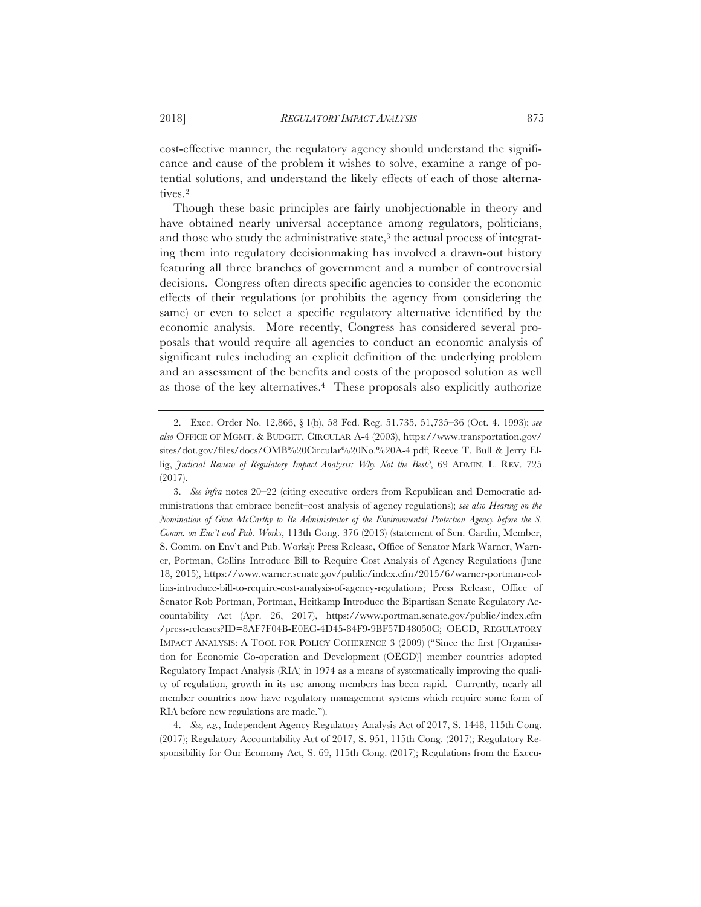cost-effective manner, the regulatory agency should understand the significance and cause of the problem it wishes to solve, examine a range of potential solutions, and understand the likely effects of each of those alternatives.2

Though these basic principles are fairly unobjectionable in theory and have obtained nearly universal acceptance among regulators, politicians, and those who study the administrative state,<sup>3</sup> the actual process of integrating them into regulatory decisionmaking has involved a drawn-out history featuring all three branches of government and a number of controversial decisions. Congress often directs specific agencies to consider the economic effects of their regulations (or prohibits the agency from considering the same) or even to select a specific regulatory alternative identified by the economic analysis. More recently, Congress has considered several proposals that would require all agencies to conduct an economic analysis of significant rules including an explicit definition of the underlying problem and an assessment of the benefits and costs of the proposed solution as well as those of the key alternatives.4 These proposals also explicitly authorize

4. *See, e.g.*, Independent Agency Regulatory Analysis Act of 2017, S. 1448, 115th Cong. (2017); Regulatory Accountability Act of 2017, S. 951, 115th Cong. (2017); Regulatory Responsibility for Our Economy Act, S. 69, 115th Cong. (2017); Regulations from the Execu-

<sup>2.</sup> Exec. Order No. 12,866, § 1(b), 58 Fed. Reg. 51,735, 51,735–36 (Oct. 4, 1993); *see also* OFFICE OF MGMT.&BUDGET, CIRCULAR A-4 (2003), https://www.transportation.gov/ sites/dot.gov/files/docs/OMB%20Circular%20No.%20A-4.pdf; Reeve T. Bull & Jerry Ellig, *Judicial Review of Regulatory Impact Analysis: Why Not the Best?*, 69 ADMIN. L. REV. 725 (2017).

<sup>3.</sup> *See infra* notes 20–22 (citing executive orders from Republican and Democratic administrations that embrace benefit–cost analysis of agency regulations); *see also Hearing on the Nomination of Gina McCarthy to Be Administrator of the Environmental Protection Agency before the S. Comm. on Env't and Pub. Works*, 113th Cong. 376 (2013) (statement of Sen. Cardin, Member, S. Comm. on Env't and Pub. Works); Press Release, Office of Senator Mark Warner, Warner, Portman, Collins Introduce Bill to Require Cost Analysis of Agency Regulations (June 18, 2015), https://www.warner.senate.gov/public/index.cfm/2015/6/warner-portman-collins-introduce-bill-to-require-cost-analysis-of-agency-regulations; Press Release, Office of Senator Rob Portman, Portman, Heitkamp Introduce the Bipartisan Senate Regulatory Accountability Act (Apr. 26, 2017), https://www.portman.senate.gov/public/index.cfm /press-releases?ID=8AF7F04B-E0EC-4D45-84F9-9BF57D48050C; OECD, REGULATORY IMPACT ANALYSIS:ATOOL FOR POLICY COHERENCE 3 (2009) ("Since the first [Organisation for Economic Co-operation and Development (OECD)] member countries adopted Regulatory Impact Analysis (RIA) in 1974 as a means of systematically improving the quality of regulation, growth in its use among members has been rapid. Currently, nearly all member countries now have regulatory management systems which require some form of RIA before new regulations are made.").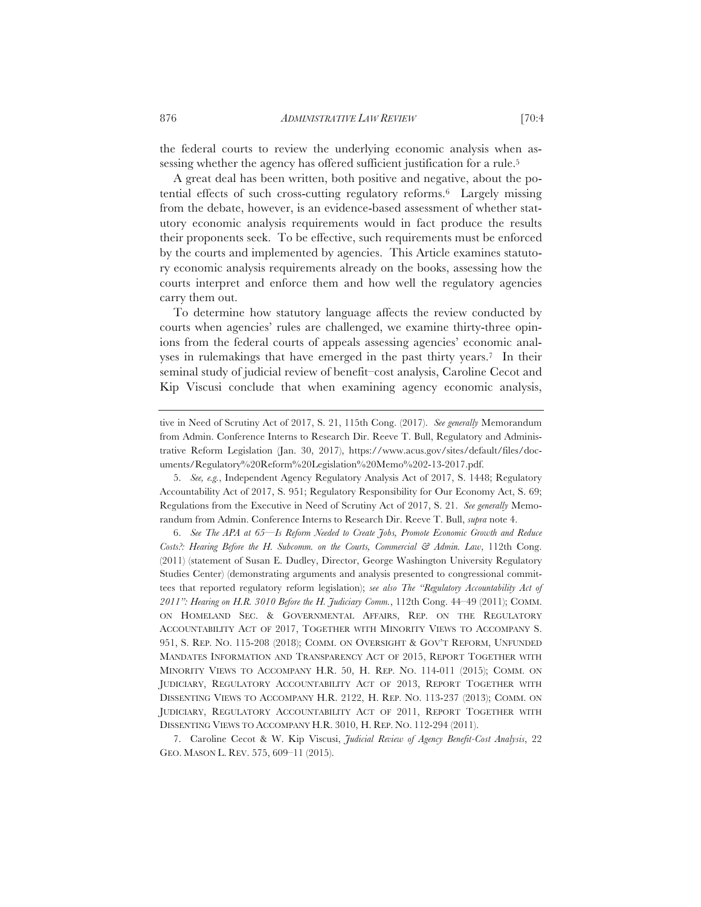the federal courts to review the underlying economic analysis when assessing whether the agency has offered sufficient justification for a rule.<sup>5</sup>

A great deal has been written, both positive and negative, about the potential effects of such cross-cutting regulatory reforms.6 Largely missing from the debate, however, is an evidence-based assessment of whether statutory economic analysis requirements would in fact produce the results their proponents seek. To be effective, such requirements must be enforced by the courts and implemented by agencies. This Article examines statutory economic analysis requirements already on the books, assessing how the courts interpret and enforce them and how well the regulatory agencies carry them out.

To determine how statutory language affects the review conducted by courts when agencies' rules are challenged, we examine thirty-three opinions from the federal courts of appeals assessing agencies' economic analyses in rulemakings that have emerged in the past thirty years.7 In their seminal study of judicial review of benefit–cost analysis, Caroline Cecot and Kip Viscusi conclude that when examining agency economic analysis,

5. *See, e.g.*, Independent Agency Regulatory Analysis Act of 2017, S. 1448; Regulatory Accountability Act of 2017, S. 951; Regulatory Responsibility for Our Economy Act, S. 69; Regulations from the Executive in Need of Scrutiny Act of 2017, S. 21. *See generally* Memorandum from Admin. Conference Interns to Research Dir. Reeve T. Bull, *supra* note 4.

6. *See The APA at 65—Is Reform Needed to Create Jobs, Promote Economic Growth and Reduce Costs?: Hearing Before the H. Subcomm. on the Courts, Commercial & Admin. Law*, 112th Cong. (2011) (statement of Susan E. Dudley, Director, George Washington University Regulatory Studies Center) (demonstrating arguments and analysis presented to congressional committees that reported regulatory reform legislation); *see also The "Regulatory Accountability Act of 2011": Hearing on H.R. 3010 Before the H. Judiciary Comm.*, 112th Cong. 44–49 (2011); COMM. ON HOMELAND SEC.&GOVERNMENTAL AFFAIRS, REP. ON THE REGULATORY ACCOUNTABILITY ACT OF 2017, TOGETHER WITH MINORITY VIEWS TO ACCOMPANY S. 951, S. REP. NO. 115-208 (2018); COMM. ON OVERSIGHT & GOV'T REFORM, UNFUNDED MANDATES INFORMATION AND TRANSPARENCY ACT OF 2015, REPORT TOGETHER WITH MINORITY VIEWS TO ACCOMPANY H.R. 50, H. REP. NO. 114-011 (2015); COMM. ON JUDICIARY, REGULATORY ACCOUNTABILITY ACT OF 2013, REPORT TOGETHER WITH DISSENTING VIEWS TO ACCOMPANY H.R. 2122, H. REP. NO. 113-237 (2013); COMM. ON JUDICIARY, REGULATORY ACCOUNTABILITY ACT OF 2011, REPORT TOGETHER WITH DISSENTING VIEWS TO ACCOMPANY H.R. 3010, H. REP. NO. 112-294 (2011).

7. Caroline Cecot & W. Kip Viscusi, *Judicial Review of Agency Benefit-Cost Analysis*, 22 GEO. MASON L. REV. 575, 609–11 (2015).

tive in Need of Scrutiny Act of 2017, S. 21, 115th Cong. (2017). *See generally* Memorandum from Admin. Conference Interns to Research Dir. Reeve T. Bull, Regulatory and Administrative Reform Legislation (Jan. 30, 2017), https://www.acus.gov/sites/default/files/documents/Regulatory%20Reform%20Legislation%20Memo%202-13-2017.pdf.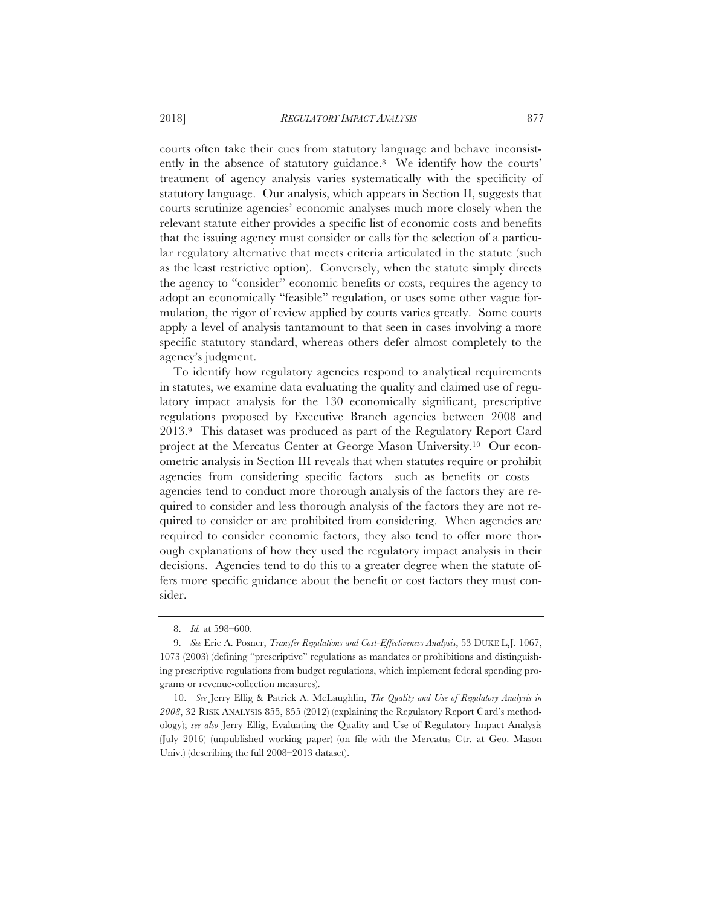courts often take their cues from statutory language and behave inconsistently in the absence of statutory guidance.8 We identify how the courts' treatment of agency analysis varies systematically with the specificity of statutory language. Our analysis, which appears in Section II, suggests that courts scrutinize agencies' economic analyses much more closely when the relevant statute either provides a specific list of economic costs and benefits that the issuing agency must consider or calls for the selection of a particular regulatory alternative that meets criteria articulated in the statute (such as the least restrictive option). Conversely, when the statute simply directs the agency to "consider" economic benefits or costs, requires the agency to adopt an economically "feasible" regulation, or uses some other vague formulation, the rigor of review applied by courts varies greatly. Some courts apply a level of analysis tantamount to that seen in cases involving a more specific statutory standard, whereas others defer almost completely to the agency's judgment.

To identify how regulatory agencies respond to analytical requirements in statutes, we examine data evaluating the quality and claimed use of regulatory impact analysis for the 130 economically significant, prescriptive regulations proposed by Executive Branch agencies between 2008 and 2013.9 This dataset was produced as part of the Regulatory Report Card project at the Mercatus Center at George Mason University.10 Our econometric analysis in Section III reveals that when statutes require or prohibit agencies from considering specific factors—such as benefits or costs agencies tend to conduct more thorough analysis of the factors they are required to consider and less thorough analysis of the factors they are not required to consider or are prohibited from considering. When agencies are required to consider economic factors, they also tend to offer more thorough explanations of how they used the regulatory impact analysis in their decisions. Agencies tend to do this to a greater degree when the statute offers more specific guidance about the benefit or cost factors they must consider.

<sup>8.</sup> *Id.* at 598–600.

<sup>9.</sup> *See* Eric A. Posner, *Transfer Regulations and Cost-Effectiveness Analysis*, 53 DUKE L.J. 1067, 1073 (2003) (defining "prescriptive" regulations as mandates or prohibitions and distinguishing prescriptive regulations from budget regulations, which implement federal spending programs or revenue-collection measures).

<sup>10.</sup> *See* Jerry Ellig & Patrick A. McLaughlin, *The Quality and Use of Regulatory Analysis in 2008*, 32 RISK ANALYSIS 855, 855 (2012) (explaining the Regulatory Report Card's methodology); *see also* Jerry Ellig, Evaluating the Quality and Use of Regulatory Impact Analysis (July 2016) (unpublished working paper) (on file with the Mercatus Ctr. at Geo. Mason Univ.) (describing the full 2008–2013 dataset).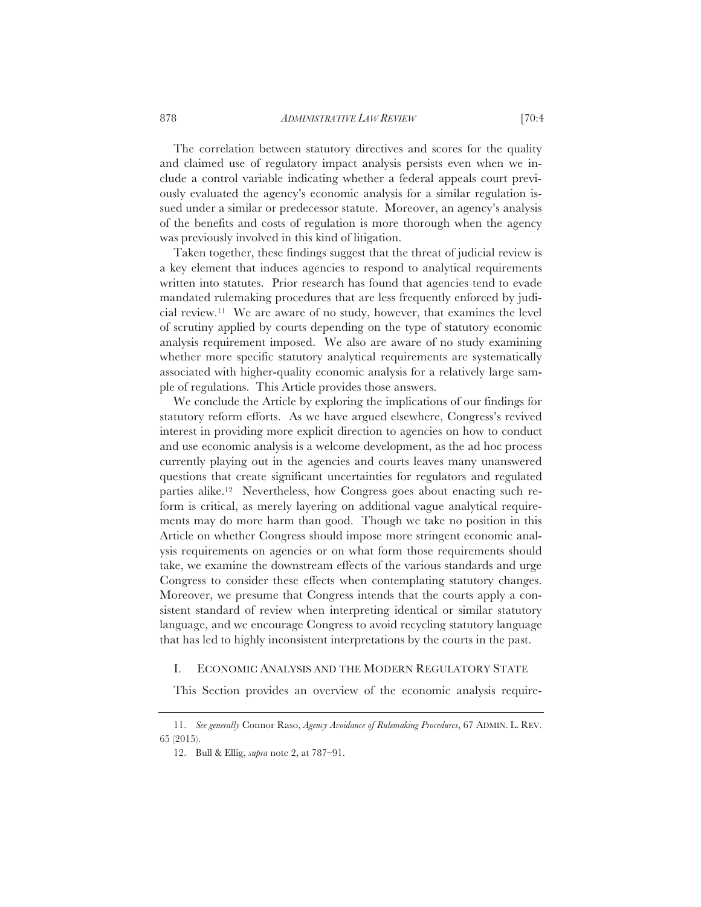The correlation between statutory directives and scores for the quality and claimed use of regulatory impact analysis persists even when we include a control variable indicating whether a federal appeals court previously evaluated the agency's economic analysis for a similar regulation issued under a similar or predecessor statute. Moreover, an agency's analysis of the benefits and costs of regulation is more thorough when the agency was previously involved in this kind of litigation.

Taken together, these findings suggest that the threat of judicial review is a key element that induces agencies to respond to analytical requirements written into statutes. Prior research has found that agencies tend to evade mandated rulemaking procedures that are less frequently enforced by judicial review.11 We are aware of no study, however, that examines the level of scrutiny applied by courts depending on the type of statutory economic analysis requirement imposed. We also are aware of no study examining whether more specific statutory analytical requirements are systematically associated with higher-quality economic analysis for a relatively large sample of regulations. This Article provides those answers.

We conclude the Article by exploring the implications of our findings for statutory reform efforts. As we have argued elsewhere, Congress's revived interest in providing more explicit direction to agencies on how to conduct and use economic analysis is a welcome development, as the ad hoc process currently playing out in the agencies and courts leaves many unanswered questions that create significant uncertainties for regulators and regulated parties alike.12 Nevertheless, how Congress goes about enacting such reform is critical, as merely layering on additional vague analytical requirements may do more harm than good. Though we take no position in this Article on whether Congress should impose more stringent economic analysis requirements on agencies or on what form those requirements should take, we examine the downstream effects of the various standards and urge Congress to consider these effects when contemplating statutory changes. Moreover, we presume that Congress intends that the courts apply a consistent standard of review when interpreting identical or similar statutory language, and we encourage Congress to avoid recycling statutory language that has led to highly inconsistent interpretations by the courts in the past.

## I. ECONOMIC ANALYSIS AND THE MODERN REGULATORY STATE

This Section provides an overview of the economic analysis require-

<sup>11.</sup> *See generally* Connor Raso, *Agency Avoidance of Rulemaking Procedures*, 67 ADMIN. L. REV. 65 (2015).

<sup>12.</sup> Bull & Ellig, *supra* note 2, at 787–91.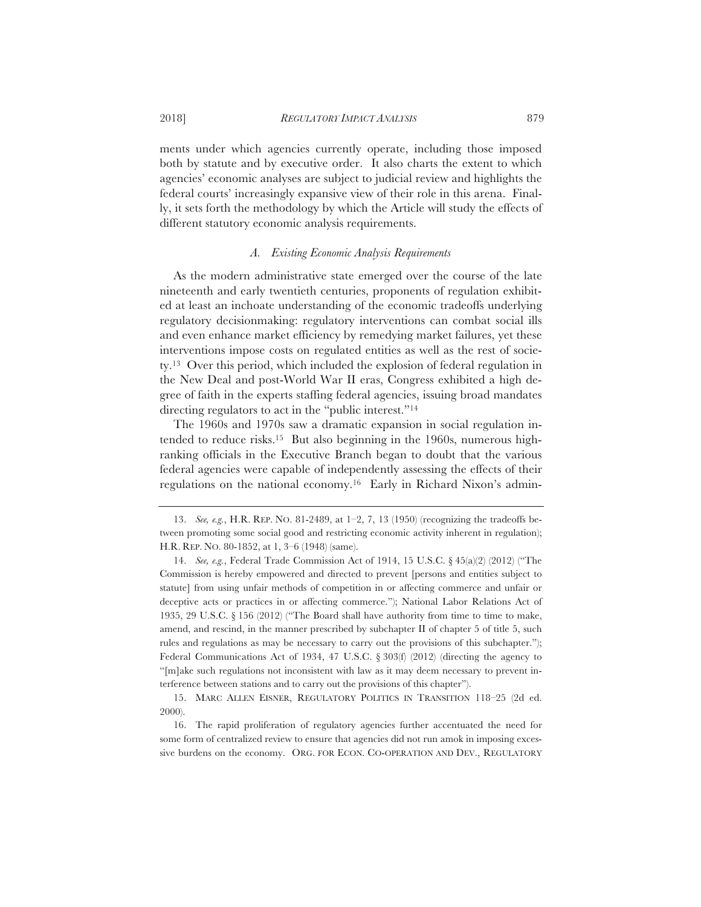ments under which agencies currently operate, including those imposed both by statute and by executive order. It also charts the extent to which agencies' economic analyses are subject to judicial review and highlights the federal courts' increasingly expansive view of their role in this arena. Finally, it sets forth the methodology by which the Article will study the effects of different statutory economic analysis requirements.

## *A. Existing Economic Analysis Requirements*

As the modern administrative state emerged over the course of the late nineteenth and early twentieth centuries, proponents of regulation exhibited at least an inchoate understanding of the economic tradeoffs underlying regulatory decisionmaking: regulatory interventions can combat social ills and even enhance market efficiency by remedying market failures, yet these interventions impose costs on regulated entities as well as the rest of society.13 Over this period, which included the explosion of federal regulation in the New Deal and post-World War II eras, Congress exhibited a high degree of faith in the experts staffing federal agencies, issuing broad mandates directing regulators to act in the "public interest."14

The 1960s and 1970s saw a dramatic expansion in social regulation intended to reduce risks.15 But also beginning in the 1960s, numerous highranking officials in the Executive Branch began to doubt that the various federal agencies were capable of independently assessing the effects of their regulations on the national economy.16 Early in Richard Nixon's admin-

<sup>13.</sup> *See, e.g.*, H.R. REP. NO. 81-2489, at 1–2, 7, 13 (1950) (recognizing the tradeoffs between promoting some social good and restricting economic activity inherent in regulation); H.R. REP. NO. 80-1852, at 1, 3–6 (1948) (same).

<sup>14.</sup> *See, e.g.*, Federal Trade Commission Act of 1914, 15 U.S.C. § 45(a)(2) (2012) ("The Commission is hereby empowered and directed to prevent [persons and entities subject to statute] from using unfair methods of competition in or affecting commerce and unfair or deceptive acts or practices in or affecting commerce."); National Labor Relations Act of 1935, 29 U.S.C. § 156 (2012) ("The Board shall have authority from time to time to make, amend, and rescind, in the manner prescribed by subchapter II of chapter 5 of title 5, such rules and regulations as may be necessary to carry out the provisions of this subchapter."); Federal Communications Act of 1934, 47 U.S.C.  $\S 303(f)$  (2012) (directing the agency to "[m]ake such regulations not inconsistent with law as it may deem necessary to prevent interference between stations and to carry out the provisions of this chapter").

<sup>15.</sup> MARC ALLEN EISNER, REGULATORY POLITICS IN TRANSITION 118–25 (2d ed. 2000).

<sup>16.</sup> The rapid proliferation of regulatory agencies further accentuated the need for some form of centralized review to ensure that agencies did not run amok in imposing excessive burdens on the economy. ORG. FOR ECON. CO-OPERATION AND DEV., REGULATORY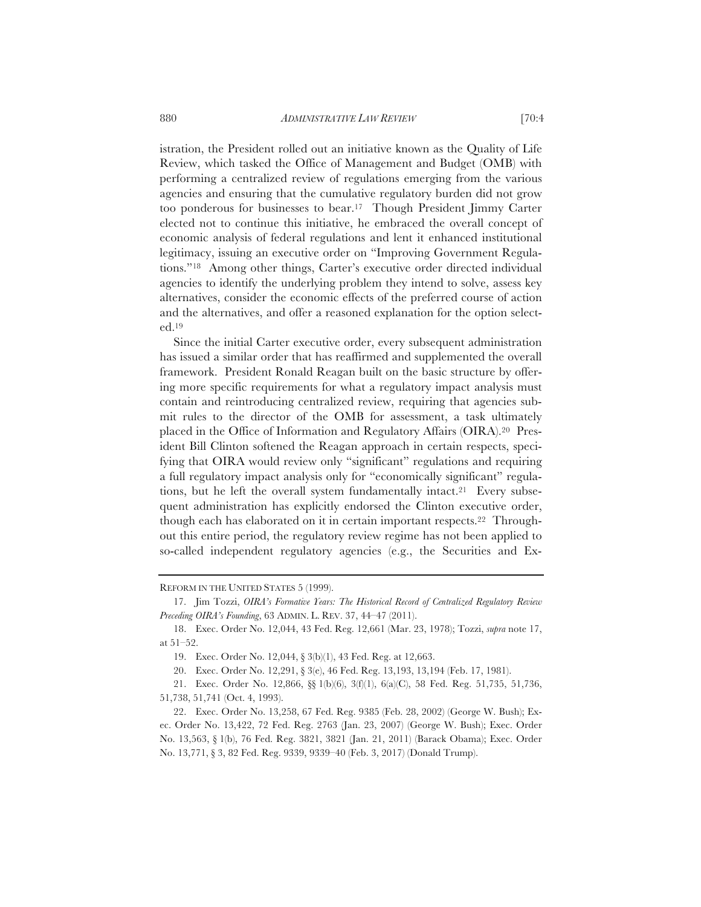istration, the President rolled out an initiative known as the Quality of Life Review, which tasked the Office of Management and Budget (OMB) with performing a centralized review of regulations emerging from the various agencies and ensuring that the cumulative regulatory burden did not grow too ponderous for businesses to bear.17 Though President Jimmy Carter elected not to continue this initiative, he embraced the overall concept of economic analysis of federal regulations and lent it enhanced institutional legitimacy, issuing an executive order on "Improving Government Regulations."18 Among other things, Carter's executive order directed individual agencies to identify the underlying problem they intend to solve, assess key alternatives, consider the economic effects of the preferred course of action and the alternatives, and offer a reasoned explanation for the option selected.19

Since the initial Carter executive order, every subsequent administration has issued a similar order that has reaffirmed and supplemented the overall framework. President Ronald Reagan built on the basic structure by offering more specific requirements for what a regulatory impact analysis must contain and reintroducing centralized review, requiring that agencies submit rules to the director of the OMB for assessment, a task ultimately placed in the Office of Information and Regulatory Affairs (OIRA).20 President Bill Clinton softened the Reagan approach in certain respects, specifying that OIRA would review only "significant" regulations and requiring a full regulatory impact analysis only for "economically significant" regulations, but he left the overall system fundamentally intact.<sup>21</sup> Every subsequent administration has explicitly endorsed the Clinton executive order, though each has elaborated on it in certain important respects.22 Throughout this entire period, the regulatory review regime has not been applied to so-called independent regulatory agencies (e.g., the Securities and Ex-

REFORM IN THE UNITED STATES 5 (1999).

<sup>17.</sup> Jim Tozzi, *OIRA's Formative Years: The Historical Record of Centralized Regulatory Review Preceding OIRA's Founding*, 63 ADMIN. L. REV. 37, 44–47 (2011).

<sup>18.</sup> Exec. Order No. 12,044, 43 Fed. Reg. 12,661 (Mar. 23, 1978); Tozzi, *supra* note 17, at 51–52.

<sup>19.</sup> Exec. Order No. 12,044, § 3(b)(1), 43 Fed. Reg. at 12,663.

<sup>20.</sup> Exec. Order No. 12,291, § 3(e), 46 Fed. Reg. 13,193, 13,194 (Feb. 17, 1981).

<sup>21.</sup> Exec. Order No. 12,866, §§ 1(b)(6), 3(f)(1), 6(a)(C), 58 Fed. Reg. 51,735, 51,736, 51,738, 51,741 (Oct. 4, 1993).

<sup>22.</sup> Exec. Order No. 13,258, 67 Fed. Reg. 9385 (Feb. 28, 2002) (George W. Bush); Exec. Order No. 13,422, 72 Fed. Reg. 2763 (Jan. 23, 2007) (George W. Bush); Exec. Order No. 13,563, § 1(b), 76 Fed. Reg. 3821, 3821 (Jan. 21, 2011) (Barack Obama); Exec. Order No. 13,771, § 3, 82 Fed. Reg. 9339, 9339–40 (Feb. 3, 2017) (Donald Trump).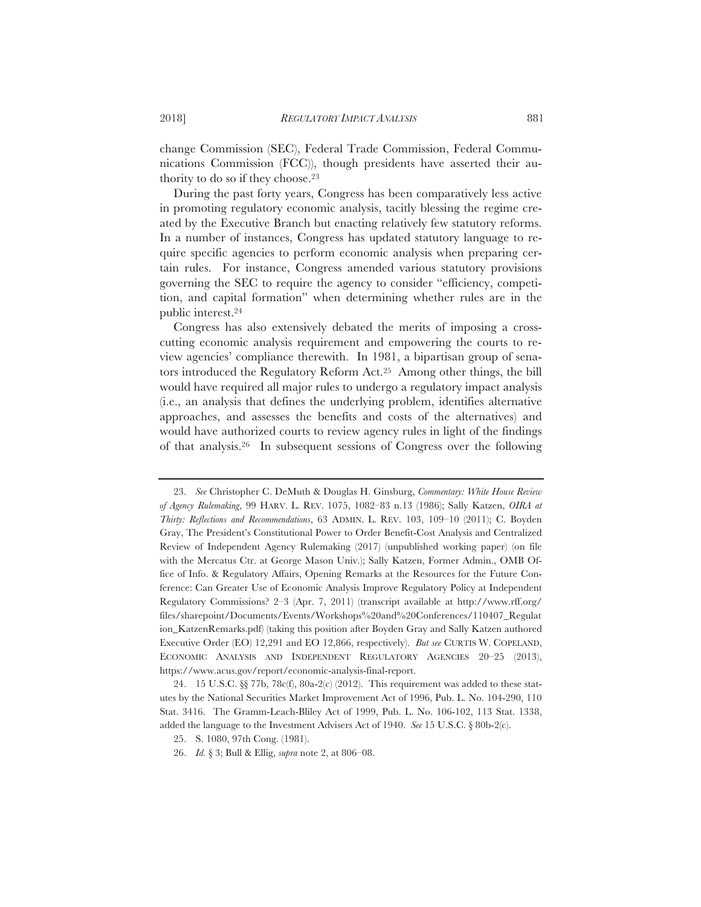change Commission (SEC), Federal Trade Commission, Federal Communications Commission (FCC)), though presidents have asserted their authority to do so if they choose.23

During the past forty years, Congress has been comparatively less active in promoting regulatory economic analysis, tacitly blessing the regime created by the Executive Branch but enacting relatively few statutory reforms. In a number of instances, Congress has updated statutory language to require specific agencies to perform economic analysis when preparing certain rules. For instance, Congress amended various statutory provisions governing the SEC to require the agency to consider "efficiency, competition, and capital formation" when determining whether rules are in the public interest.24

Congress has also extensively debated the merits of imposing a crosscutting economic analysis requirement and empowering the courts to review agencies' compliance therewith. In 1981, a bipartisan group of senators introduced the Regulatory Reform Act.25 Among other things, the bill would have required all major rules to undergo a regulatory impact analysis (i.e., an analysis that defines the underlying problem, identifies alternative approaches, and assesses the benefits and costs of the alternatives) and would have authorized courts to review agency rules in light of the findings of that analysis.26 In subsequent sessions of Congress over the following

<sup>23.</sup> *See* Christopher C. DeMuth & Douglas H. Ginsburg, *Commentary: White House Review of Agency Rulemaking*, 99 HARV. L. REV. 1075, 1082–83 n.13 (1986); Sally Katzen, *OIRA at Thirty: Reflections and Recommendations*, 63 ADMIN. L. REV. 103, 109–10 (2011); C. Boyden Gray, The President's Constitutional Power to Order Benefit-Cost Analysis and Centralized Review of Independent Agency Rulemaking (2017) (unpublished working paper) (on file with the Mercatus Ctr. at George Mason Univ.); Sally Katzen, Former Admin., OMB Office of Info. & Regulatory Affairs, Opening Remarks at the Resources for the Future Conference: Can Greater Use of Economic Analysis Improve Regulatory Policy at Independent Regulatory Commissions? 2–3 (Apr. 7, 2011) (transcript available at http://www.rff.org/ files/sharepoint/Documents/Events/Workshops%20and%20Conferences/110407\_Regulat ion KatzenRemarks.pdf) (taking this position after Boyden Gray and Sally Katzen authored Executive Order (EO) 12,291 and EO 12,866, respectively). *But see* CURTIS W. COPELAND, ECONOMIC ANALYSIS AND INDEPENDENT REGULATORY AGENCIES 20–25 (2013), https://www.acus.gov/report/economic-analysis-final-report.

<sup>24. 15</sup> U.S.C. §§ 77b, 78c(f), 80a-2(c) (2012). This requirement was added to these statutes by the National Securities Market Improvement Act of 1996, Pub. L. No. 104-290, 110 Stat. 3416. The Gramm-Leach-Bliley Act of 1999, Pub. L. No. 106-102, 113 Stat. 1338, added the language to the Investment Advisers Act of 1940. *See* 15 U.S.C. § 80b-2(c).

<sup>25.</sup> S. 1080, 97th Cong. (1981).

<sup>26.</sup> *Id.* § 3; Bull & Ellig, *supra* note 2, at 806–08.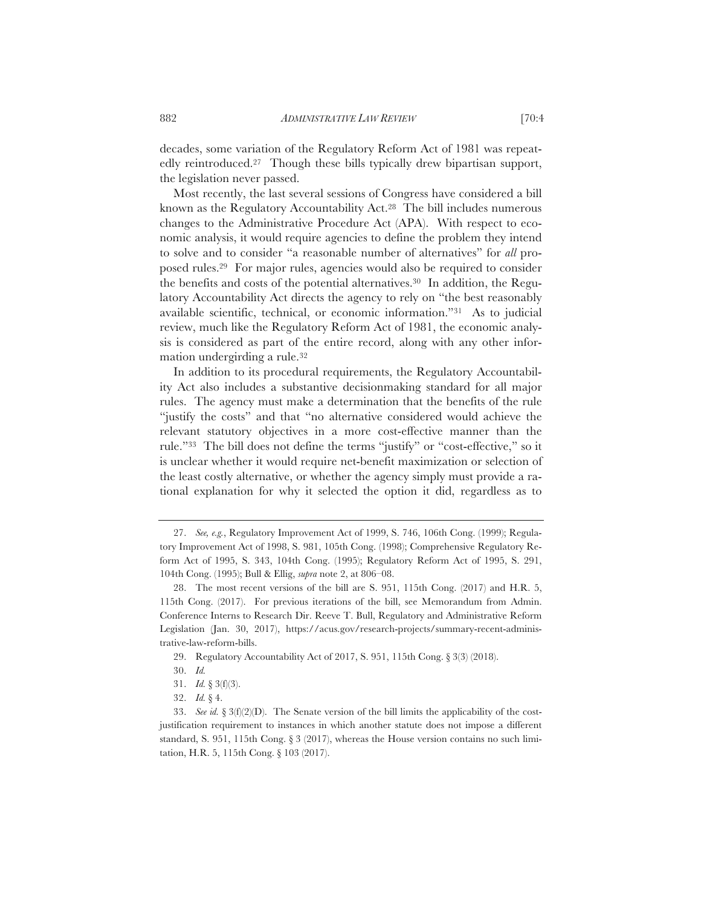decades, some variation of the Regulatory Reform Act of 1981 was repeatedly reintroduced.27 Though these bills typically drew bipartisan support, the legislation never passed.

Most recently, the last several sessions of Congress have considered a bill known as the Regulatory Accountability Act.28 The bill includes numerous changes to the Administrative Procedure Act (APA). With respect to economic analysis, it would require agencies to define the problem they intend to solve and to consider "a reasonable number of alternatives" for *all* proposed rules.29 For major rules, agencies would also be required to consider the benefits and costs of the potential alternatives.30 In addition, the Regulatory Accountability Act directs the agency to rely on "the best reasonably available scientific, technical, or economic information."31 As to judicial review, much like the Regulatory Reform Act of 1981, the economic analysis is considered as part of the entire record, along with any other information undergirding a rule.32

In addition to its procedural requirements, the Regulatory Accountability Act also includes a substantive decisionmaking standard for all major rules. The agency must make a determination that the benefits of the rule "justify the costs" and that "no alternative considered would achieve the relevant statutory objectives in a more cost-effective manner than the rule."33 The bill does not define the terms "justify" or "cost-effective," so it is unclear whether it would require net-benefit maximization or selection of the least costly alternative, or whether the agency simply must provide a rational explanation for why it selected the option it did, regardless as to

<sup>27.</sup> *See, e.g.*, Regulatory Improvement Act of 1999, S. 746, 106th Cong. (1999); Regulatory Improvement Act of 1998, S. 981, 105th Cong. (1998); Comprehensive Regulatory Reform Act of 1995, S. 343, 104th Cong. (1995); Regulatory Reform Act of 1995, S. 291, 104th Cong. (1995); Bull & Ellig, *supra* note 2, at 806–08.

<sup>28.</sup> The most recent versions of the bill are S. 951, 115th Cong. (2017) and H.R. 5, 115th Cong. (2017). For previous iterations of the bill, see Memorandum from Admin. Conference Interns to Research Dir. Reeve T. Bull, Regulatory and Administrative Reform Legislation (Jan. 30, 2017), https://acus.gov/research-projects/summary-recent-administrative-law-reform-bills.

<sup>29.</sup> Regulatory Accountability Act of 2017, S. 951, 115th Cong. § 3(3) (2018).

<sup>30.</sup> *Id.*

<sup>31.</sup> *Id.* § 3(f)(3).

<sup>32.</sup> *Id.* § 4.

<sup>33.</sup> *See id.* § 3(f)(2)(D). The Senate version of the bill limits the applicability of the costjustification requirement to instances in which another statute does not impose a different standard, S. 951, 115th Cong. § 3 (2017), whereas the House version contains no such limitation, H.R. 5, 115th Cong. § 103 (2017).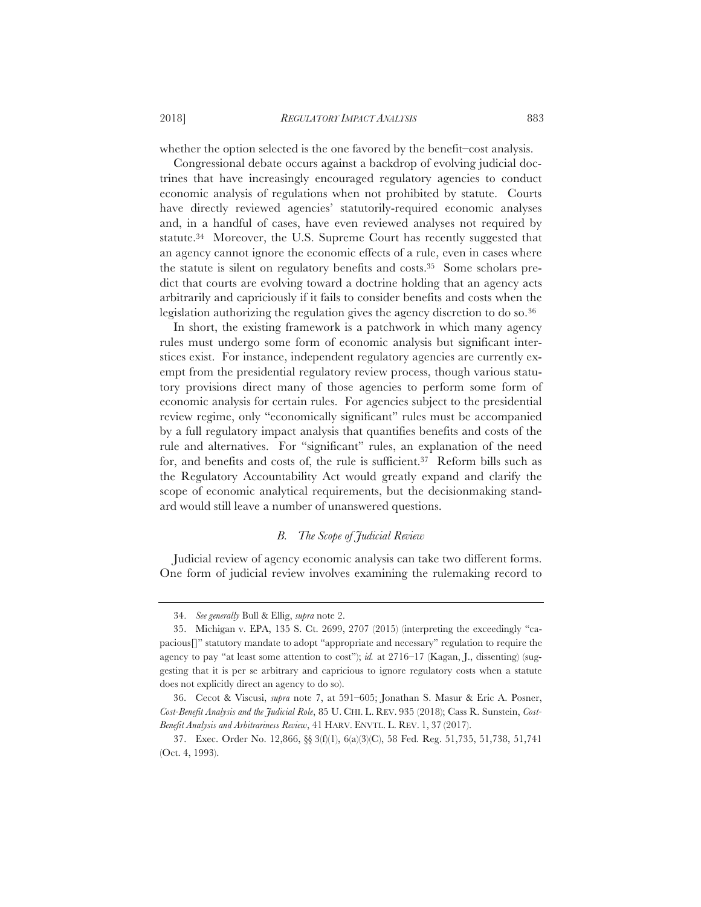whether the option selected is the one favored by the benefit–cost analysis.

Congressional debate occurs against a backdrop of evolving judicial doctrines that have increasingly encouraged regulatory agencies to conduct economic analysis of regulations when not prohibited by statute. Courts have directly reviewed agencies' statutorily-required economic analyses and, in a handful of cases, have even reviewed analyses not required by statute.34 Moreover, the U.S. Supreme Court has recently suggested that an agency cannot ignore the economic effects of a rule, even in cases where the statute is silent on regulatory benefits and costs.35 Some scholars predict that courts are evolving toward a doctrine holding that an agency acts arbitrarily and capriciously if it fails to consider benefits and costs when the legislation authorizing the regulation gives the agency discretion to do so.<sup>36</sup>

In short, the existing framework is a patchwork in which many agency rules must undergo some form of economic analysis but significant interstices exist. For instance, independent regulatory agencies are currently exempt from the presidential regulatory review process, though various statutory provisions direct many of those agencies to perform some form of economic analysis for certain rules. For agencies subject to the presidential review regime, only "economically significant" rules must be accompanied by a full regulatory impact analysis that quantifies benefits and costs of the rule and alternatives. For "significant" rules, an explanation of the need for, and benefits and costs of, the rule is sufficient.37 Reform bills such as the Regulatory Accountability Act would greatly expand and clarify the scope of economic analytical requirements, but the decisionmaking standard would still leave a number of unanswered questions.

# *B. The Scope of Judicial Review*

Judicial review of agency economic analysis can take two different forms. One form of judicial review involves examining the rulemaking record to

<sup>34.</sup> *See generally* Bull & Ellig, *supra* note 2.

<sup>35.</sup> Michigan v. EPA, 135 S. Ct. 2699, 2707 (2015) (interpreting the exceedingly "capacious[]" statutory mandate to adopt "appropriate and necessary" regulation to require the agency to pay "at least some attention to cost"); *id.* at 2716–17 (Kagan, J., dissenting) (suggesting that it is per se arbitrary and capricious to ignore regulatory costs when a statute does not explicitly direct an agency to do so).

<sup>36.</sup> Cecot & Viscusi, *supra* note 7, at 591–605; Jonathan S. Masur & Eric A. Posner, *Cost-Benefit Analysis and the Judicial Role*, 85 U. CHI. L. REV. 935 (2018); Cass R. Sunstein, *Cost-Benefit Analysis and Arbitrariness Review*, 41 HARV. ENVTL. L. REV. 1, 37 (2017).

<sup>37.</sup> Exec. Order No. 12,866, §§ 3(f)(1), 6(a)(3)(C), 58 Fed. Reg. 51,735, 51,738, 51,741 (Oct. 4, 1993).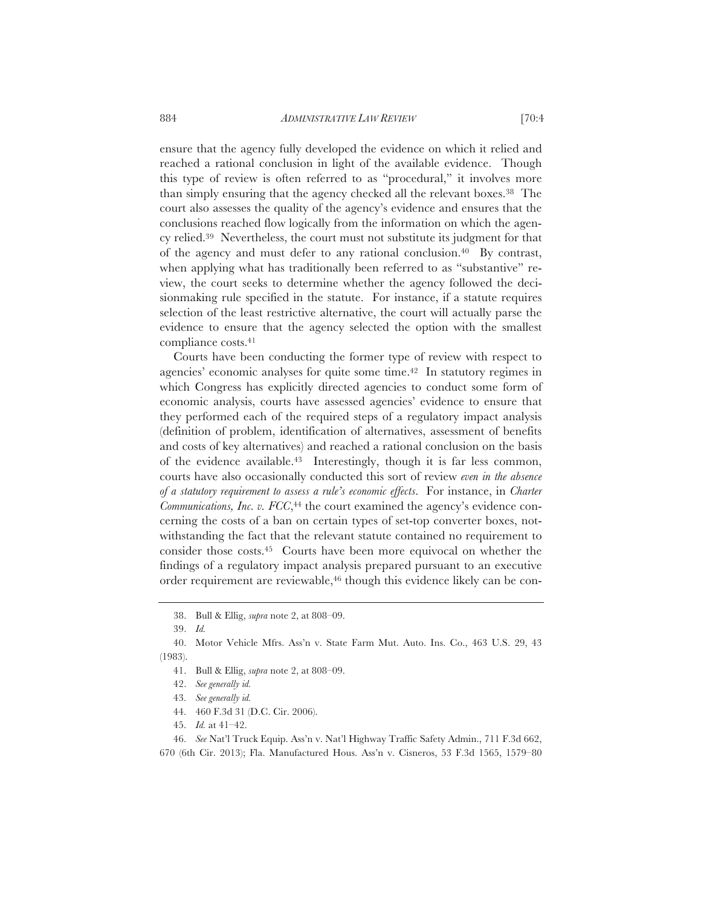ensure that the agency fully developed the evidence on which it relied and reached a rational conclusion in light of the available evidence. Though this type of review is often referred to as "procedural," it involves more than simply ensuring that the agency checked all the relevant boxes.38 The court also assesses the quality of the agency's evidence and ensures that the conclusions reached flow logically from the information on which the agency relied.39 Nevertheless, the court must not substitute its judgment for that of the agency and must defer to any rational conclusion.40 By contrast, when applying what has traditionally been referred to as "substantive" review, the court seeks to determine whether the agency followed the decisionmaking rule specified in the statute. For instance, if a statute requires selection of the least restrictive alternative, the court will actually parse the evidence to ensure that the agency selected the option with the smallest compliance costs.41

Courts have been conducting the former type of review with respect to agencies' economic analyses for quite some time.42 In statutory regimes in which Congress has explicitly directed agencies to conduct some form of economic analysis, courts have assessed agencies' evidence to ensure that they performed each of the required steps of a regulatory impact analysis (definition of problem, identification of alternatives, assessment of benefits and costs of key alternatives) and reached a rational conclusion on the basis of the evidence available.43 Interestingly, though it is far less common, courts have also occasionally conducted this sort of review *even in the absence of a statutory requirement to assess a rule's economic effects*. For instance, in *Charter Communications, Inc. v. FCC*,<sup>44</sup> the court examined the agency's evidence concerning the costs of a ban on certain types of set-top converter boxes, notwithstanding the fact that the relevant statute contained no requirement to consider those costs.45 Courts have been more equivocal on whether the findings of a regulatory impact analysis prepared pursuant to an executive order requirement are reviewable,<sup>46</sup> though this evidence likely can be con-

41. Bull & Ellig, *supra* note 2, at 808–09.

43. *See generally id.*

45. *Id.* at 41–42.

46. *See* Nat'l Truck Equip. Ass'n v. Nat'l Highway Traffic Safety Admin., 711 F.3d 662, 670 (6th Cir. 2013); Fla. Manufactured Hous. Ass'n v. Cisneros, 53 F.3d 1565, 1579–80

<sup>38.</sup> Bull & Ellig, *supra* note 2, at 808–09.

<sup>39.</sup> *Id.*

<sup>40.</sup> Motor Vehicle Mfrs. Ass'n v. State Farm Mut. Auto. Ins. Co., 463 U.S. 29, 43 (1983).

<sup>42.</sup> *See generally id.*

<sup>44. 460</sup> F.3d 31 (D.C. Cir. 2006).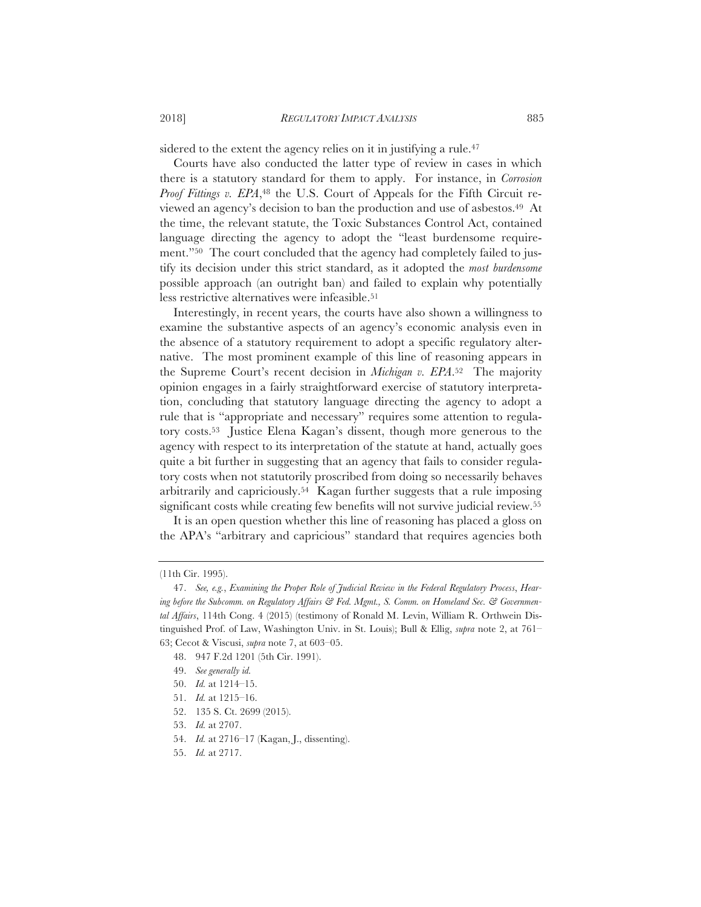sidered to the extent the agency relies on it in justifying a rule.<sup>47</sup>

Courts have also conducted the latter type of review in cases in which there is a statutory standard for them to apply. For instance, in *Corrosion Proof Fittings v. EPA*,<sup>48</sup> the U.S. Court of Appeals for the Fifth Circuit reviewed an agency's decision to ban the production and use of asbestos.49 At the time, the relevant statute, the Toxic Substances Control Act, contained language directing the agency to adopt the "least burdensome requirement."50 The court concluded that the agency had completely failed to justify its decision under this strict standard, as it adopted the *most burdensome* possible approach (an outright ban) and failed to explain why potentially less restrictive alternatives were infeasible.51

Interestingly, in recent years, the courts have also shown a willingness to examine the substantive aspects of an agency's economic analysis even in the absence of a statutory requirement to adopt a specific regulatory alternative. The most prominent example of this line of reasoning appears in the Supreme Court's recent decision in *Michigan v. EPA*.52 The majority opinion engages in a fairly straightforward exercise of statutory interpretation, concluding that statutory language directing the agency to adopt a rule that is "appropriate and necessary" requires some attention to regulatory costs.53 Justice Elena Kagan's dissent, though more generous to the agency with respect to its interpretation of the statute at hand, actually goes quite a bit further in suggesting that an agency that fails to consider regulatory costs when not statutorily proscribed from doing so necessarily behaves arbitrarily and capriciously.54 Kagan further suggests that a rule imposing significant costs while creating few benefits will not survive judicial review.<sup>55</sup>

It is an open question whether this line of reasoning has placed a gloss on the APA's "arbitrary and capricious" standard that requires agencies both

<sup>(11</sup>th Cir. 1995).

<sup>47.</sup> *See, e.g.*, *Examining the Proper Role of Judicial Review in the Federal Regulatory Process*, *Hearing before the Subcomm. on Regulatory Affairs & Fed. Mgmt., S. Comm. on Homeland Sec. & Governmental Affairs*, 114th Cong. 4 (2015) (testimony of Ronald M. Levin, William R. Orthwein Distinguished Prof. of Law, Washington Univ. in St. Louis); Bull & Ellig, *supra* note 2, at 761– 63; Cecot & Viscusi, *supra* note 7, at 603–05.

<sup>48. 947</sup> F.2d 1201 (5th Cir. 1991).

<sup>49.</sup> *See generally id.*

<sup>50.</sup> *Id.* at 1214–15.

<sup>51.</sup> *Id.* at 1215–16.

<sup>52. 135</sup> S. Ct. 2699 (2015).

<sup>53.</sup> *Id.* at 2707.

<sup>54.</sup> *Id.* at 2716–17 (Kagan, J., dissenting).

<sup>55.</sup> *Id.* at 2717.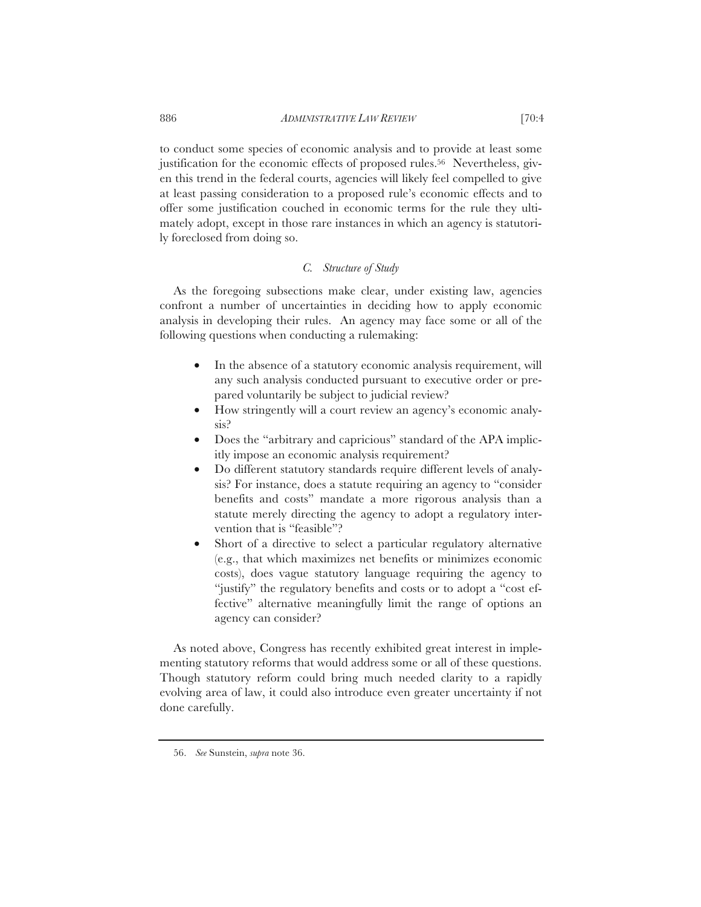to conduct some species of economic analysis and to provide at least some justification for the economic effects of proposed rules.<sup>56</sup> Nevertheless, given this trend in the federal courts, agencies will likely feel compelled to give at least passing consideration to a proposed rule's economic effects and to offer some justification couched in economic terms for the rule they ultimately adopt, except in those rare instances in which an agency is statutorily foreclosed from doing so.

## *C. Structure of Study*

As the foregoing subsections make clear, under existing law, agencies confront a number of uncertainties in deciding how to apply economic analysis in developing their rules. An agency may face some or all of the following questions when conducting a rulemaking:

- In the absence of a statutory economic analysis requirement, will any such analysis conducted pursuant to executive order or prepared voluntarily be subject to judicial review?
- How stringently will a court review an agency's economic analysis?
- Does the "arbitrary and capricious" standard of the APA implicitly impose an economic analysis requirement?
- Do different statutory standards require different levels of analysis? For instance, does a statute requiring an agency to "consider benefits and costs" mandate a more rigorous analysis than a statute merely directing the agency to adopt a regulatory intervention that is "feasible"?
- Short of a directive to select a particular regulatory alternative (e.g., that which maximizes net benefits or minimizes economic costs), does vague statutory language requiring the agency to "justify" the regulatory benefits and costs or to adopt a "cost effective" alternative meaningfully limit the range of options an agency can consider?

As noted above, Congress has recently exhibited great interest in implementing statutory reforms that would address some or all of these questions. Though statutory reform could bring much needed clarity to a rapidly evolving area of law, it could also introduce even greater uncertainty if not done carefully.

<sup>56.</sup> *See* Sunstein, *supra* note 36.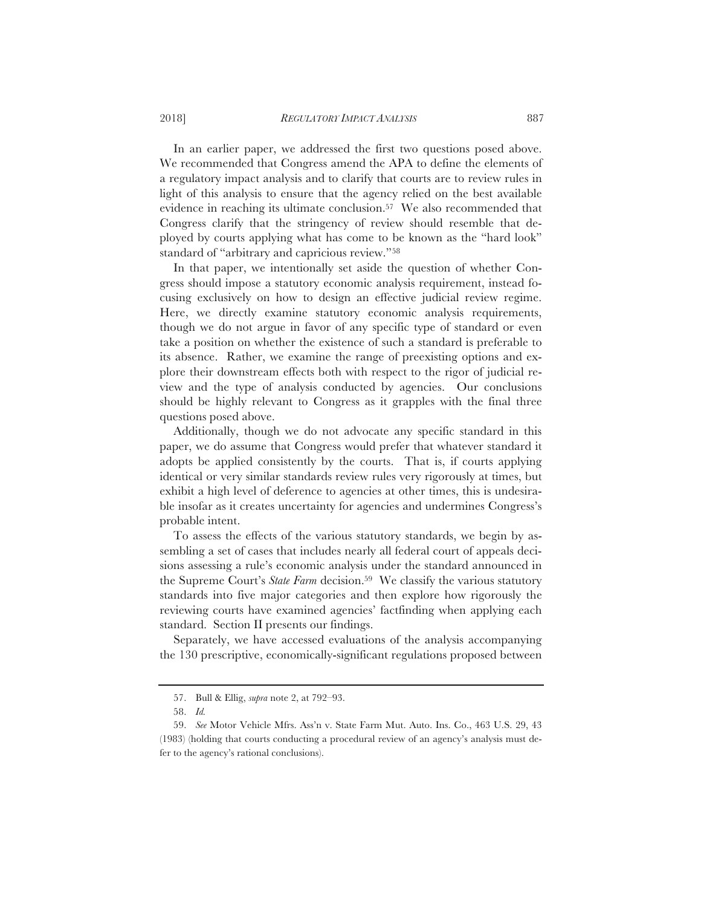In an earlier paper, we addressed the first two questions posed above. We recommended that Congress amend the APA to define the elements of a regulatory impact analysis and to clarify that courts are to review rules in light of this analysis to ensure that the agency relied on the best available evidence in reaching its ultimate conclusion.57 We also recommended that Congress clarify that the stringency of review should resemble that deployed by courts applying what has come to be known as the "hard look" standard of "arbitrary and capricious review."58

In that paper, we intentionally set aside the question of whether Congress should impose a statutory economic analysis requirement, instead focusing exclusively on how to design an effective judicial review regime. Here, we directly examine statutory economic analysis requirements, though we do not argue in favor of any specific type of standard or even take a position on whether the existence of such a standard is preferable to its absence. Rather, we examine the range of preexisting options and explore their downstream effects both with respect to the rigor of judicial review and the type of analysis conducted by agencies. Our conclusions should be highly relevant to Congress as it grapples with the final three questions posed above.

Additionally, though we do not advocate any specific standard in this paper, we do assume that Congress would prefer that whatever standard it adopts be applied consistently by the courts. That is, if courts applying identical or very similar standards review rules very rigorously at times, but exhibit a high level of deference to agencies at other times, this is undesirable insofar as it creates uncertainty for agencies and undermines Congress's probable intent.

To assess the effects of the various statutory standards, we begin by assembling a set of cases that includes nearly all federal court of appeals decisions assessing a rule's economic analysis under the standard announced in the Supreme Court's *State Farm* decision.<sup>59</sup> We classify the various statutory standards into five major categories and then explore how rigorously the reviewing courts have examined agencies' factfinding when applying each standard. Section II presents our findings.

Separately, we have accessed evaluations of the analysis accompanying the 130 prescriptive, economically-significant regulations proposed between

<sup>57.</sup> Bull & Ellig, *supra* note 2, at 792–93.

<sup>58.</sup> *Id.*

<sup>59.</sup> *See* Motor Vehicle Mfrs. Ass'n v. State Farm Mut. Auto. Ins. Co., 463 U.S. 29, 43 (1983) (holding that courts conducting a procedural review of an agency's analysis must defer to the agency's rational conclusions).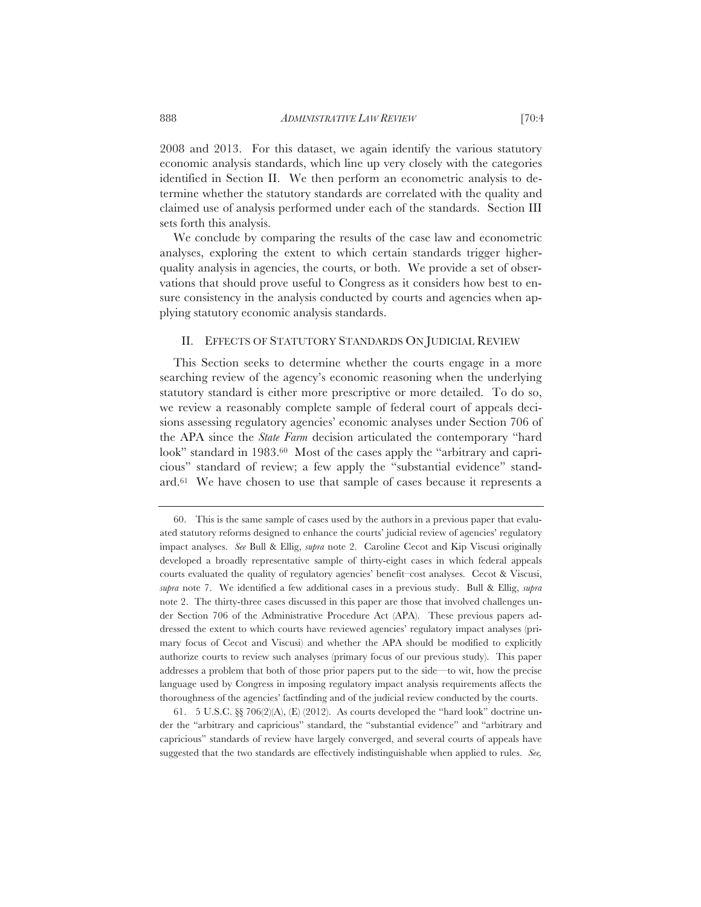2008 and 2013. For this dataset, we again identify the various statutory economic analysis standards, which line up very closely with the categories identified in Section II. We then perform an econometric analysis to determine whether the statutory standards are correlated with the quality and claimed use of analysis performed under each of the standards. Section III sets forth this analysis.

We conclude by comparing the results of the case law and econometric analyses, exploring the extent to which certain standards trigger higherquality analysis in agencies, the courts, or both. We provide a set of observations that should prove useful to Congress as it considers how best to ensure consistency in the analysis conducted by courts and agencies when applying statutory economic analysis standards.

## II. EFFECTS OF STATUTORY STANDARDS ON JUDICIAL REVIEW

This Section seeks to determine whether the courts engage in a more searching review of the agency's economic reasoning when the underlying statutory standard is either more prescriptive or more detailed. To do so, we review a reasonably complete sample of federal court of appeals decisions assessing regulatory agencies' economic analyses under Section 706 of the APA since the *State Farm* decision articulated the contemporary "hard look" standard in 1983.60 Most of the cases apply the "arbitrary and capricious" standard of review; a few apply the "substantial evidence" standard.61 We have chosen to use that sample of cases because it represents a

61. 5 U.S.C. §§ 706(2)(A), (E) (2012). As courts developed the "hard look" doctrine under the "arbitrary and capricious" standard, the "substantial evidence" and "arbitrary and capricious" standards of review have largely converged, and several courts of appeals have suggested that the two standards are effectively indistinguishable when applied to rules. *See,*

<sup>60.</sup> This is the same sample of cases used by the authors in a previous paper that evaluated statutory reforms designed to enhance the courts' judicial review of agencies' regulatory impact analyses. *See* Bull & Ellig, *supra* note 2. Caroline Cecot and Kip Viscusi originally developed a broadly representative sample of thirty-eight cases in which federal appeals courts evaluated the quality of regulatory agencies' benefit–cost analyses. Cecot & Viscusi, *supra* note 7. We identified a few additional cases in a previous study. Bull & Ellig, *supra* note 2. The thirty-three cases discussed in this paper are those that involved challenges under Section 706 of the Administrative Procedure Act (APA). These previous papers addressed the extent to which courts have reviewed agencies' regulatory impact analyses (primary focus of Cecot and Viscusi) and whether the APA should be modified to explicitly authorize courts to review such analyses (primary focus of our previous study). This paper addresses a problem that both of those prior papers put to the side—to wit, how the precise language used by Congress in imposing regulatory impact analysis requirements affects the thoroughness of the agencies' factfinding and of the judicial review conducted by the courts.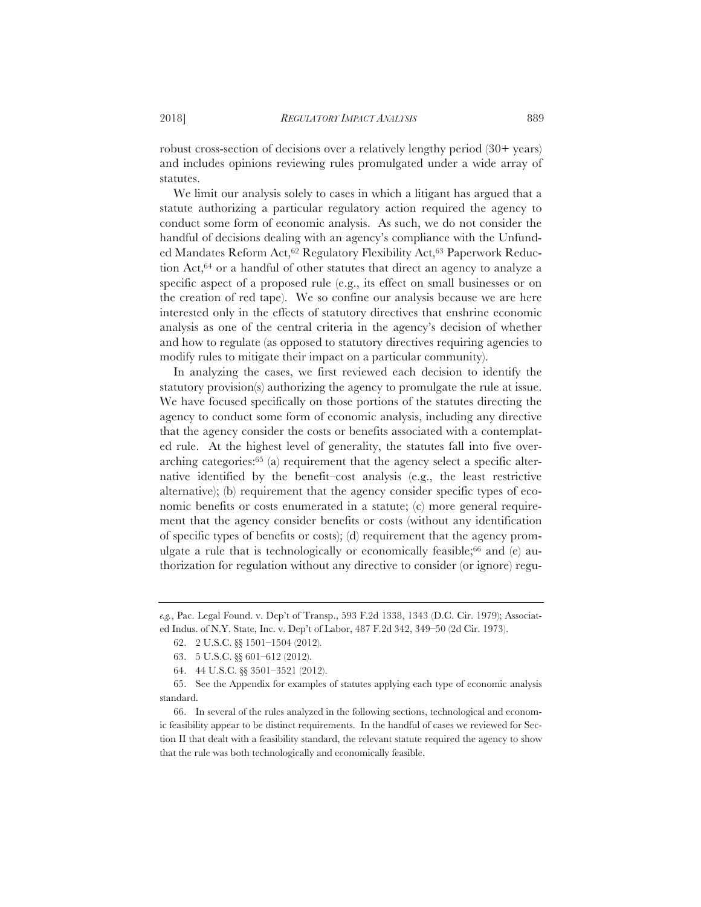robust cross-section of decisions over a relatively lengthy period (30+ years) and includes opinions reviewing rules promulgated under a wide array of statutes.

We limit our analysis solely to cases in which a litigant has argued that a statute authorizing a particular regulatory action required the agency to conduct some form of economic analysis. As such, we do not consider the handful of decisions dealing with an agency's compliance with the Unfunded Mandates Reform Act,<sup>62</sup> Regulatory Flexibility Act,<sup>63</sup> Paperwork Reduction Act,64 or a handful of other statutes that direct an agency to analyze a specific aspect of a proposed rule (e.g., its effect on small businesses or on the creation of red tape). We so confine our analysis because we are here interested only in the effects of statutory directives that enshrine economic analysis as one of the central criteria in the agency's decision of whether and how to regulate (as opposed to statutory directives requiring agencies to modify rules to mitigate their impact on a particular community).

In analyzing the cases, we first reviewed each decision to identify the statutory provision(s) authorizing the agency to promulgate the rule at issue. We have focused specifically on those portions of the statutes directing the agency to conduct some form of economic analysis, including any directive that the agency consider the costs or benefits associated with a contemplated rule. At the highest level of generality, the statutes fall into five overarching categories:65 (a) requirement that the agency select a specific alternative identified by the benefit–cost analysis (e.g., the least restrictive alternative); (b) requirement that the agency consider specific types of economic benefits or costs enumerated in a statute; (c) more general requirement that the agency consider benefits or costs (without any identification of specific types of benefits or costs); (d) requirement that the agency promulgate a rule that is technologically or economically feasible;<sup>66</sup> and  $(e)$  authorization for regulation without any directive to consider (or ignore) regu-

*e.g.*, Pac. Legal Found. v. Dep't of Transp., 593 F.2d 1338, 1343 (D.C. Cir. 1979); Associated Indus. of N.Y. State, Inc. v. Dep't of Labor, 487 F.2d 342, 349–50 (2d Cir. 1973).

<sup>62. 2</sup> U.S.C. §§ 1501–1504 (2012)*.*

<sup>63. 5</sup> U.S.C. §§ 601–612 (2012).

<sup>64. 44</sup> U.S.C. §§ 3501–3521 (2012).

<sup>65.</sup> See the Appendix for examples of statutes applying each type of economic analysis standard.

<sup>66.</sup> In several of the rules analyzed in the following sections, technological and economic feasibility appear to be distinct requirements. In the handful of cases we reviewed for Section II that dealt with a feasibility standard, the relevant statute required the agency to show that the rule was both technologically and economically feasible.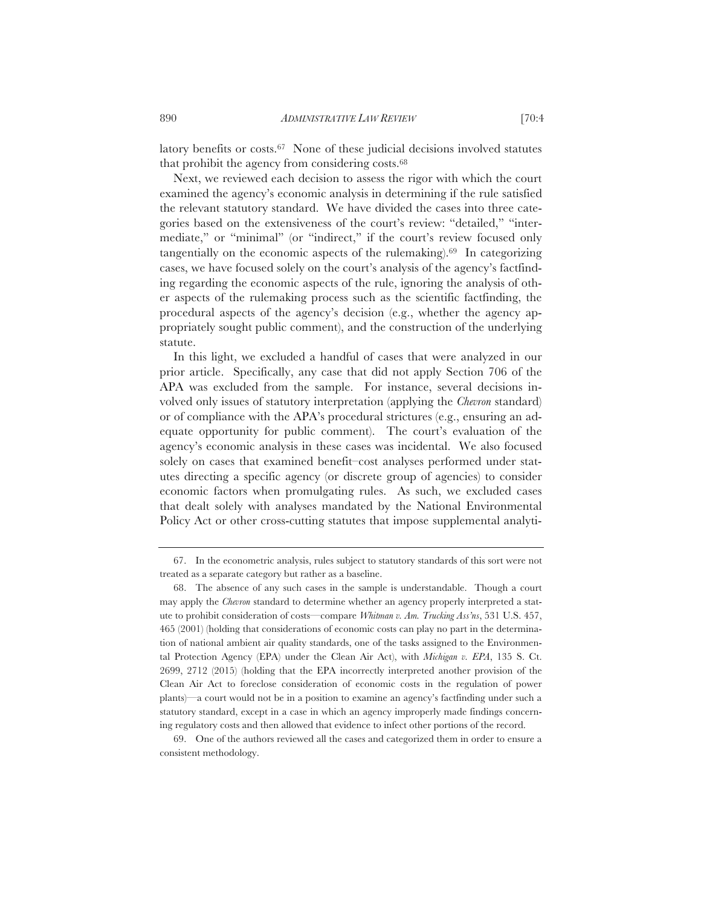latory benefits or costs.67 None of these judicial decisions involved statutes that prohibit the agency from considering costs.68

Next, we reviewed each decision to assess the rigor with which the court examined the agency's economic analysis in determining if the rule satisfied the relevant statutory standard. We have divided the cases into three categories based on the extensiveness of the court's review: "detailed," "intermediate," or "minimal" (or "indirect," if the court's review focused only tangentially on the economic aspects of the rulemaking).<sup>69</sup> In categorizing cases, we have focused solely on the court's analysis of the agency's factfinding regarding the economic aspects of the rule, ignoring the analysis of other aspects of the rulemaking process such as the scientific factfinding, the procedural aspects of the agency's decision (e.g., whether the agency appropriately sought public comment), and the construction of the underlying statute.

In this light, we excluded a handful of cases that were analyzed in our prior article. Specifically, any case that did not apply Section 706 of the APA was excluded from the sample. For instance, several decisions involved only issues of statutory interpretation (applying the *Chevron* standard) or of compliance with the APA's procedural strictures (e.g., ensuring an adequate opportunity for public comment). The court's evaluation of the agency's economic analysis in these cases was incidental. We also focused solely on cases that examined benefit–cost analyses performed under statutes directing a specific agency (or discrete group of agencies) to consider economic factors when promulgating rules. As such, we excluded cases that dealt solely with analyses mandated by the National Environmental Policy Act or other cross-cutting statutes that impose supplemental analyti-

69. One of the authors reviewed all the cases and categorized them in order to ensure a consistent methodology.

<sup>67.</sup> In the econometric analysis, rules subject to statutory standards of this sort were not treated as a separate category but rather as a baseline.

<sup>68.</sup> The absence of any such cases in the sample is understandable. Though a court may apply the *Chevron* standard to determine whether an agency properly interpreted a statute to prohibit consideration of costs—compare *Whitman v. Am. Trucking Ass'ns*, 531 U.S. 457, 465 (2001) (holding that considerations of economic costs can play no part in the determination of national ambient air quality standards, one of the tasks assigned to the Environmental Protection Agency (EPA) under the Clean Air Act), with *Michigan v. EPA*, 135 S. Ct. 2699, 2712 (2015) (holding that the EPA incorrectly interpreted another provision of the Clean Air Act to foreclose consideration of economic costs in the regulation of power plants)—a court would not be in a position to examine an agency's factfinding under such a statutory standard, except in a case in which an agency improperly made findings concerning regulatory costs and then allowed that evidence to infect other portions of the record.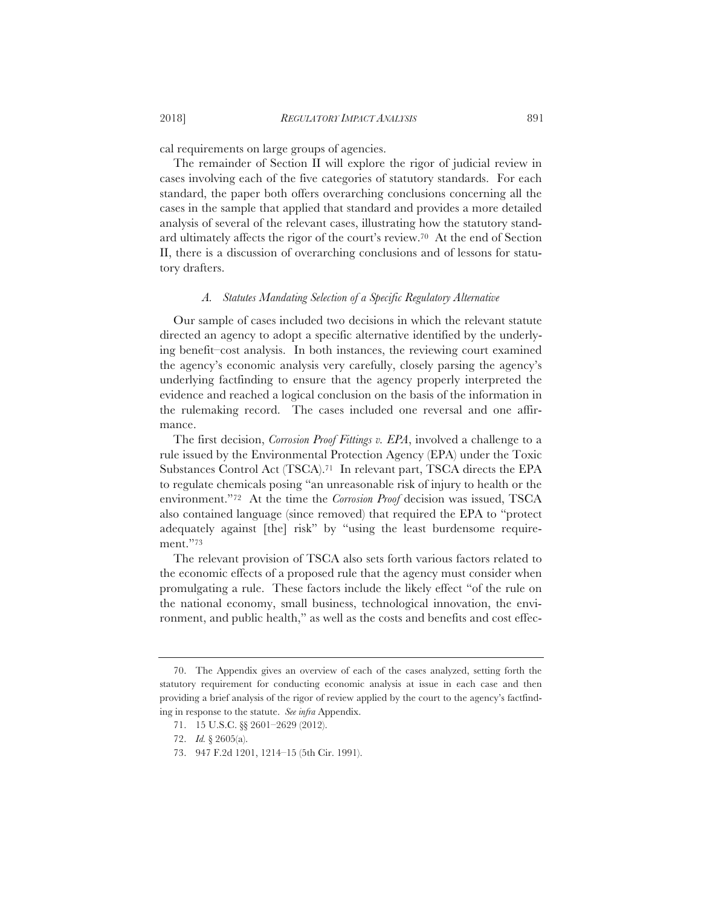cal requirements on large groups of agencies.

The remainder of Section II will explore the rigor of judicial review in cases involving each of the five categories of statutory standards. For each standard, the paper both offers overarching conclusions concerning all the cases in the sample that applied that standard and provides a more detailed analysis of several of the relevant cases, illustrating how the statutory standard ultimately affects the rigor of the court's review.70 At the end of Section II, there is a discussion of overarching conclusions and of lessons for statutory drafters.

## *A. Statutes Mandating Selection of a Specific Regulatory Alternative*

Our sample of cases included two decisions in which the relevant statute directed an agency to adopt a specific alternative identified by the underlying benefit–cost analysis. In both instances, the reviewing court examined the agency's economic analysis very carefully, closely parsing the agency's underlying factfinding to ensure that the agency properly interpreted the evidence and reached a logical conclusion on the basis of the information in the rulemaking record. The cases included one reversal and one affirmance.

The first decision, *Corrosion Proof Fittings v. EPA*, involved a challenge to a rule issued by the Environmental Protection Agency (EPA) under the Toxic Substances Control Act (TSCA).71 In relevant part, TSCA directs the EPA to regulate chemicals posing "an unreasonable risk of injury to health or the environment."72 At the time the *Corrosion Proof* decision was issued, TSCA also contained language (since removed) that required the EPA to "protect adequately against [the] risk" by "using the least burdensome requirement."73

The relevant provision of TSCA also sets forth various factors related to the economic effects of a proposed rule that the agency must consider when promulgating a rule. These factors include the likely effect "of the rule on the national economy, small business, technological innovation, the environment, and public health," as well as the costs and benefits and cost effec-

<sup>70.</sup> The Appendix gives an overview of each of the cases analyzed, setting forth the statutory requirement for conducting economic analysis at issue in each case and then providing a brief analysis of the rigor of review applied by the court to the agency's factfinding in response to the statute. *See infra* Appendix.

<sup>71. 15</sup> U.S.C. §§ 2601–2629 (2012).

<sup>72.</sup> *Id.* § 2605(a).

<sup>73. 947</sup> F.2d 1201, 1214–15 (5th Cir. 1991).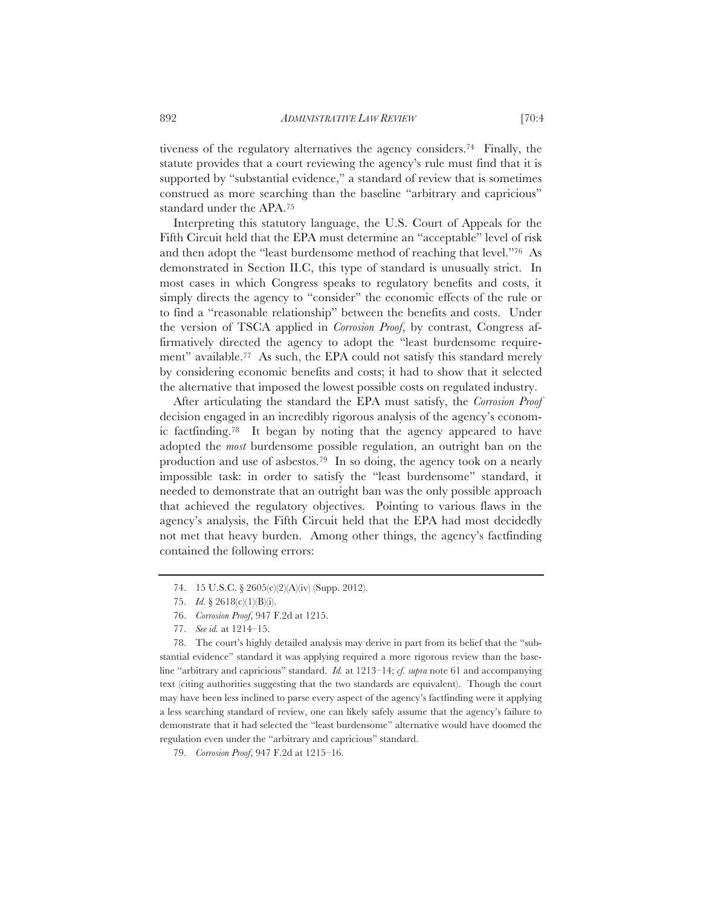tiveness of the regulatory alternatives the agency considers.74 Finally, the statute provides that a court reviewing the agency's rule must find that it is supported by "substantial evidence," a standard of review that is sometimes construed as more searching than the baseline "arbitrary and capricious" standard under the APA.75

Interpreting this statutory language, the U.S. Court of Appeals for the Fifth Circuit held that the EPA must determine an "acceptable" level of risk and then adopt the "least burdensome method of reaching that level."76 As demonstrated in Section II.C, this type of standard is unusually strict. In most cases in which Congress speaks to regulatory benefits and costs, it simply directs the agency to "consider" the economic effects of the rule or to find a "reasonable relationship" between the benefits and costs. Under the version of TSCA applied in *Corrosion Proof*, by contrast, Congress affirmatively directed the agency to adopt the "least burdensome requirement" available.77 As such, the EPA could not satisfy this standard merely by considering economic benefits and costs; it had to show that it selected the alternative that imposed the lowest possible costs on regulated industry.

After articulating the standard the EPA must satisfy, the *Corrosion Proof* decision engaged in an incredibly rigorous analysis of the agency's economic factfinding.78 It began by noting that the agency appeared to have adopted the *most* burdensome possible regulation, an outright ban on the production and use of asbestos.79 In so doing, the agency took on a nearly impossible task: in order to satisfy the "least burdensome" standard, it needed to demonstrate that an outright ban was the only possible approach that achieved the regulatory objectives. Pointing to various flaws in the agency's analysis, the Fifth Circuit held that the EPA had most decidedly not met that heavy burden. Among other things, the agency's factfinding contained the following errors:

<sup>74. 15</sup> U.S.C. § 2605(c)(2)(A)(iv) (Supp. 2012).

<sup>75.</sup> *Id.* § 2618(c)(1)(B)(i).

<sup>76.</sup> *Corrosion Proof*, 947 F.2d at 1215.

<sup>77.</sup> *See id.* at 1214–15.

<sup>78.</sup> The court's highly detailed analysis may derive in part from its belief that the "substantial evidence" standard it was applying required a more rigorous review than the baseline "arbitrary and capricious" standard. *Id.* at 1213–14; *cf. supra* note 61 and accompanying text (citing authorities suggesting that the two standards are equivalent). Though the court may have been less inclined to parse every aspect of the agency's factfinding were it applying a less searching standard of review, one can likely safely assume that the agency's failure to demonstrate that it had selected the "least burdensome" alternative would have doomed the regulation even under the "arbitrary and capricious" standard.

<sup>79.</sup> *Corrosion Proof*, 947 F.2d at 1215–16.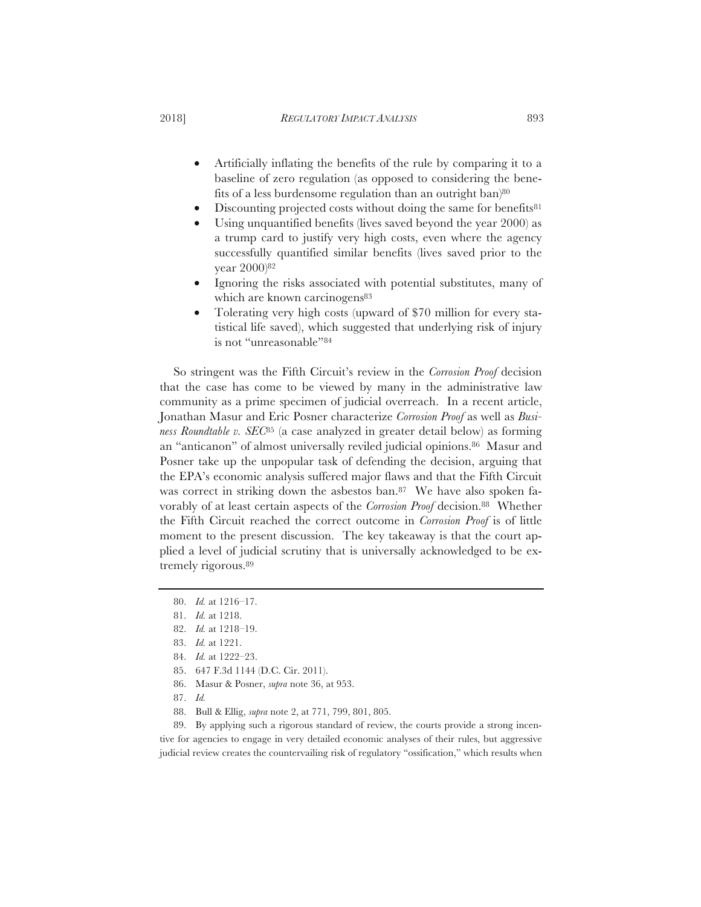- Artificially inflating the benefits of the rule by comparing it to a baseline of zero regulation (as opposed to considering the benefits of a less burdensome regulation than an outright ban $80^{\circ}$
- Discounting projected costs without doing the same for benefits<sup>81</sup>
- Using unquantified benefits (lives saved beyond the year 2000) as a trump card to justify very high costs, even where the agency successfully quantified similar benefits (lives saved prior to the year 2000)82
- Ignoring the risks associated with potential substitutes, many of which are known carcinogens<sup>83</sup>
- Tolerating very high costs (upward of \$70 million for every statistical life saved), which suggested that underlying risk of injury is not "unreasonable"84

So stringent was the Fifth Circuit's review in the *Corrosion Proof* decision that the case has come to be viewed by many in the administrative law community as a prime specimen of judicial overreach. In a recent article, Jonathan Masur and Eric Posner characterize *Corrosion Proof* as well as *Business Roundtable v. SEC*85 (a case analyzed in greater detail below) as forming an "anticanon" of almost universally reviled judicial opinions.86 Masur and Posner take up the unpopular task of defending the decision, arguing that the EPA's economic analysis suffered major flaws and that the Fifth Circuit was correct in striking down the asbestos ban.<sup>87</sup> We have also spoken favorably of at least certain aspects of the *Corrosion Proof* decision.88 Whether the Fifth Circuit reached the correct outcome in *Corrosion Proof* is of little moment to the present discussion. The key takeaway is that the court applied a level of judicial scrutiny that is universally acknowledged to be extremely rigorous.89

- 83. *Id.* at 1221.
- 84. *Id.* at 1222–23.
- 85. 647 F.3d 1144 (D.C. Cir. 2011).
- 86. Masur & Posner, *supra* note 36, at 953.
- 87. *Id.*
- 88. Bull & Ellig, *supra* note 2, at 771, 799, 801, 805.

89. By applying such a rigorous standard of review, the courts provide a strong incentive for agencies to engage in very detailed economic analyses of their rules, but aggressive judicial review creates the countervailing risk of regulatory "ossification," which results when

<sup>80.</sup> *Id.* at 1216–17.

<sup>81.</sup> *Id.* at 1218.

<sup>82.</sup> *Id.* at 1218–19.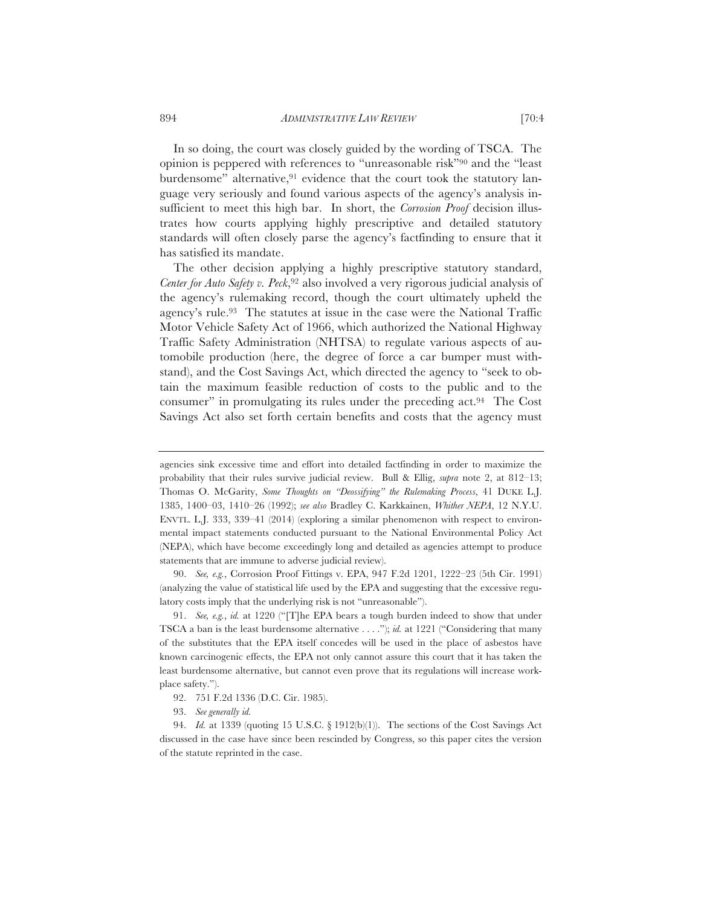In so doing, the court was closely guided by the wording of TSCA. The opinion is peppered with references to "unreasonable risk"90 and the "least burdensome" alternative,<sup>91</sup> evidence that the court took the statutory language very seriously and found various aspects of the agency's analysis insufficient to meet this high bar. In short, the *Corrosion Proof* decision illustrates how courts applying highly prescriptive and detailed statutory standards will often closely parse the agency's factfinding to ensure that it has satisfied its mandate.

The other decision applying a highly prescriptive statutory standard, *Center for Auto Safety v. Peck*,92 also involved a very rigorous judicial analysis of the agency's rulemaking record, though the court ultimately upheld the agency's rule.93 The statutes at issue in the case were the National Traffic Motor Vehicle Safety Act of 1966, which authorized the National Highway Traffic Safety Administration (NHTSA) to regulate various aspects of automobile production (here, the degree of force a car bumper must withstand), and the Cost Savings Act, which directed the agency to "seek to obtain the maximum feasible reduction of costs to the public and to the consumer" in promulgating its rules under the preceding act.94 The Cost Savings Act also set forth certain benefits and costs that the agency must

90. *See, e.g.*, Corrosion Proof Fittings v. EPA, 947 F.2d 1201, 1222–23 (5th Cir. 1991) (analyzing the value of statistical life used by the EPA and suggesting that the excessive regulatory costs imply that the underlying risk is not "unreasonable").

91. *See, e.g.*, *id.* at 1220 ("[T]he EPA bears a tough burden indeed to show that under TSCA a ban is the least burdensome alternative . . . ."); *id.* at 1221 ("Considering that many of the substitutes that the EPA itself concedes will be used in the place of asbestos have known carcinogenic effects, the EPA not only cannot assure this court that it has taken the least burdensome alternative, but cannot even prove that its regulations will increase workplace safety.").

92. 751 F.2d 1336 (D.C. Cir. 1985).

agencies sink excessive time and effort into detailed factfinding in order to maximize the probability that their rules survive judicial review. Bull & Ellig, *supra* note 2, at 812–13; Thomas O. McGarity, *Some Thoughts on "Deossifying" the Rulemaking Process*, 41 DUKE L.J. 1385, 1400–03, 1410–26 (1992); *see also* Bradley C. Karkkainen, *Whither NEPA*, 12 N.Y.U. ENVTL. L.J. 333, 339–41 (2014) (exploring a similar phenomenon with respect to environmental impact statements conducted pursuant to the National Environmental Policy Act (NEPA), which have become exceedingly long and detailed as agencies attempt to produce statements that are immune to adverse judicial review).

<sup>93.</sup> *See generally id.*

<sup>94.</sup> *Id.* at 1339 (quoting 15 U.S.C. § 1912(b)(1)). The sections of the Cost Savings Act discussed in the case have since been rescinded by Congress, so this paper cites the version of the statute reprinted in the case.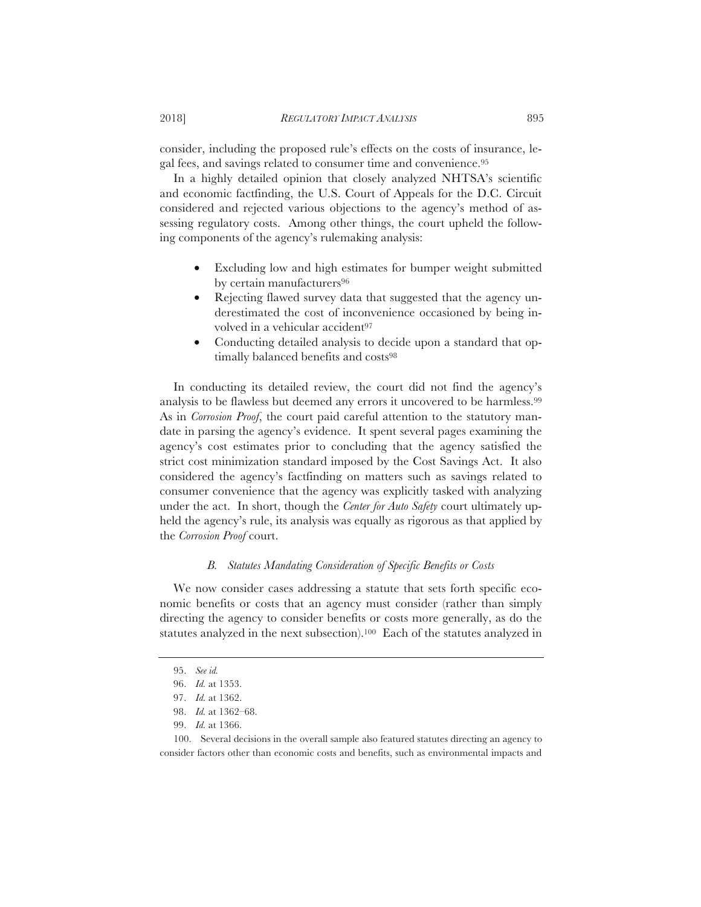consider, including the proposed rule's effects on the costs of insurance, legal fees, and savings related to consumer time and convenience.95

In a highly detailed opinion that closely analyzed NHTSA's scientific and economic factfinding, the U.S. Court of Appeals for the D.C. Circuit considered and rejected various objections to the agency's method of assessing regulatory costs. Among other things, the court upheld the following components of the agency's rulemaking analysis:

- Excluding low and high estimates for bumper weight submitted by certain manufacturers<sup>96</sup>
- Rejecting flawed survey data that suggested that the agency underestimated the cost of inconvenience occasioned by being involved in a vehicular accident<sup>97</sup>
- Conducting detailed analysis to decide upon a standard that optimally balanced benefits and costs<sup>98</sup>

In conducting its detailed review, the court did not find the agency's analysis to be flawless but deemed any errors it uncovered to be harmless.99 As in *Corrosion Proof*, the court paid careful attention to the statutory mandate in parsing the agency's evidence. It spent several pages examining the agency's cost estimates prior to concluding that the agency satisfied the strict cost minimization standard imposed by the Cost Savings Act. It also considered the agency's factfinding on matters such as savings related to consumer convenience that the agency was explicitly tasked with analyzing under the act. In short, though the *Center for Auto Safety* court ultimately upheld the agency's rule, its analysis was equally as rigorous as that applied by the *Corrosion Proof* court.

## *B. Statutes Mandating Consideration of Specific Benefits or Costs*

We now consider cases addressing a statute that sets forth specific economic benefits or costs that an agency must consider (rather than simply directing the agency to consider benefits or costs more generally, as do the statutes analyzed in the next subsection).100 Each of the statutes analyzed in

99. *Id.* at 1366.

<sup>95.</sup> *See id.*

<sup>96.</sup> *Id.* at 1353.

<sup>97.</sup> *Id.* at 1362.

<sup>98.</sup> *Id.* at 1362–68.

<sup>100.</sup> Several decisions in the overall sample also featured statutes directing an agency to consider factors other than economic costs and benefits, such as environmental impacts and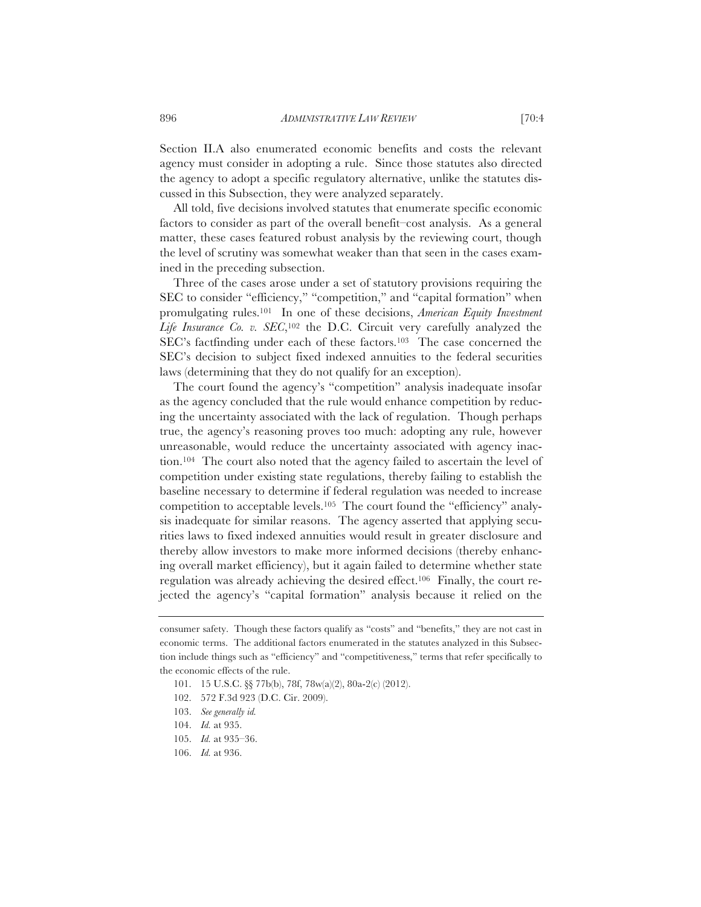Section II.A also enumerated economic benefits and costs the relevant agency must consider in adopting a rule. Since those statutes also directed the agency to adopt a specific regulatory alternative, unlike the statutes discussed in this Subsection, they were analyzed separately.

All told, five decisions involved statutes that enumerate specific economic factors to consider as part of the overall benefit–cost analysis. As a general matter, these cases featured robust analysis by the reviewing court, though the level of scrutiny was somewhat weaker than that seen in the cases examined in the preceding subsection.

Three of the cases arose under a set of statutory provisions requiring the SEC to consider "efficiency," "competition," and "capital formation" when promulgating rules.101 In one of these decisions, *American Equity Investment Life Insurance Co. v. SEC*,102 the D.C. Circuit very carefully analyzed the SEC's factfinding under each of these factors.<sup>103</sup> The case concerned the SEC's decision to subject fixed indexed annuities to the federal securities laws (determining that they do not qualify for an exception).

The court found the agency's "competition" analysis inadequate insofar as the agency concluded that the rule would enhance competition by reducing the uncertainty associated with the lack of regulation. Though perhaps true, the agency's reasoning proves too much: adopting any rule, however unreasonable, would reduce the uncertainty associated with agency inaction.104 The court also noted that the agency failed to ascertain the level of competition under existing state regulations, thereby failing to establish the baseline necessary to determine if federal regulation was needed to increase competition to acceptable levels.105 The court found the "efficiency" analysis inadequate for similar reasons. The agency asserted that applying securities laws to fixed indexed annuities would result in greater disclosure and thereby allow investors to make more informed decisions (thereby enhancing overall market efficiency), but it again failed to determine whether state regulation was already achieving the desired effect.106 Finally, the court rejected the agency's "capital formation" analysis because it relied on the

consumer safety. Though these factors qualify as "costs" and "benefits," they are not cast in economic terms. The additional factors enumerated in the statutes analyzed in this Subsection include things such as "efficiency" and "competitiveness," terms that refer specifically to the economic effects of the rule.

<sup>101. 15</sup> U.S.C. §§ 77b(b), 78f, 78w(a)(2), 80a-2(c) (2012).

<sup>102. 572</sup> F.3d 923 (D.C. Cir. 2009).

<sup>103.</sup> *See generally id.*

<sup>104.</sup> *Id.* at 935.

<sup>105.</sup> *Id.* at 935–36.

<sup>106.</sup> *Id.* at 936.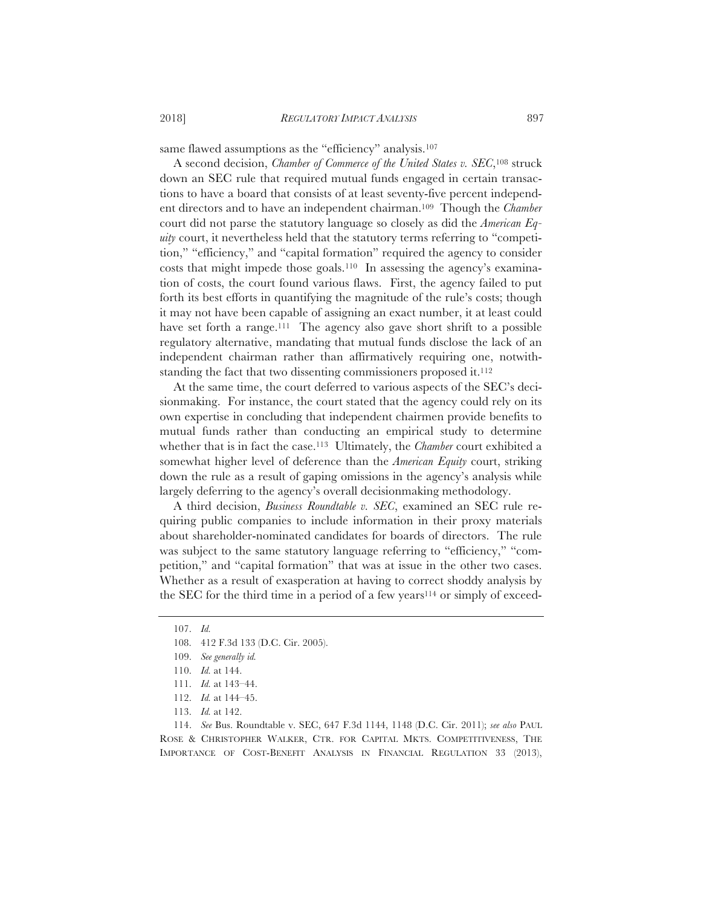same flawed assumptions as the "efficiency" analysis.<sup>107</sup>

A second decision, *Chamber of Commerce of the United States v. SEC*,108 struck down an SEC rule that required mutual funds engaged in certain transactions to have a board that consists of at least seventy-five percent independent directors and to have an independent chairman.109 Though the *Chamber* court did not parse the statutory language so closely as did the *American Equity* court, it nevertheless held that the statutory terms referring to "competition," "efficiency," and "capital formation" required the agency to consider costs that might impede those goals.110 In assessing the agency's examination of costs, the court found various flaws. First, the agency failed to put forth its best efforts in quantifying the magnitude of the rule's costs; though it may not have been capable of assigning an exact number, it at least could have set forth a range.<sup>111</sup> The agency also gave short shrift to a possible regulatory alternative, mandating that mutual funds disclose the lack of an independent chairman rather than affirmatively requiring one, notwithstanding the fact that two dissenting commissioners proposed it.<sup>112</sup>

At the same time, the court deferred to various aspects of the SEC's decisionmaking. For instance, the court stated that the agency could rely on its own expertise in concluding that independent chairmen provide benefits to mutual funds rather than conducting an empirical study to determine whether that is in fact the case.113 Ultimately, the *Chamber* court exhibited a somewhat higher level of deference than the *American Equity* court, striking down the rule as a result of gaping omissions in the agency's analysis while largely deferring to the agency's overall decisionmaking methodology.

A third decision, *Business Roundtable v. SEC*, examined an SEC rule requiring public companies to include information in their proxy materials about shareholder-nominated candidates for boards of directors. The rule was subject to the same statutory language referring to "efficiency," "competition," and "capital formation" that was at issue in the other two cases. Whether as a result of exasperation at having to correct shoddy analysis by the SEC for the third time in a period of a few years<sup>114</sup> or simply of exceed-

114. *See* Bus. Roundtable v. SEC, 647 F.3d 1144, 1148 (D.C. Cir. 2011); *see also* PAUL ROSE & CHRISTOPHER WALKER, CTR. FOR CAPITAL MKTS. COMPETITIVENESS, THE IMPORTANCE OF COST-BENEFIT ANALYSIS IN FINANCIAL REGULATION 33 (2013),

<sup>107.</sup> *Id.*

<sup>108. 412</sup> F.3d 133 (D.C. Cir. 2005).

<sup>109.</sup> *See generally id.*

<sup>110.</sup> *Id.* at 144.

<sup>111.</sup> *Id.* at 143–44.

<sup>112.</sup> *Id.* at 144–45.

<sup>113.</sup> *Id.* at 142.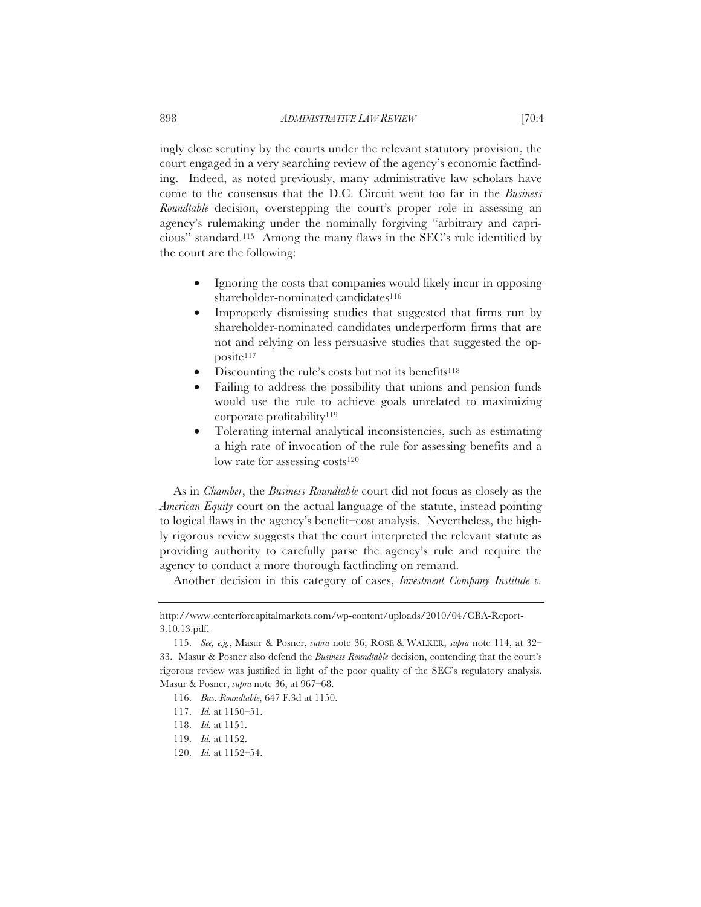ingly close scrutiny by the courts under the relevant statutory provision, the court engaged in a very searching review of the agency's economic factfinding. Indeed, as noted previously, many administrative law scholars have come to the consensus that the D.C. Circuit went too far in the *Business Roundtable* decision, overstepping the court's proper role in assessing an agency's rulemaking under the nominally forgiving "arbitrary and capricious" standard.115 Among the many flaws in the SEC's rule identified by the court are the following:

- Ignoring the costs that companies would likely incur in opposing shareholder-nominated candidates<sup>116</sup>
- Improperly dismissing studies that suggested that firms run by shareholder-nominated candidates underperform firms that are not and relying on less persuasive studies that suggested the opposite117
- Discounting the rule's costs but not its benefits<sup>118</sup>
- Failing to address the possibility that unions and pension funds would use the rule to achieve goals unrelated to maximizing corporate profitability119
- Tolerating internal analytical inconsistencies, such as estimating a high rate of invocation of the rule for assessing benefits and a low rate for assessing costs $120$

As in *Chamber*, the *Business Roundtable* court did not focus as closely as the *American Equity* court on the actual language of the statute, instead pointing to logical flaws in the agency's benefit–cost analysis. Nevertheless, the highly rigorous review suggests that the court interpreted the relevant statute as providing authority to carefully parse the agency's rule and require the agency to conduct a more thorough factfinding on remand.

Another decision in this category of cases, *Investment Company Institute v.* 

http://www.centerforcapitalmarkets.com/wp-content/uploads/2010/04/CBA-Report-3.10.13.pdf.

<sup>115.</sup> *See, e.g.*, Masur & Posner, *supra* note 36; ROSE & WALKER, *supra* note 114, at 32– 33. Masur & Posner also defend the *Business Roundtable* decision, contending that the court's rigorous review was justified in light of the poor quality of the SEC's regulatory analysis. Masur & Posner, *supra* note 36, at 967–68.

<sup>116.</sup> *Bus. Roundtable*, 647 F.3d at 1150.

<sup>117.</sup> *Id.* at 1150–51.

<sup>118.</sup> *Id.* at 1151.

<sup>119.</sup> *Id.* at 1152.

<sup>120.</sup> *Id.* at 1152–54.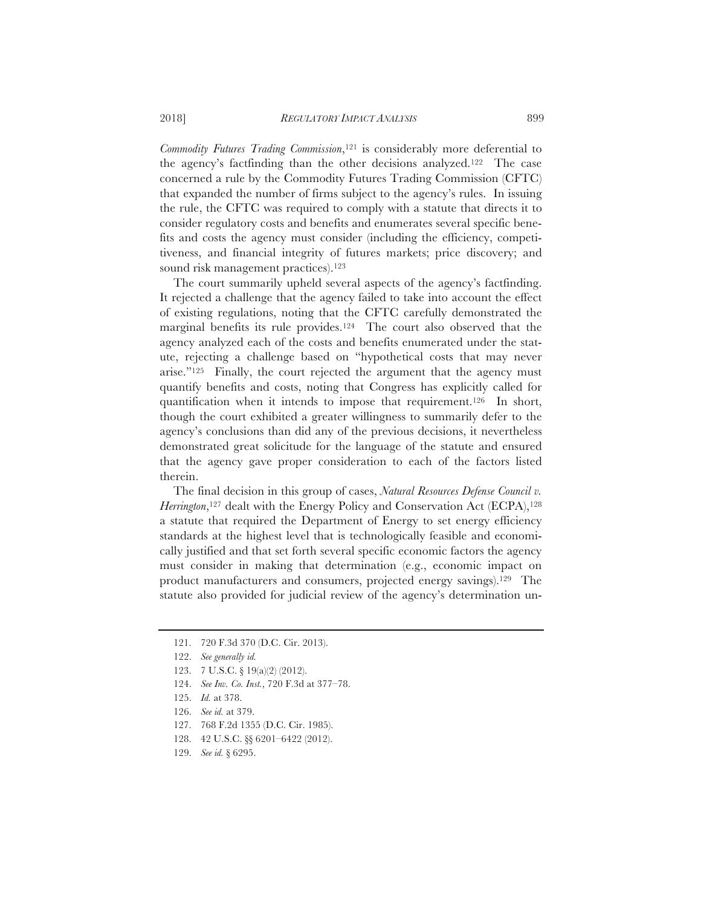*Commodity Futures Trading Commission*,121 is considerably more deferential to the agency's factfinding than the other decisions analyzed.122 The case concerned a rule by the Commodity Futures Trading Commission (CFTC) that expanded the number of firms subject to the agency's rules. In issuing the rule, the CFTC was required to comply with a statute that directs it to consider regulatory costs and benefits and enumerates several specific benefits and costs the agency must consider (including the efficiency, competitiveness, and financial integrity of futures markets; price discovery; and sound risk management practices).<sup>123</sup>

The court summarily upheld several aspects of the agency's factfinding. It rejected a challenge that the agency failed to take into account the effect of existing regulations, noting that the CFTC carefully demonstrated the marginal benefits its rule provides.124 The court also observed that the agency analyzed each of the costs and benefits enumerated under the statute, rejecting a challenge based on "hypothetical costs that may never arise."125 Finally, the court rejected the argument that the agency must quantify benefits and costs, noting that Congress has explicitly called for quantification when it intends to impose that requirement.126 In short, though the court exhibited a greater willingness to summarily defer to the agency's conclusions than did any of the previous decisions, it nevertheless demonstrated great solicitude for the language of the statute and ensured that the agency gave proper consideration to each of the factors listed therein.

The final decision in this group of cases, *Natural Resources Defense Council v. Herrington*,<sup>127</sup> dealt with the Energy Policy and Conservation Act (ECPA),<sup>128</sup> a statute that required the Department of Energy to set energy efficiency standards at the highest level that is technologically feasible and economically justified and that set forth several specific economic factors the agency must consider in making that determination (e.g., economic impact on product manufacturers and consumers, projected energy savings).129 The statute also provided for judicial review of the agency's determination un-

- 127. 768 F.2d 1355 (D.C. Cir. 1985).
- 128. 42 U.S.C. §§ 6201–6422 (2012).

<sup>121. 720</sup> F.3d 370 (D.C. Cir. 2013).

<sup>122.</sup> *See generally id.*

<sup>123. 7</sup> U.S.C. § 19(a)(2) (2012).

<sup>124.</sup> *See Inv. Co. Inst.*, 720 F.3d at 377–78.

<sup>125.</sup> *Id.* at 378.

<sup>126.</sup> *See id.* at 379.

<sup>129.</sup> *See id.* § 6295.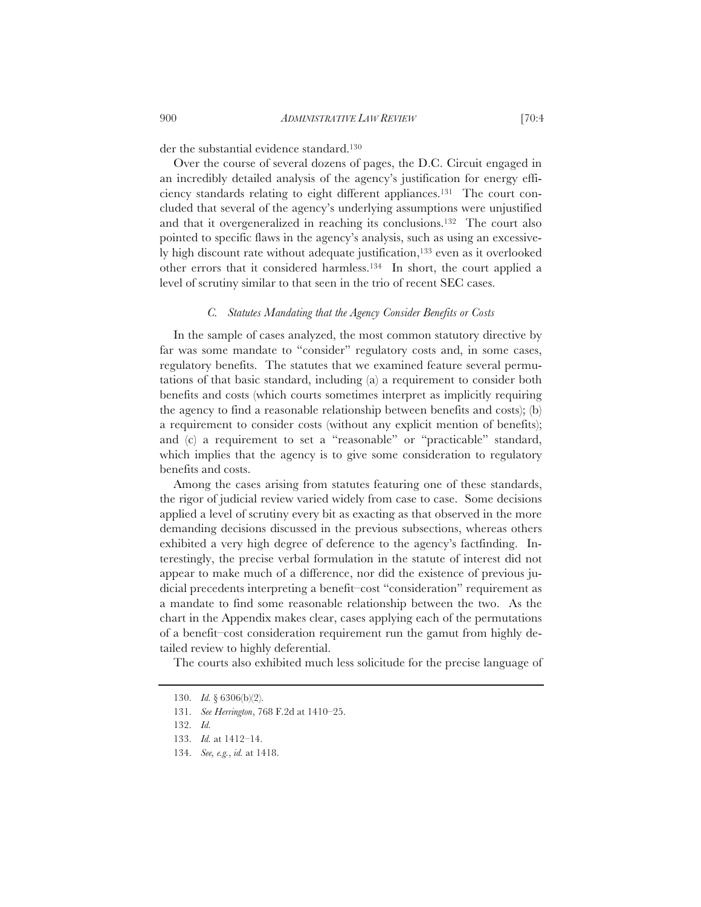der the substantial evidence standard.130

Over the course of several dozens of pages, the D.C. Circuit engaged in an incredibly detailed analysis of the agency's justification for energy efficiency standards relating to eight different appliances.131 The court concluded that several of the agency's underlying assumptions were unjustified and that it overgeneralized in reaching its conclusions.132 The court also pointed to specific flaws in the agency's analysis, such as using an excessively high discount rate without adequate justification,133 even as it overlooked other errors that it considered harmless.134 In short, the court applied a level of scrutiny similar to that seen in the trio of recent SEC cases.

## *C. Statutes Mandating that the Agency Consider Benefits or Costs*

In the sample of cases analyzed, the most common statutory directive by far was some mandate to "consider" regulatory costs and, in some cases, regulatory benefits. The statutes that we examined feature several permutations of that basic standard, including (a) a requirement to consider both benefits and costs (which courts sometimes interpret as implicitly requiring the agency to find a reasonable relationship between benefits and costs); (b) a requirement to consider costs (without any explicit mention of benefits); and (c) a requirement to set a "reasonable" or "practicable" standard, which implies that the agency is to give some consideration to regulatory benefits and costs.

Among the cases arising from statutes featuring one of these standards, the rigor of judicial review varied widely from case to case. Some decisions applied a level of scrutiny every bit as exacting as that observed in the more demanding decisions discussed in the previous subsections, whereas others exhibited a very high degree of deference to the agency's factfinding. Interestingly, the precise verbal formulation in the statute of interest did not appear to make much of a difference, nor did the existence of previous judicial precedents interpreting a benefit–cost "consideration" requirement as a mandate to find some reasonable relationship between the two. As the chart in the Appendix makes clear, cases applying each of the permutations of a benefit–cost consideration requirement run the gamut from highly detailed review to highly deferential.

The courts also exhibited much less solicitude for the precise language of

<sup>130.</sup> *Id.* § 6306(b)(2).

<sup>131.</sup> *See Herrington*, 768 F.2d at 1410–25.

<sup>132.</sup> *Id.*

<sup>133.</sup> *Id.* at 1412–14.

<sup>134.</sup> *See, e.g.*, *id.* at 1418.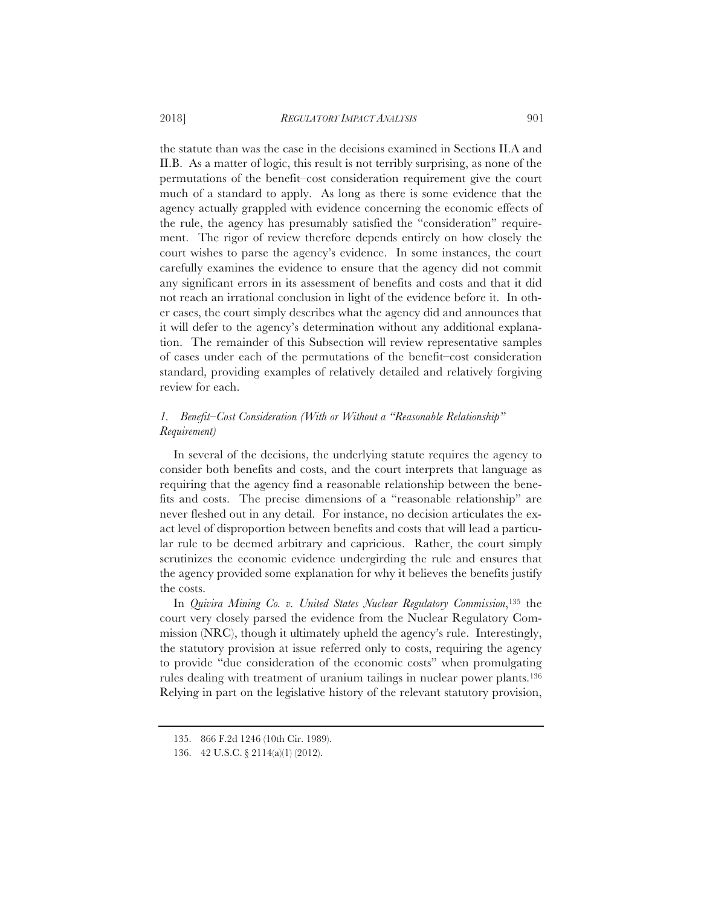the statute than was the case in the decisions examined in Sections II.A and II.B. As a matter of logic, this result is not terribly surprising, as none of the permutations of the benefit–cost consideration requirement give the court much of a standard to apply. As long as there is some evidence that the agency actually grappled with evidence concerning the economic effects of the rule, the agency has presumably satisfied the "consideration" requirement. The rigor of review therefore depends entirely on how closely the court wishes to parse the agency's evidence. In some instances, the court carefully examines the evidence to ensure that the agency did not commit any significant errors in its assessment of benefits and costs and that it did not reach an irrational conclusion in light of the evidence before it. In other cases, the court simply describes what the agency did and announces that it will defer to the agency's determination without any additional explanation. The remainder of this Subsection will review representative samples of cases under each of the permutations of the benefit–cost consideration standard, providing examples of relatively detailed and relatively forgiving review for each.

## *1. Benefit–Cost Consideration (With or Without a "Reasonable Relationship" Requirement)*

In several of the decisions, the underlying statute requires the agency to consider both benefits and costs, and the court interprets that language as requiring that the agency find a reasonable relationship between the benefits and costs. The precise dimensions of a "reasonable relationship" are never fleshed out in any detail. For instance, no decision articulates the exact level of disproportion between benefits and costs that will lead a particular rule to be deemed arbitrary and capricious. Rather, the court simply scrutinizes the economic evidence undergirding the rule and ensures that the agency provided some explanation for why it believes the benefits justify the costs.

In *Quivira Mining Co. v. United States Nuclear Regulatory Commission*,135 the court very closely parsed the evidence from the Nuclear Regulatory Commission (NRC), though it ultimately upheld the agency's rule. Interestingly, the statutory provision at issue referred only to costs, requiring the agency to provide "due consideration of the economic costs" when promulgating rules dealing with treatment of uranium tailings in nuclear power plants.136 Relying in part on the legislative history of the relevant statutory provision,

<sup>135. 866</sup> F.2d 1246 (10th Cir. 1989).

<sup>136. 42</sup> U.S.C. § 2114(a)(1) (2012).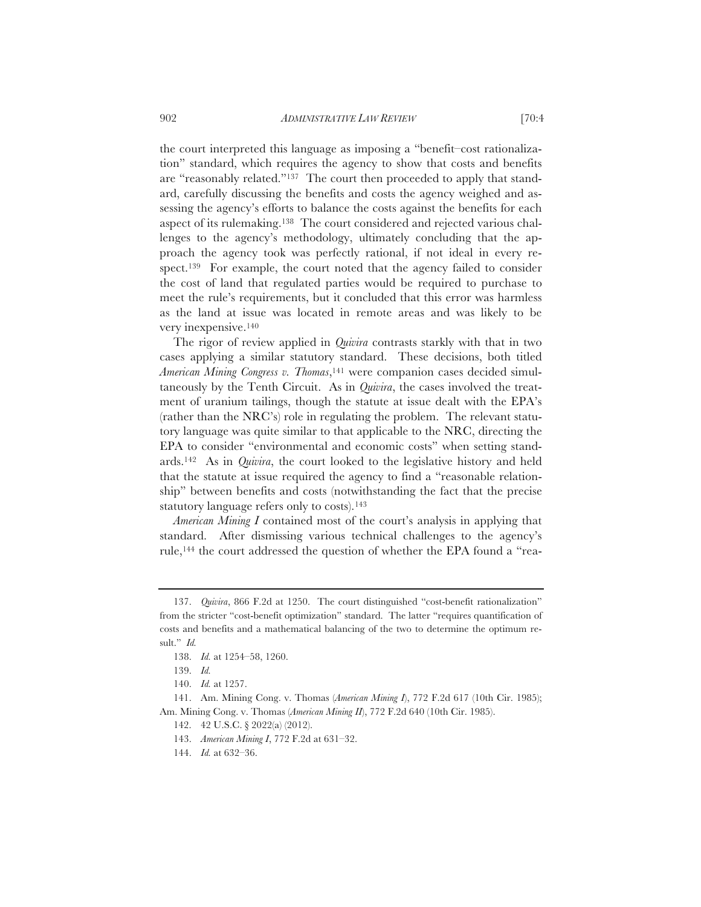the court interpreted this language as imposing a "benefit–cost rationalization" standard, which requires the agency to show that costs and benefits are "reasonably related."137 The court then proceeded to apply that standard, carefully discussing the benefits and costs the agency weighed and assessing the agency's efforts to balance the costs against the benefits for each aspect of its rulemaking.138 The court considered and rejected various challenges to the agency's methodology, ultimately concluding that the approach the agency took was perfectly rational, if not ideal in every respect.139 For example, the court noted that the agency failed to consider the cost of land that regulated parties would be required to purchase to meet the rule's requirements, but it concluded that this error was harmless as the land at issue was located in remote areas and was likely to be very inexpensive.140

The rigor of review applied in *Quivira* contrasts starkly with that in two cases applying a similar statutory standard. These decisions, both titled *American Mining Congress v. Thomas*,141 were companion cases decided simultaneously by the Tenth Circuit. As in *Quivira*, the cases involved the treatment of uranium tailings, though the statute at issue dealt with the EPA's (rather than the NRC's) role in regulating the problem. The relevant statutory language was quite similar to that applicable to the NRC, directing the EPA to consider "environmental and economic costs" when setting standards.142 As in *Quivira*, the court looked to the legislative history and held that the statute at issue required the agency to find a "reasonable relationship" between benefits and costs (notwithstanding the fact that the precise statutory language refers only to costs).143

*American Mining I* contained most of the court's analysis in applying that standard. After dismissing various technical challenges to the agency's rule,144 the court addressed the question of whether the EPA found a "rea-

<sup>137.</sup> *Quivira*, 866 F.2d at 1250. The court distinguished "cost-benefit rationalization" from the stricter "cost-benefit optimization" standard. The latter "requires quantification of costs and benefits and a mathematical balancing of the two to determine the optimum result." *Id.*

<sup>138.</sup> *Id.* at 1254–58, 1260.

<sup>139.</sup> *Id.*

<sup>140.</sup> *Id.* at 1257.

<sup>141.</sup> Am. Mining Cong. v. Thomas (*American Mining I*), 772 F.2d 617 (10th Cir. 1985); Am. Mining Cong. v. Thomas (*American Mining II*), 772 F.2d 640 (10th Cir. 1985).

<sup>142. 42</sup> U.S.C. § 2022(a) (2012).

<sup>143.</sup> *American Mining I*, 772 F.2d at 631–32.

<sup>144.</sup> *Id.* at 632–36.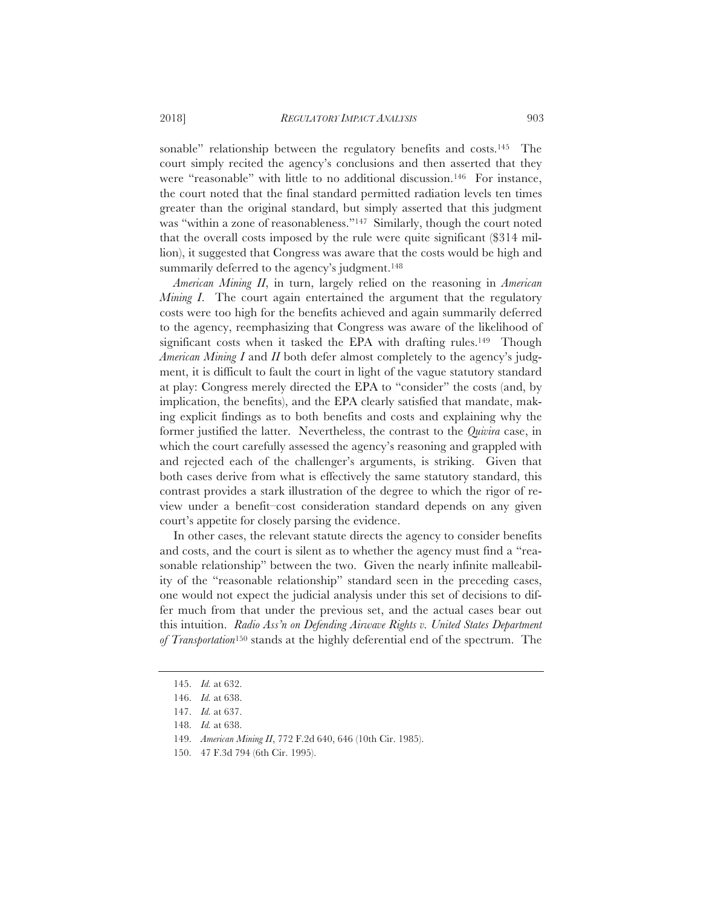sonable" relationship between the regulatory benefits and costs.<sup>145</sup> The court simply recited the agency's conclusions and then asserted that they were "reasonable" with little to no additional discussion.146 For instance, the court noted that the final standard permitted radiation levels ten times greater than the original standard, but simply asserted that this judgment was "within a zone of reasonableness."<sup>147</sup> Similarly, though the court noted that the overall costs imposed by the rule were quite significant (\$314 million), it suggested that Congress was aware that the costs would be high and summarily deferred to the agency's judgment.<sup>148</sup>

*American Mining II*, in turn, largely relied on the reasoning in *American Mining I*. The court again entertained the argument that the regulatory costs were too high for the benefits achieved and again summarily deferred to the agency, reemphasizing that Congress was aware of the likelihood of significant costs when it tasked the EPA with drafting rules.<sup>149</sup> Though *American Mining I* and *II* both defer almost completely to the agency's judgment, it is difficult to fault the court in light of the vague statutory standard at play: Congress merely directed the EPA to "consider" the costs (and, by implication, the benefits), and the EPA clearly satisfied that mandate, making explicit findings as to both benefits and costs and explaining why the former justified the latter. Nevertheless, the contrast to the *Quivira* case, in which the court carefully assessed the agency's reasoning and grappled with and rejected each of the challenger's arguments, is striking. Given that both cases derive from what is effectively the same statutory standard, this contrast provides a stark illustration of the degree to which the rigor of review under a benefit–cost consideration standard depends on any given court's appetite for closely parsing the evidence.

In other cases, the relevant statute directs the agency to consider benefits and costs, and the court is silent as to whether the agency must find a "reasonable relationship" between the two. Given the nearly infinite malleability of the "reasonable relationship" standard seen in the preceding cases, one would not expect the judicial analysis under this set of decisions to differ much from that under the previous set, and the actual cases bear out this intuition. *Radio Ass'n on Defending Airwave Rights v. United States Department of Transportation*150 stands at the highly deferential end of the spectrum. The

<sup>145.</sup> *Id.* at 632.

<sup>146.</sup> *Id.* at 638.

<sup>147.</sup> *Id.* at 637.

<sup>148.</sup> *Id.* at 638.

<sup>149.</sup> *American Mining II*, 772 F.2d 640, 646 (10th Cir. 1985).

<sup>150. 47</sup> F.3d 794 (6th Cir. 1995).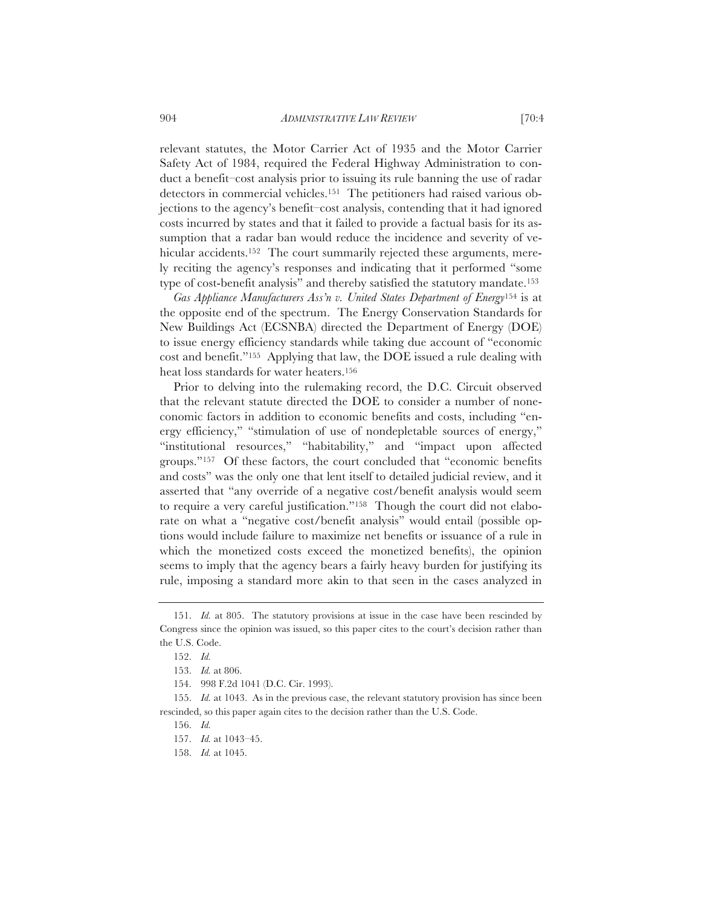relevant statutes, the Motor Carrier Act of 1935 and the Motor Carrier Safety Act of 1984, required the Federal Highway Administration to conduct a benefit–cost analysis prior to issuing its rule banning the use of radar detectors in commercial vehicles.151 The petitioners had raised various objections to the agency's benefit–cost analysis, contending that it had ignored costs incurred by states and that it failed to provide a factual basis for its assumption that a radar ban would reduce the incidence and severity of vehicular accidents.<sup>152</sup> The court summarily rejected these arguments, merely reciting the agency's responses and indicating that it performed "some type of cost-benefit analysis" and thereby satisfied the statutory mandate.153

*Gas Appliance Manufacturers Ass'n v. United States Department of Energy*154 is at the opposite end of the spectrum. The Energy Conservation Standards for New Buildings Act (ECSNBA) directed the Department of Energy (DOE) to issue energy efficiency standards while taking due account of "economic cost and benefit."155 Applying that law, the DOE issued a rule dealing with heat loss standards for water heaters.156

Prior to delving into the rulemaking record, the D.C. Circuit observed that the relevant statute directed the DOE to consider a number of noneconomic factors in addition to economic benefits and costs, including "energy efficiency," "stimulation of use of nondepletable sources of energy," "institutional resources," "habitability," and "impact upon affected groups."157 Of these factors, the court concluded that "economic benefits and costs" was the only one that lent itself to detailed judicial review, and it asserted that "any override of a negative cost/benefit analysis would seem to require a very careful justification."158 Though the court did not elaborate on what a "negative cost/benefit analysis" would entail (possible options would include failure to maximize net benefits or issuance of a rule in which the monetized costs exceed the monetized benefits), the opinion seems to imply that the agency bears a fairly heavy burden for justifying its rule, imposing a standard more akin to that seen in the cases analyzed in

<sup>151.</sup> *Id.* at 805. The statutory provisions at issue in the case have been rescinded by Congress since the opinion was issued, so this paper cites to the court's decision rather than the U.S. Code.

<sup>152.</sup> *Id.*

<sup>153.</sup> *Id.* at 806.

<sup>154. 998</sup> F.2d 1041 (D.C. Cir. 1993).

<sup>155.</sup> *Id.* at 1043. As in the previous case, the relevant statutory provision has since been rescinded, so this paper again cites to the decision rather than the U.S. Code.

<sup>156.</sup> *Id.*

<sup>157.</sup> *Id.* at 1043–45.

<sup>158.</sup> *Id.* at 1045.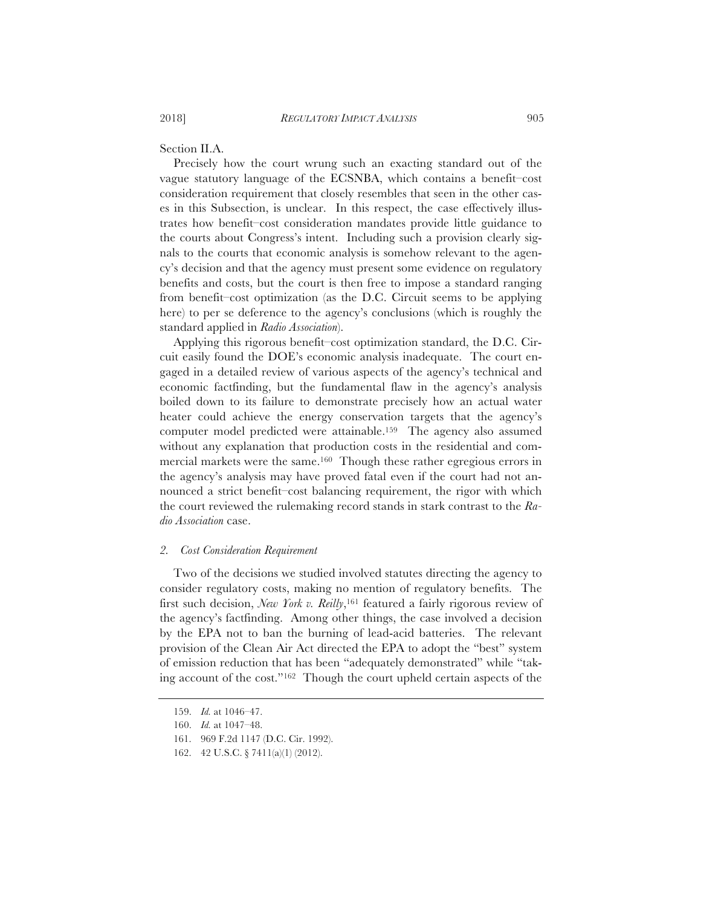Section II.A.

Precisely how the court wrung such an exacting standard out of the vague statutory language of the ECSNBA, which contains a benefit–cost consideration requirement that closely resembles that seen in the other cases in this Subsection, is unclear. In this respect, the case effectively illustrates how benefit–cost consideration mandates provide little guidance to the courts about Congress's intent. Including such a provision clearly signals to the courts that economic analysis is somehow relevant to the agency's decision and that the agency must present some evidence on regulatory benefits and costs, but the court is then free to impose a standard ranging from benefit–cost optimization (as the D.C. Circuit seems to be applying here) to per se deference to the agency's conclusions (which is roughly the standard applied in *Radio Association*).

Applying this rigorous benefit–cost optimization standard, the D.C. Circuit easily found the DOE's economic analysis inadequate. The court engaged in a detailed review of various aspects of the agency's technical and economic factfinding, but the fundamental flaw in the agency's analysis boiled down to its failure to demonstrate precisely how an actual water heater could achieve the energy conservation targets that the agency's computer model predicted were attainable.159 The agency also assumed without any explanation that production costs in the residential and commercial markets were the same.160 Though these rather egregious errors in the agency's analysis may have proved fatal even if the court had not announced a strict benefit–cost balancing requirement, the rigor with which the court reviewed the rulemaking record stands in stark contrast to the *Radio Association* case.

#### *2. Cost Consideration Requirement*

Two of the decisions we studied involved statutes directing the agency to consider regulatory costs, making no mention of regulatory benefits. The first such decision, *New York v. Reilly*,161 featured a fairly rigorous review of the agency's factfinding. Among other things, the case involved a decision by the EPA not to ban the burning of lead-acid batteries. The relevant provision of the Clean Air Act directed the EPA to adopt the "best" system of emission reduction that has been "adequately demonstrated" while "taking account of the cost."162 Though the court upheld certain aspects of the

<sup>159.</sup> *Id.* at 1046–47.

<sup>160.</sup> *Id.* at 1047–48.

<sup>161. 969</sup> F.2d 1147 (D.C. Cir. 1992).

<sup>162. 42</sup> U.S.C. § 7411(a)(1) (2012).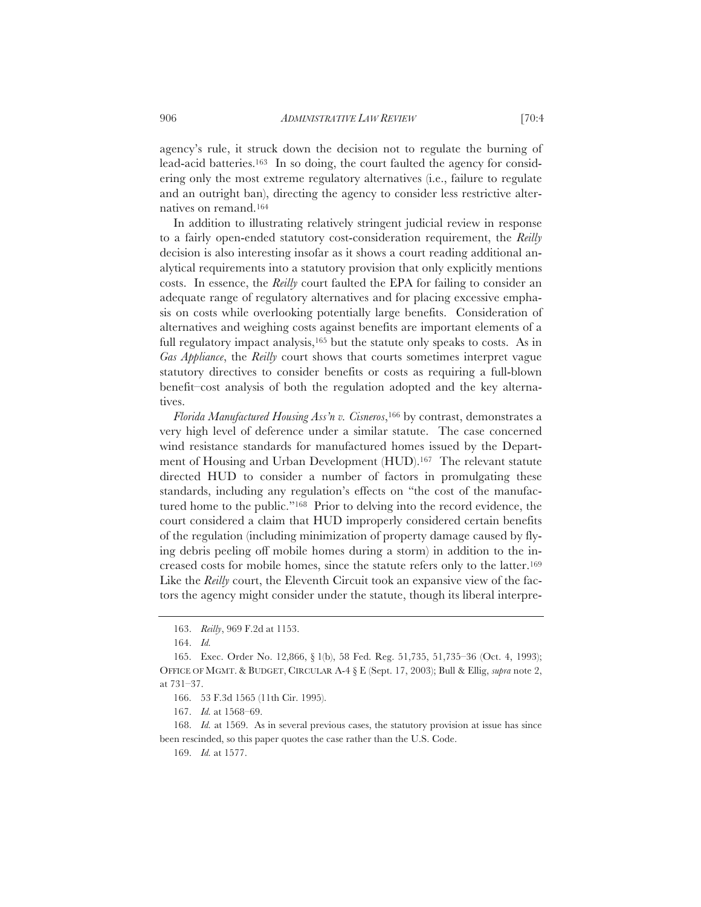agency's rule, it struck down the decision not to regulate the burning of lead-acid batteries.<sup>163</sup> In so doing, the court faulted the agency for considering only the most extreme regulatory alternatives (i.e., failure to regulate and an outright ban), directing the agency to consider less restrictive alternatives on remand.164

In addition to illustrating relatively stringent judicial review in response to a fairly open-ended statutory cost-consideration requirement, the *Reilly* decision is also interesting insofar as it shows a court reading additional analytical requirements into a statutory provision that only explicitly mentions costs. In essence, the *Reilly* court faulted the EPA for failing to consider an adequate range of regulatory alternatives and for placing excessive emphasis on costs while overlooking potentially large benefits. Consideration of alternatives and weighing costs against benefits are important elements of a full regulatory impact analysis,<sup>165</sup> but the statute only speaks to costs. As in *Gas Appliance*, the *Reilly* court shows that courts sometimes interpret vague statutory directives to consider benefits or costs as requiring a full-blown benefit–cost analysis of both the regulation adopted and the key alternatives.

*Florida Manufactured Housing Ass'n v. Cisneros*,166 by contrast, demonstrates a very high level of deference under a similar statute. The case concerned wind resistance standards for manufactured homes issued by the Department of Housing and Urban Development (HUD).167 The relevant statute directed HUD to consider a number of factors in promulgating these standards, including any regulation's effects on "the cost of the manufactured home to the public."168 Prior to delving into the record evidence, the court considered a claim that HUD improperly considered certain benefits of the regulation (including minimization of property damage caused by flying debris peeling off mobile homes during a storm) in addition to the increased costs for mobile homes, since the statute refers only to the latter.169 Like the *Reilly* court, the Eleventh Circuit took an expansive view of the factors the agency might consider under the statute, though its liberal interpre-

<sup>163.</sup> *Reilly*, 969 F.2d at 1153.

<sup>164.</sup> *Id.*

<sup>165.</sup> Exec. Order No. 12,866, § 1(b), 58 Fed. Reg. 51,735, 51,735–36 (Oct. 4, 1993); OFFICE OF MGMT.&BUDGET, CIRCULAR A-4 § E (Sept. 17, 2003); Bull & Ellig, *supra* note 2, at 731–37.

<sup>166. 53</sup> F.3d 1565 (11th Cir. 1995).

<sup>167.</sup> *Id.* at 1568–69.

<sup>168.</sup> *Id.* at 1569. As in several previous cases, the statutory provision at issue has since been rescinded, so this paper quotes the case rather than the U.S. Code.

<sup>169.</sup> *Id.* at 1577.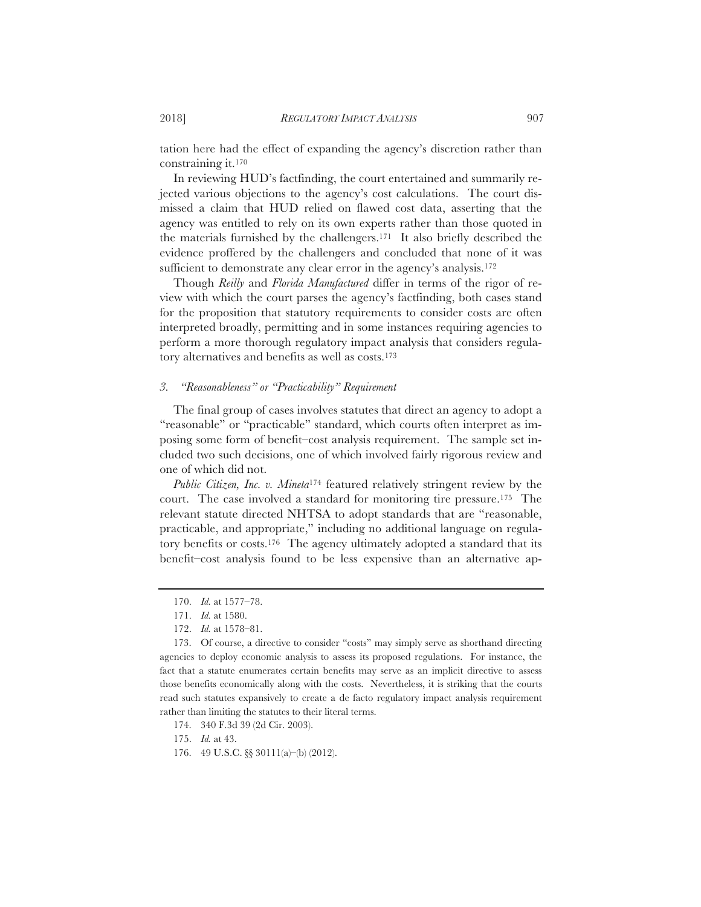tation here had the effect of expanding the agency's discretion rather than constraining it.170

In reviewing HUD's factfinding, the court entertained and summarily rejected various objections to the agency's cost calculations. The court dismissed a claim that HUD relied on flawed cost data, asserting that the agency was entitled to rely on its own experts rather than those quoted in the materials furnished by the challengers.171 It also briefly described the evidence proffered by the challengers and concluded that none of it was sufficient to demonstrate any clear error in the agency's analysis.<sup>172</sup>

Though *Reilly* and *Florida Manufactured* differ in terms of the rigor of review with which the court parses the agency's factfinding, both cases stand for the proposition that statutory requirements to consider costs are often interpreted broadly, permitting and in some instances requiring agencies to perform a more thorough regulatory impact analysis that considers regulatory alternatives and benefits as well as costs.173

### *3. "Reasonableness" or "Practicability" Requirement*

The final group of cases involves statutes that direct an agency to adopt a "reasonable" or "practicable" standard, which courts often interpret as imposing some form of benefit–cost analysis requirement. The sample set included two such decisions, one of which involved fairly rigorous review and one of which did not.

*Public Citizen, Inc. v. Mineta*174 featured relatively stringent review by the court. The case involved a standard for monitoring tire pressure.175 The relevant statute directed NHTSA to adopt standards that are "reasonable, practicable, and appropriate," including no additional language on regulatory benefits or costs.176 The agency ultimately adopted a standard that its benefit–cost analysis found to be less expensive than an alternative ap-

<sup>170.</sup> *Id.* at 1577–78.

<sup>171.</sup> *Id.* at 1580.

<sup>172.</sup> *Id.* at 1578–81.

<sup>173.</sup> Of course, a directive to consider "costs" may simply serve as shorthand directing agencies to deploy economic analysis to assess its proposed regulations. For instance, the fact that a statute enumerates certain benefits may serve as an implicit directive to assess those benefits economically along with the costs. Nevertheless, it is striking that the courts read such statutes expansively to create a de facto regulatory impact analysis requirement rather than limiting the statutes to their literal terms.

<sup>174. 340</sup> F.3d 39 (2d Cir. 2003).

<sup>175.</sup> *Id.* at 43.

<sup>176. 49</sup> U.S.C. §§ 30111(a)–(b) (2012).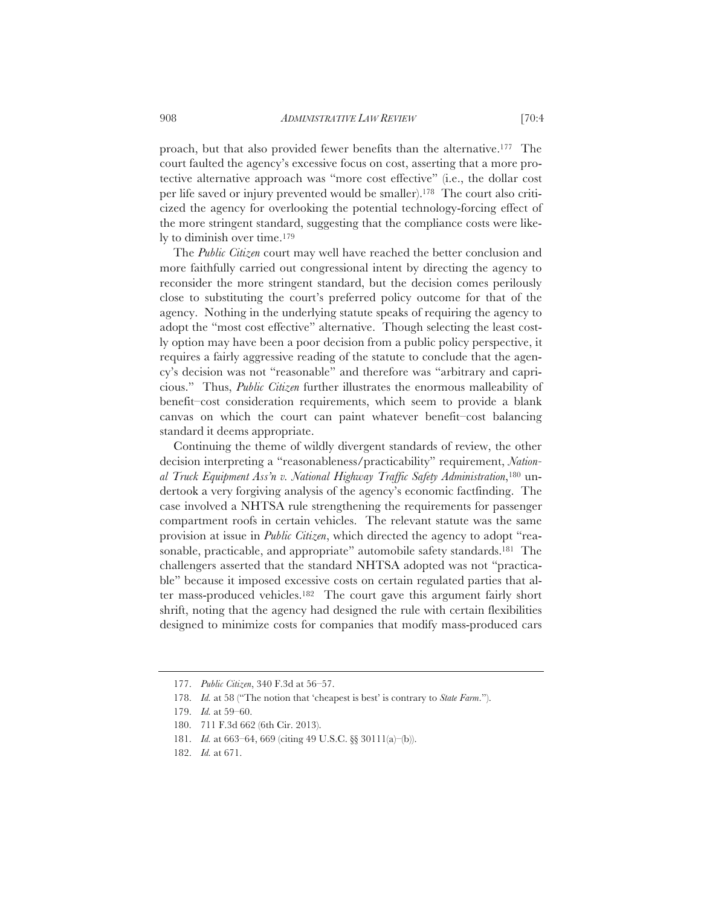proach, but that also provided fewer benefits than the alternative.177 The court faulted the agency's excessive focus on cost, asserting that a more protective alternative approach was "more cost effective" (i.e., the dollar cost per life saved or injury prevented would be smaller).178 The court also criticized the agency for overlooking the potential technology-forcing effect of the more stringent standard, suggesting that the compliance costs were likely to diminish over time.179

The *Public Citizen* court may well have reached the better conclusion and more faithfully carried out congressional intent by directing the agency to reconsider the more stringent standard, but the decision comes perilously close to substituting the court's preferred policy outcome for that of the agency. Nothing in the underlying statute speaks of requiring the agency to adopt the "most cost effective" alternative. Though selecting the least costly option may have been a poor decision from a public policy perspective, it requires a fairly aggressive reading of the statute to conclude that the agency's decision was not "reasonable" and therefore was "arbitrary and capricious." Thus, *Public Citizen* further illustrates the enormous malleability of benefit–cost consideration requirements, which seem to provide a blank canvas on which the court can paint whatever benefit–cost balancing standard it deems appropriate.

Continuing the theme of wildly divergent standards of review, the other decision interpreting a "reasonableness/practicability" requirement, *National Truck Equipment Ass'n v. National Highway Traffic Safety Administration*,180 undertook a very forgiving analysis of the agency's economic factfinding. The case involved a NHTSA rule strengthening the requirements for passenger compartment roofs in certain vehicles. The relevant statute was the same provision at issue in *Public Citizen*, which directed the agency to adopt "reasonable, practicable, and appropriate" automobile safety standards.<sup>181</sup> The challengers asserted that the standard NHTSA adopted was not "practicable" because it imposed excessive costs on certain regulated parties that alter mass-produced vehicles.182 The court gave this argument fairly short shrift, noting that the agency had designed the rule with certain flexibilities designed to minimize costs for companies that modify mass-produced cars

<sup>177.</sup> *Public Citizen*, 340 F.3d at 56–57.

<sup>178.</sup> *Id.* at 58 ("The notion that 'cheapest is best' is contrary to *State Farm*.").

<sup>179.</sup> *Id.* at 59–60.

<sup>180. 711</sup> F.3d 662 (6th Cir. 2013).

<sup>181.</sup> *Id.* at 663–64, 669 (citing 49 U.S.C. §§ 30111(a)–(b)).

<sup>182.</sup> *Id.* at 671.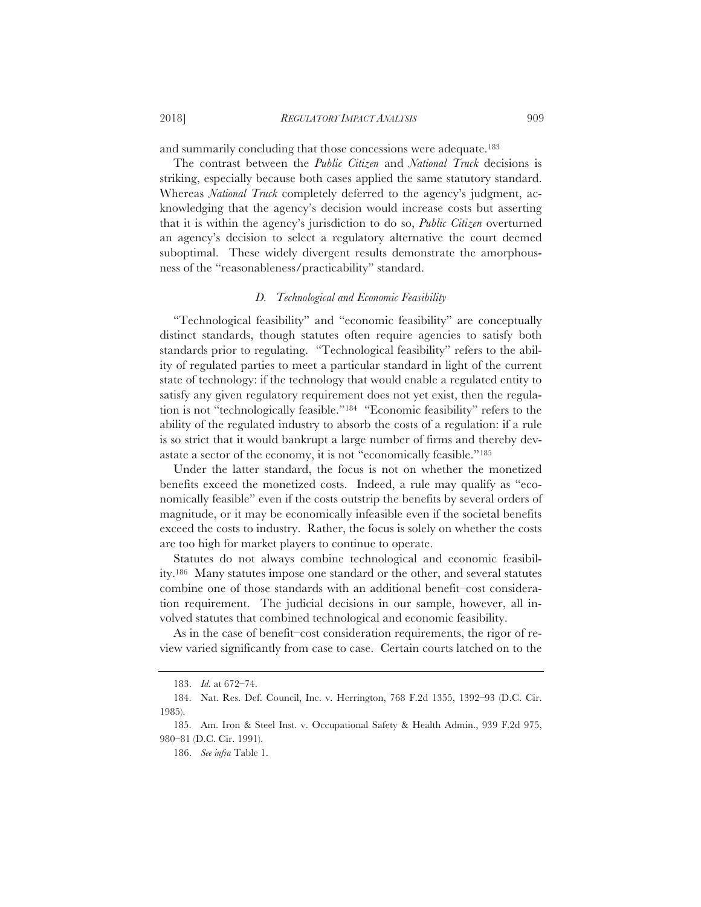and summarily concluding that those concessions were adequate.183

The contrast between the *Public Citizen* and *National Truck* decisions is striking, especially because both cases applied the same statutory standard. Whereas *National Truck* completely deferred to the agency's judgment, acknowledging that the agency's decision would increase costs but asserting that it is within the agency's jurisdiction to do so, *Public Citizen* overturned an agency's decision to select a regulatory alternative the court deemed suboptimal. These widely divergent results demonstrate the amorphousness of the "reasonableness/practicability" standard.

# *D. Technological and Economic Feasibility*

"Technological feasibility" and "economic feasibility" are conceptually distinct standards, though statutes often require agencies to satisfy both standards prior to regulating. "Technological feasibility" refers to the ability of regulated parties to meet a particular standard in light of the current state of technology: if the technology that would enable a regulated entity to satisfy any given regulatory requirement does not yet exist, then the regulation is not "technologically feasible."184 "Economic feasibility" refers to the ability of the regulated industry to absorb the costs of a regulation: if a rule is so strict that it would bankrupt a large number of firms and thereby devastate a sector of the economy, it is not "economically feasible."185

Under the latter standard, the focus is not on whether the monetized benefits exceed the monetized costs. Indeed, a rule may qualify as "economically feasible" even if the costs outstrip the benefits by several orders of magnitude, or it may be economically infeasible even if the societal benefits exceed the costs to industry. Rather, the focus is solely on whether the costs are too high for market players to continue to operate.

Statutes do not always combine technological and economic feasibility.186 Many statutes impose one standard or the other, and several statutes combine one of those standards with an additional benefit–cost consideration requirement. The judicial decisions in our sample, however, all involved statutes that combined technological and economic feasibility.

As in the case of benefit–cost consideration requirements, the rigor of review varied significantly from case to case. Certain courts latched on to the

<sup>183.</sup> *Id.* at 672–74.

<sup>184.</sup> Nat. Res. Def. Council, Inc. v. Herrington, 768 F.2d 1355, 1392–93 (D.C. Cir. 1985).

<sup>185.</sup> Am. Iron & Steel Inst. v. Occupational Safety & Health Admin., 939 F.2d 975, 980–81 (D.C. Cir. 1991).

<sup>186.</sup> *See infra* Table 1.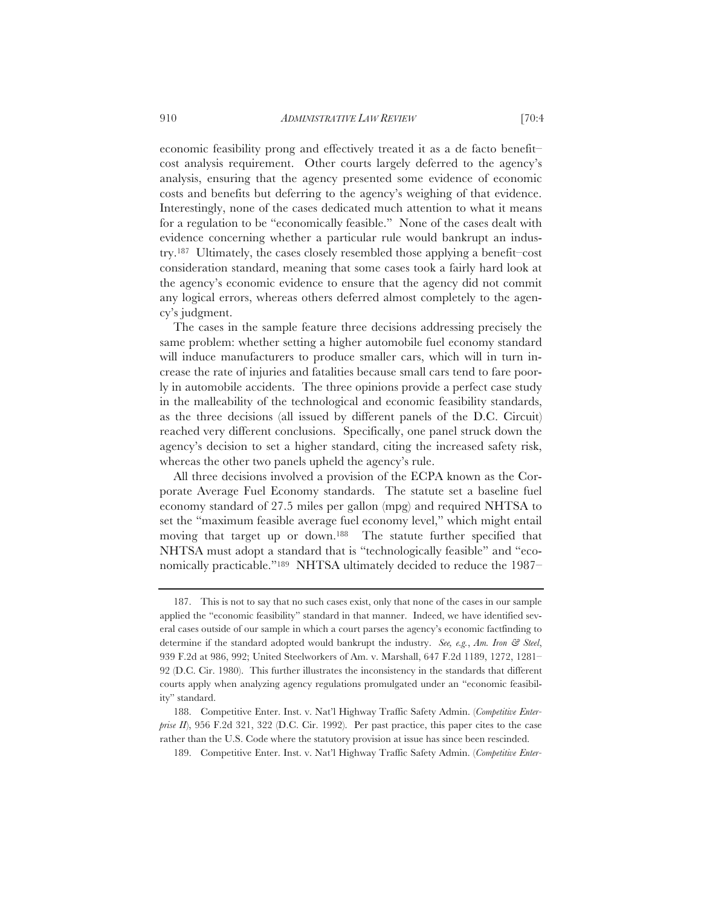economic feasibility prong and effectively treated it as a de facto benefit– cost analysis requirement. Other courts largely deferred to the agency's analysis, ensuring that the agency presented some evidence of economic costs and benefits but deferring to the agency's weighing of that evidence. Interestingly, none of the cases dedicated much attention to what it means for a regulation to be "economically feasible." None of the cases dealt with evidence concerning whether a particular rule would bankrupt an industry.187 Ultimately, the cases closely resembled those applying a benefit–cost consideration standard, meaning that some cases took a fairly hard look at the agency's economic evidence to ensure that the agency did not commit any logical errors, whereas others deferred almost completely to the agency's judgment.

The cases in the sample feature three decisions addressing precisely the same problem: whether setting a higher automobile fuel economy standard will induce manufacturers to produce smaller cars, which will in turn increase the rate of injuries and fatalities because small cars tend to fare poorly in automobile accidents. The three opinions provide a perfect case study in the malleability of the technological and economic feasibility standards, as the three decisions (all issued by different panels of the D.C. Circuit) reached very different conclusions. Specifically, one panel struck down the agency's decision to set a higher standard, citing the increased safety risk, whereas the other two panels upheld the agency's rule.

All three decisions involved a provision of the ECPA known as the Corporate Average Fuel Economy standards. The statute set a baseline fuel economy standard of 27.5 miles per gallon (mpg) and required NHTSA to set the "maximum feasible average fuel economy level," which might entail moving that target up or down.188 The statute further specified that NHTSA must adopt a standard that is "technologically feasible" and "economically practicable."189 NHTSA ultimately decided to reduce the 1987–

<sup>187.</sup> This is not to say that no such cases exist, only that none of the cases in our sample applied the "economic feasibility" standard in that manner. Indeed, we have identified several cases outside of our sample in which a court parses the agency's economic factfinding to determine if the standard adopted would bankrupt the industry. *See, e.g.*, *Am. Iron & Steel*, 939 F.2d at 986, 992; United Steelworkers of Am. v. Marshall, 647 F.2d 1189, 1272, 1281– 92 (D.C. Cir. 1980). This further illustrates the inconsistency in the standards that different courts apply when analyzing agency regulations promulgated under an "economic feasibility" standard.

<sup>188.</sup> Competitive Enter. Inst. v. Nat'l Highway Traffic Safety Admin. (*Competitive Enterprise II*), 956 F.2d 321, 322 (D.C. Cir. 1992). Per past practice, this paper cites to the case rather than the U.S. Code where the statutory provision at issue has since been rescinded.

<sup>189.</sup> Competitive Enter. Inst. v. Nat'l Highway Traffic Safety Admin. (*Competitive Enter-*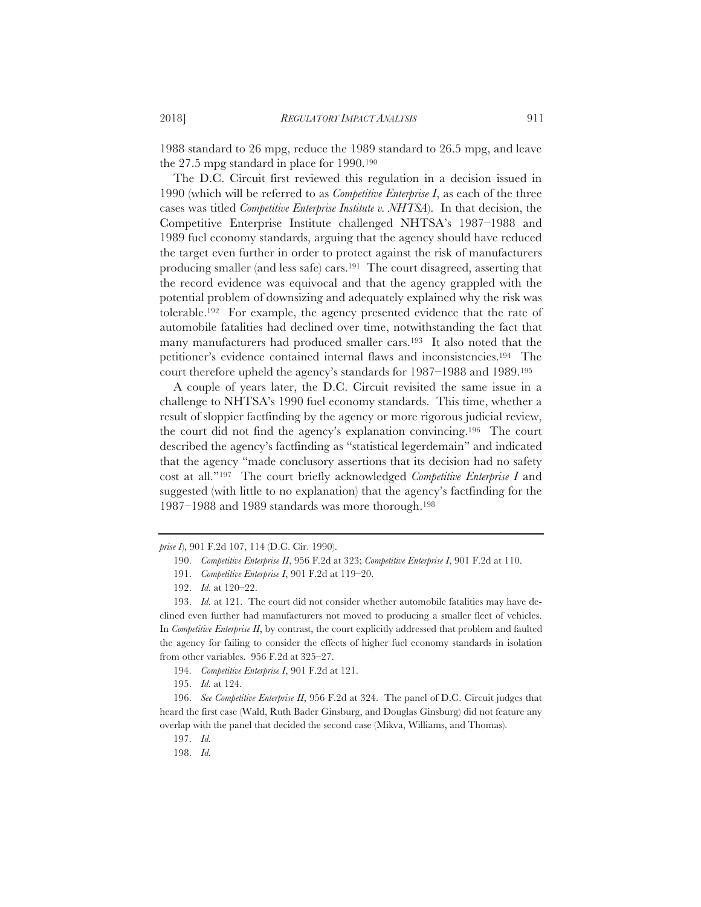1988 standard to 26 mpg, reduce the 1989 standard to 26.5 mpg, and leave the 27.5 mpg standard in place for 1990.190

The D.C. Circuit first reviewed this regulation in a decision issued in 1990 (which will be referred to as *Competitive Enterprise I*, as each of the three cases was titled *Competitive Enterprise Institute v. NHTSA*). In that decision, the Competitive Enterprise Institute challenged NHTSA's 1987–1988 and 1989 fuel economy standards, arguing that the agency should have reduced the target even further in order to protect against the risk of manufacturers producing smaller (and less safe) cars.191 The court disagreed, asserting that the record evidence was equivocal and that the agency grappled with the potential problem of downsizing and adequately explained why the risk was tolerable.192 For example, the agency presented evidence that the rate of automobile fatalities had declined over time, notwithstanding the fact that many manufacturers had produced smaller cars.193 It also noted that the petitioner's evidence contained internal flaws and inconsistencies.194 The court therefore upheld the agency's standards for 1987–1988 and 1989.195

A couple of years later, the D.C. Circuit revisited the same issue in a challenge to NHTSA's 1990 fuel economy standards. This time, whether a result of sloppier factfinding by the agency or more rigorous judicial review, the court did not find the agency's explanation convincing.196 The court described the agency's factfinding as "statistical legerdemain" and indicated that the agency "made conclusory assertions that its decision had no safety cost at all."197 The court briefly acknowledged *Competitive Enterprise I* and suggested (with little to no explanation) that the agency's factfinding for the 1987–1988 and 1989 standards was more thorough.198

*prise I*), 901 F.2d 107, 114 (D.C. Cir. 1990).

<sup>190.</sup> *Competitive Enterprise II*, 956 F.2d at 323; *Competitive Enterprise I*, 901 F.2d at 110.

<sup>191.</sup> *Competitive Enterprise I*, 901 F.2d at 119–20.

<sup>192.</sup> *Id.* at 120–22.

<sup>193.</sup> *Id.* at 121. The court did not consider whether automobile fatalities may have declined even further had manufacturers not moved to producing a smaller fleet of vehicles. In *Competitive Enterprise II*, by contrast, the court explicitly addressed that problem and faulted the agency for failing to consider the effects of higher fuel economy standards in isolation from other variables. 956 F.2d at 325–27.

<sup>194.</sup> *Competitive Enterprise I*, 901 F.2d at 121.

<sup>195.</sup> *Id.* at 124.

<sup>196.</sup> *See Competitive Enterprise II*, 956 F.2d at 324. The panel of D.C. Circuit judges that heard the first case (Wald, Ruth Bader Ginsburg, and Douglas Ginsburg) did not feature any overlap with the panel that decided the second case (Mikva, Williams, and Thomas).

<sup>197.</sup> *Id.*

<sup>198.</sup> *Id.*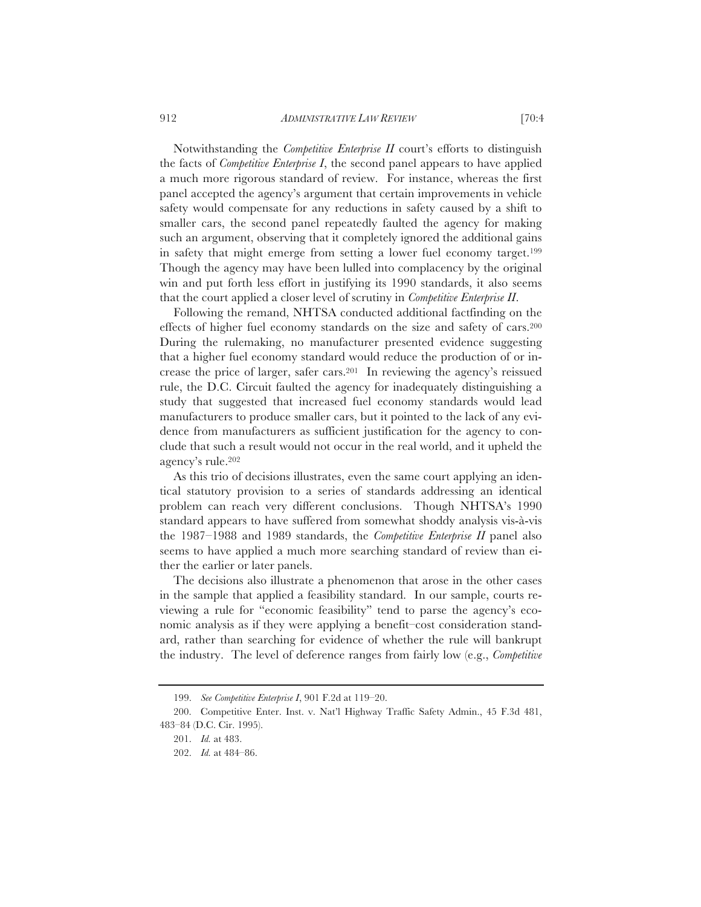Notwithstanding the *Competitive Enterprise II* court's efforts to distinguish the facts of *Competitive Enterprise I*, the second panel appears to have applied a much more rigorous standard of review. For instance, whereas the first panel accepted the agency's argument that certain improvements in vehicle safety would compensate for any reductions in safety caused by a shift to smaller cars, the second panel repeatedly faulted the agency for making such an argument, observing that it completely ignored the additional gains in safety that might emerge from setting a lower fuel economy target.199 Though the agency may have been lulled into complacency by the original win and put forth less effort in justifying its 1990 standards, it also seems that the court applied a closer level of scrutiny in *Competitive Enterprise II*.

Following the remand, NHTSA conducted additional factfinding on the effects of higher fuel economy standards on the size and safety of cars.200 During the rulemaking, no manufacturer presented evidence suggesting that a higher fuel economy standard would reduce the production of or increase the price of larger, safer cars.201 In reviewing the agency's reissued rule, the D.C. Circuit faulted the agency for inadequately distinguishing a study that suggested that increased fuel economy standards would lead manufacturers to produce smaller cars, but it pointed to the lack of any evidence from manufacturers as sufficient justification for the agency to conclude that such a result would not occur in the real world, and it upheld the agency's rule.202

As this trio of decisions illustrates, even the same court applying an identical statutory provision to a series of standards addressing an identical problem can reach very different conclusions. Though NHTSA's 1990 standard appears to have suffered from somewhat shoddy analysis vis-à-vis the 1987–1988 and 1989 standards, the *Competitive Enterprise II* panel also seems to have applied a much more searching standard of review than either the earlier or later panels.

The decisions also illustrate a phenomenon that arose in the other cases in the sample that applied a feasibility standard. In our sample, courts reviewing a rule for "economic feasibility" tend to parse the agency's economic analysis as if they were applying a benefit–cost consideration standard, rather than searching for evidence of whether the rule will bankrupt the industry. The level of deference ranges from fairly low (e.g., *Competitive* 

<sup>199.</sup> *See Competitive Enterprise I*, 901 F.2d at 119–20.

<sup>200.</sup> Competitive Enter. Inst. v. Nat'l Highway Traffic Safety Admin., 45 F.3d 481, 483–84 (D.C. Cir. 1995).

<sup>201.</sup> *Id.* at 483.

<sup>202.</sup> *Id.* at 484–86.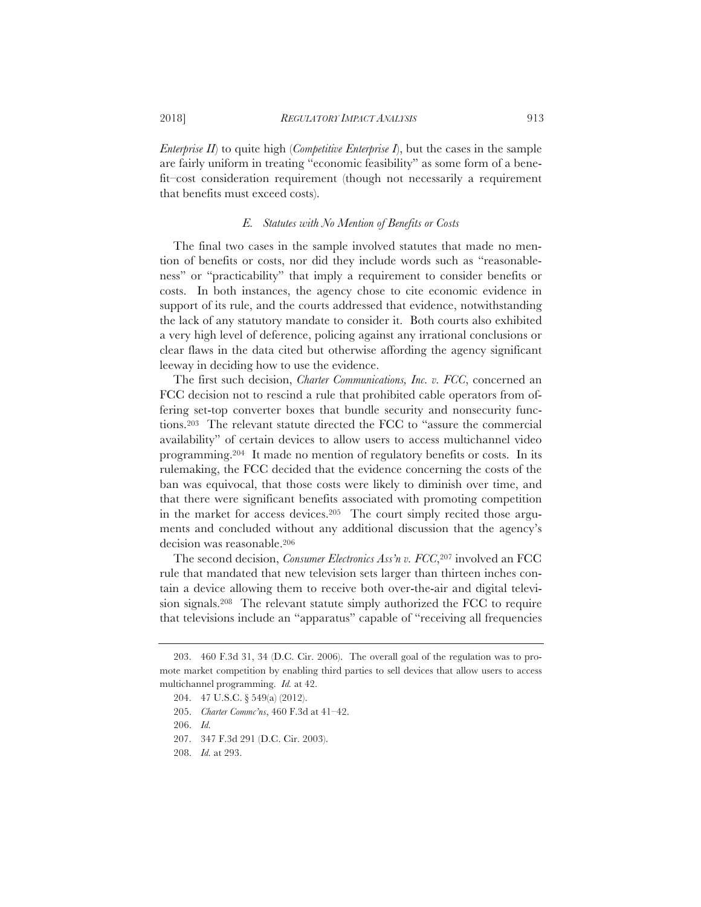*Enterprise II*) to quite high (*Competitive Enterprise I*), but the cases in the sample are fairly uniform in treating "economic feasibility" as some form of a benefit–cost consideration requirement (though not necessarily a requirement that benefits must exceed costs).

#### *E. Statutes with No Mention of Benefits or Costs*

The final two cases in the sample involved statutes that made no mention of benefits or costs, nor did they include words such as "reasonableness" or "practicability" that imply a requirement to consider benefits or costs. In both instances, the agency chose to cite economic evidence in support of its rule, and the courts addressed that evidence, notwithstanding the lack of any statutory mandate to consider it. Both courts also exhibited a very high level of deference, policing against any irrational conclusions or clear flaws in the data cited but otherwise affording the agency significant leeway in deciding how to use the evidence.

The first such decision, *Charter Communications, Inc. v. FCC*, concerned an FCC decision not to rescind a rule that prohibited cable operators from offering set-top converter boxes that bundle security and nonsecurity functions.203 The relevant statute directed the FCC to "assure the commercial availability" of certain devices to allow users to access multichannel video programming.204 It made no mention of regulatory benefits or costs. In its rulemaking, the FCC decided that the evidence concerning the costs of the ban was equivocal, that those costs were likely to diminish over time, and that there were significant benefits associated with promoting competition in the market for access devices.205 The court simply recited those arguments and concluded without any additional discussion that the agency's decision was reasonable.206

The second decision, *Consumer Electronics Ass'n v. FCC*,207 involved an FCC rule that mandated that new television sets larger than thirteen inches contain a device allowing them to receive both over-the-air and digital television signals.208 The relevant statute simply authorized the FCC to require that televisions include an "apparatus" capable of "receiving all frequencies

<sup>203. 460</sup> F.3d 31, 34 (D.C. Cir. 2006). The overall goal of the regulation was to promote market competition by enabling third parties to sell devices that allow users to access multichannel programming. *Id.* at 42.

<sup>204. 47</sup> U.S.C. § 549(a) (2012).

<sup>205.</sup> *Charter Commc'ns*, 460 F.3d at 41–42.

<sup>206.</sup> *Id.*

<sup>207. 347</sup> F.3d 291 (D.C. Cir. 2003).

<sup>208.</sup> *Id.* at 293.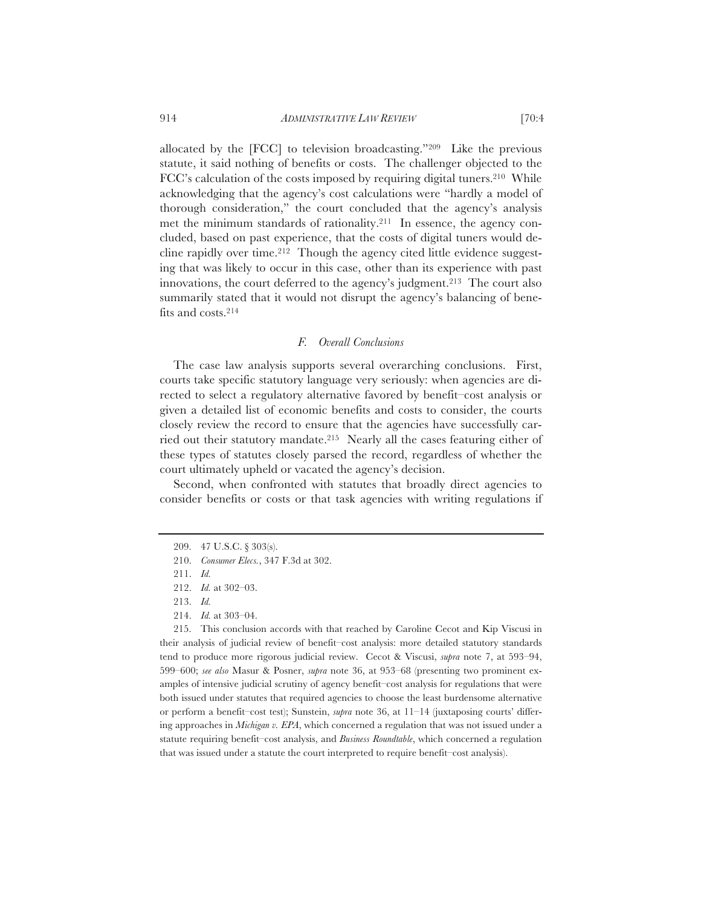allocated by the [FCC] to television broadcasting."209 Like the previous statute, it said nothing of benefits or costs. The challenger objected to the FCC's calculation of the costs imposed by requiring digital tuners.210 While acknowledging that the agency's cost calculations were "hardly a model of thorough consideration," the court concluded that the agency's analysis met the minimum standards of rationality.211 In essence, the agency concluded, based on past experience, that the costs of digital tuners would decline rapidly over time.212 Though the agency cited little evidence suggesting that was likely to occur in this case, other than its experience with past innovations, the court deferred to the agency's judgment.213 The court also summarily stated that it would not disrupt the agency's balancing of benefits and costs.214

# *F. Overall Conclusions*

The case law analysis supports several overarching conclusions. First, courts take specific statutory language very seriously: when agencies are directed to select a regulatory alternative favored by benefit–cost analysis or given a detailed list of economic benefits and costs to consider, the courts closely review the record to ensure that the agencies have successfully carried out their statutory mandate.215 Nearly all the cases featuring either of these types of statutes closely parsed the record, regardless of whether the court ultimately upheld or vacated the agency's decision.

Second, when confronted with statutes that broadly direct agencies to consider benefits or costs or that task agencies with writing regulations if

214. *Id.* at 303–04.

215. This conclusion accords with that reached by Caroline Cecot and Kip Viscusi in their analysis of judicial review of benefit–cost analysis: more detailed statutory standards tend to produce more rigorous judicial review. Cecot & Viscusi, *supra* note 7, at 593–94, 599–600; *see also* Masur & Posner, *supra* note 36, at 953–68 (presenting two prominent examples of intensive judicial scrutiny of agency benefit–cost analysis for regulations that were both issued under statutes that required agencies to choose the least burdensome alternative or perform a benefit–cost test); Sunstein, *supra* note 36, at 11–14 (juxtaposing courts' differing approaches in *Michigan v. EPA*, which concerned a regulation that was not issued under a statute requiring benefit–cost analysis, and *Business Roundtable*, which concerned a regulation that was issued under a statute the court interpreted to require benefit–cost analysis).

<sup>209. 47</sup> U.S.C. § 303(s).

<sup>210.</sup> *Consumer Elecs.*, 347 F.3d at 302.

<sup>211.</sup> *Id.*

<sup>212.</sup> *Id.* at 302–03.

<sup>213.</sup> *Id.*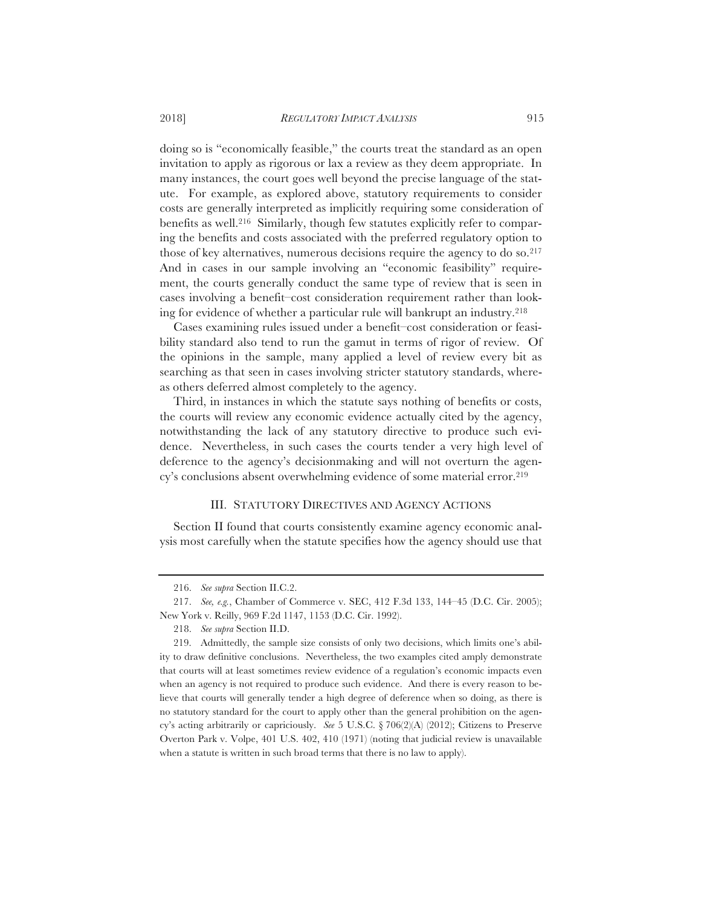doing so is "economically feasible," the courts treat the standard as an open invitation to apply as rigorous or lax a review as they deem appropriate. In many instances, the court goes well beyond the precise language of the statute. For example, as explored above, statutory requirements to consider costs are generally interpreted as implicitly requiring some consideration of benefits as well.216 Similarly, though few statutes explicitly refer to comparing the benefits and costs associated with the preferred regulatory option to those of key alternatives, numerous decisions require the agency to do so.217 And in cases in our sample involving an "economic feasibility" requirement, the courts generally conduct the same type of review that is seen in cases involving a benefit–cost consideration requirement rather than looking for evidence of whether a particular rule will bankrupt an industry.218

Cases examining rules issued under a benefit–cost consideration or feasibility standard also tend to run the gamut in terms of rigor of review. Of the opinions in the sample, many applied a level of review every bit as searching as that seen in cases involving stricter statutory standards, whereas others deferred almost completely to the agency.

Third, in instances in which the statute says nothing of benefits or costs, the courts will review any economic evidence actually cited by the agency, notwithstanding the lack of any statutory directive to produce such evidence. Nevertheless, in such cases the courts tender a very high level of deference to the agency's decisionmaking and will not overturn the agency's conclusions absent overwhelming evidence of some material error.219

# III. STATUTORY DIRECTIVES AND AGENCY ACTIONS

Section II found that courts consistently examine agency economic analysis most carefully when the statute specifies how the agency should use that

<sup>216.</sup> *See supra* Section II.C.2.

<sup>217.</sup> *See, e.g.*, Chamber of Commerce v. SEC, 412 F.3d 133, 144–45 (D.C. Cir. 2005); New York v. Reilly, 969 F.2d 1147, 1153 (D.C. Cir. 1992).

<sup>218.</sup> *See supra* Section II.D.

<sup>219.</sup> Admittedly, the sample size consists of only two decisions, which limits one's ability to draw definitive conclusions. Nevertheless, the two examples cited amply demonstrate that courts will at least sometimes review evidence of a regulation's economic impacts even when an agency is not required to produce such evidence. And there is every reason to believe that courts will generally tender a high degree of deference when so doing, as there is no statutory standard for the court to apply other than the general prohibition on the agency's acting arbitrarily or capriciously. *See* 5 U.S.C. § 706(2)(A) (2012); Citizens to Preserve Overton Park v. Volpe, 401 U.S. 402, 410 (1971) (noting that judicial review is unavailable when a statute is written in such broad terms that there is no law to apply).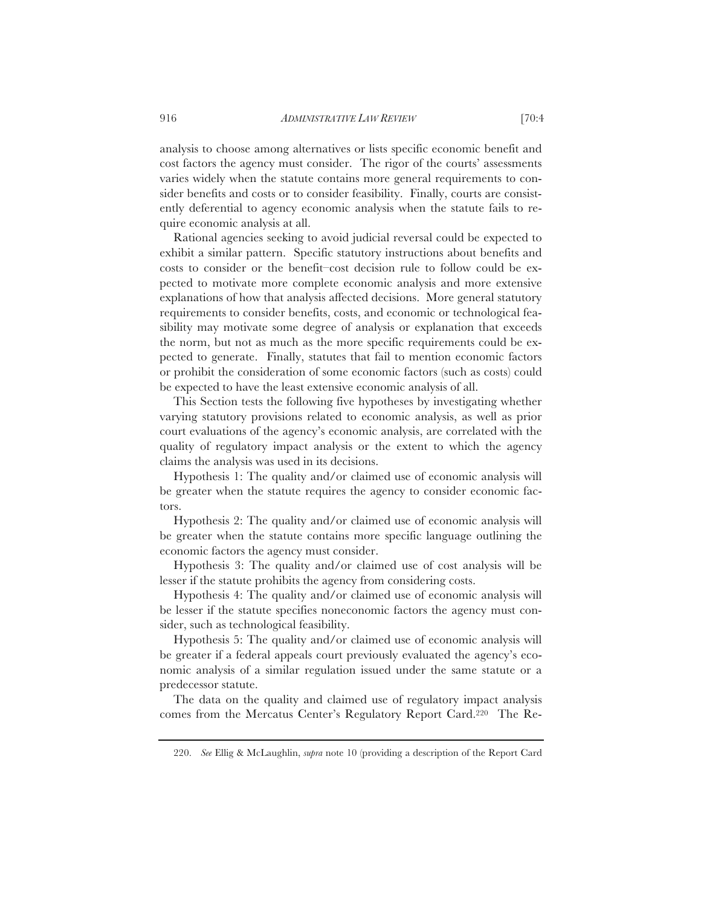analysis to choose among alternatives or lists specific economic benefit and cost factors the agency must consider. The rigor of the courts' assessments varies widely when the statute contains more general requirements to consider benefits and costs or to consider feasibility. Finally, courts are consistently deferential to agency economic analysis when the statute fails to require economic analysis at all.

Rational agencies seeking to avoid judicial reversal could be expected to exhibit a similar pattern. Specific statutory instructions about benefits and costs to consider or the benefit–cost decision rule to follow could be expected to motivate more complete economic analysis and more extensive explanations of how that analysis affected decisions. More general statutory requirements to consider benefits, costs, and economic or technological feasibility may motivate some degree of analysis or explanation that exceeds the norm, but not as much as the more specific requirements could be expected to generate. Finally, statutes that fail to mention economic factors or prohibit the consideration of some economic factors (such as costs) could be expected to have the least extensive economic analysis of all.

This Section tests the following five hypotheses by investigating whether varying statutory provisions related to economic analysis, as well as prior court evaluations of the agency's economic analysis, are correlated with the quality of regulatory impact analysis or the extent to which the agency claims the analysis was used in its decisions.

Hypothesis 1: The quality and/or claimed use of economic analysis will be greater when the statute requires the agency to consider economic factors.

Hypothesis 2: The quality and/or claimed use of economic analysis will be greater when the statute contains more specific language outlining the economic factors the agency must consider.

Hypothesis 3: The quality and/or claimed use of cost analysis will be lesser if the statute prohibits the agency from considering costs.

Hypothesis 4: The quality and/or claimed use of economic analysis will be lesser if the statute specifies noneconomic factors the agency must consider, such as technological feasibility.

Hypothesis 5: The quality and/or claimed use of economic analysis will be greater if a federal appeals court previously evaluated the agency's economic analysis of a similar regulation issued under the same statute or a predecessor statute.

The data on the quality and claimed use of regulatory impact analysis comes from the Mercatus Center's Regulatory Report Card.220 The Re-

<sup>220.</sup> *See* Ellig & McLaughlin, *supra* note 10 (providing a description of the Report Card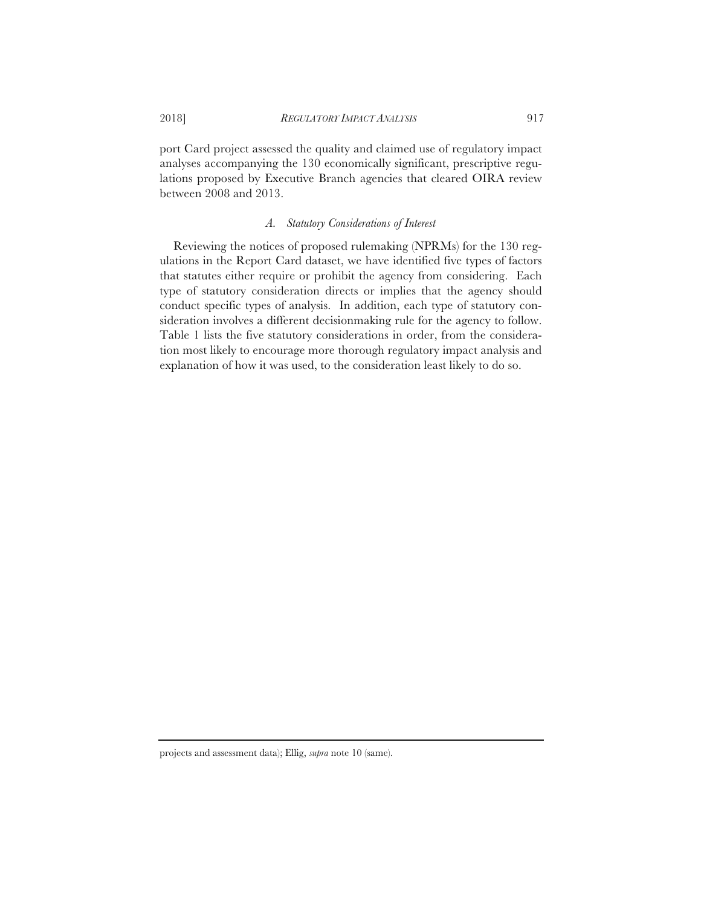port Card project assessed the quality and claimed use of regulatory impact analyses accompanying the 130 economically significant, prescriptive regulations proposed by Executive Branch agencies that cleared OIRA review between 2008 and 2013.

# *A. Statutory Considerations of Interest*

Reviewing the notices of proposed rulemaking (NPRMs) for the 130 regulations in the Report Card dataset, we have identified five types of factors that statutes either require or prohibit the agency from considering. Each type of statutory consideration directs or implies that the agency should conduct specific types of analysis. In addition, each type of statutory consideration involves a different decisionmaking rule for the agency to follow. Table 1 lists the five statutory considerations in order, from the consideration most likely to encourage more thorough regulatory impact analysis and explanation of how it was used, to the consideration least likely to do so.

projects and assessment data); Ellig, *supra* note 10 (same).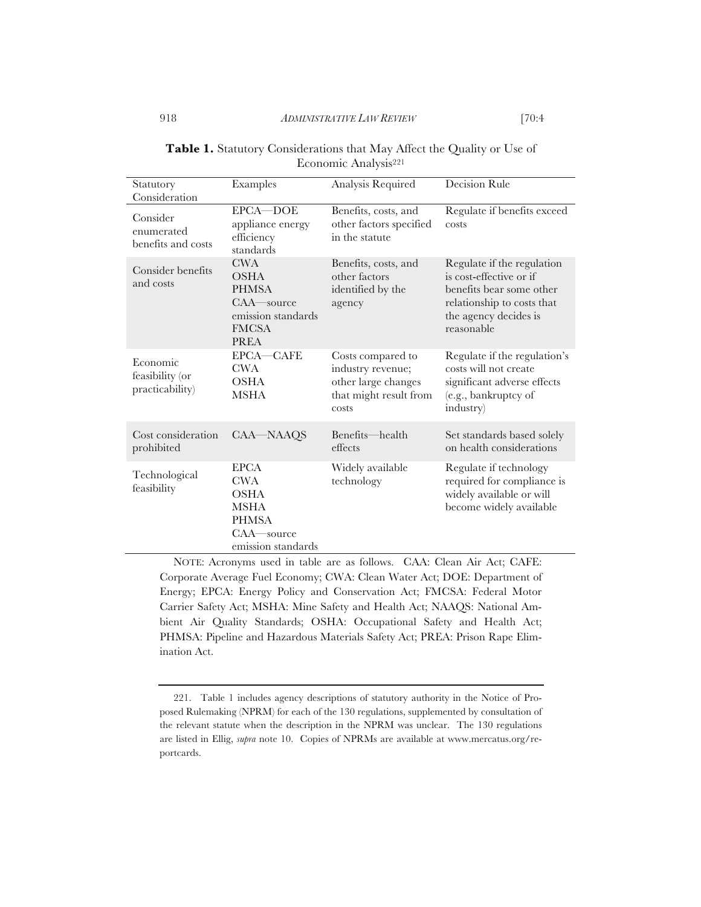| Statutory                                      | Examples                                                                                              | Analysis Required                                                                                | Decision Rule                                                                                                                                          |
|------------------------------------------------|-------------------------------------------------------------------------------------------------------|--------------------------------------------------------------------------------------------------|--------------------------------------------------------------------------------------------------------------------------------------------------------|
| Consideration                                  |                                                                                                       |                                                                                                  |                                                                                                                                                        |
| Consider<br>enumerated<br>benefits and costs   | EPCA-DOE<br>appliance energy<br>efficiency<br>standards                                               | Benefits, costs, and<br>other factors specified<br>in the statute                                | Regulate if benefits exceed<br>costs                                                                                                                   |
| Consider benefits<br>and costs                 | <b>CWA</b><br>OSHA<br><b>PHMSA</b><br>CAA-source<br>emission standards<br><b>FMCSA</b><br><b>PREA</b> | Benefits, costs, and<br>other factors<br>identified by the<br>agency                             | Regulate if the regulation<br>is cost-effective or if<br>benefits bear some other<br>relationship to costs that<br>the agency decides is<br>reasonable |
| Economic<br>feasibility (or<br>practicability) | EPCA-CAFE<br><b>CWA</b><br><b>OSHA</b><br>MSHA                                                        | Costs compared to<br>industry revenue;<br>other large changes<br>that might result from<br>costs | Regulate if the regulation's<br>costs will not create<br>significant adverse effects<br>(e.g., bankruptcy of<br>industry)                              |
| Cost consideration<br>prohibited               | CAA-NAAQS                                                                                             | Benefits—health<br>effects                                                                       | Set standards based solely<br>on health considerations                                                                                                 |
| Technological<br>feasibility                   | <b>EPCA</b><br>CWA<br><b>OSHA</b><br>MSHA<br><b>PHMSA</b><br>$CAA$ —source<br>emission standards      | Widely available<br>technology                                                                   | Regulate if technology<br>required for compliance is<br>widely available or will<br>become widely available                                            |

|  | <b>Table 1.</b> Statutory Considerations that May Affect the Quality or Use of |  |  |  |  |
|--|--------------------------------------------------------------------------------|--|--|--|--|
|  | Economic Analysis <sup>221</sup>                                               |  |  |  |  |

NOTE: Acronyms used in table are as follows. CAA: Clean Air Act; CAFE: Corporate Average Fuel Economy; CWA: Clean Water Act; DOE: Department of Energy; EPCA: Energy Policy and Conservation Act; FMCSA: Federal Motor Carrier Safety Act; MSHA: Mine Safety and Health Act; NAAQS: National Ambient Air Quality Standards; OSHA: Occupational Safety and Health Act; PHMSA: Pipeline and Hazardous Materials Safety Act; PREA: Prison Rape Elimination Act.

<sup>221.</sup> Table 1 includes agency descriptions of statutory authority in the Notice of Proposed Rulemaking (NPRM) for each of the 130 regulations, supplemented by consultation of the relevant statute when the description in the NPRM was unclear. The 130 regulations are listed in Ellig, *supra* note 10. Copies of NPRMs are available at www.mercatus.org/reportcards.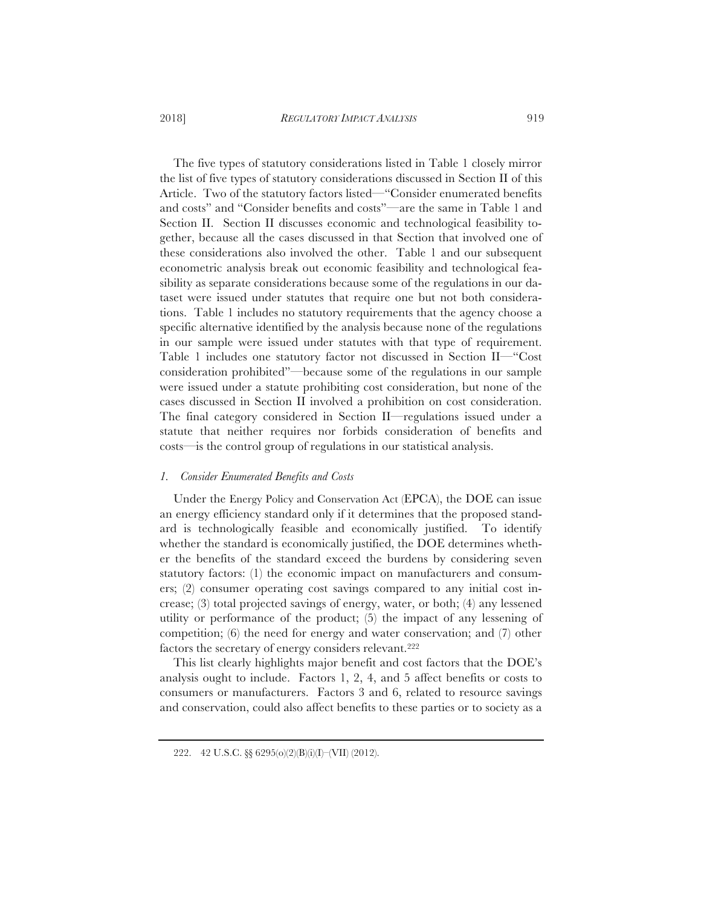The five types of statutory considerations listed in Table 1 closely mirror the list of five types of statutory considerations discussed in Section II of this Article. Two of the statutory factors listed—"Consider enumerated benefits and costs" and "Consider benefits and costs"—are the same in Table 1 and Section II. Section II discusses economic and technological feasibility together, because all the cases discussed in that Section that involved one of these considerations also involved the other. Table 1 and our subsequent econometric analysis break out economic feasibility and technological feasibility as separate considerations because some of the regulations in our dataset were issued under statutes that require one but not both considerations. Table 1 includes no statutory requirements that the agency choose a specific alternative identified by the analysis because none of the regulations in our sample were issued under statutes with that type of requirement. Table 1 includes one statutory factor not discussed in Section II—"Cost consideration prohibited"—because some of the regulations in our sample were issued under a statute prohibiting cost consideration, but none of the cases discussed in Section II involved a prohibition on cost consideration. The final category considered in Section II—regulations issued under a statute that neither requires nor forbids consideration of benefits and costs—is the control group of regulations in our statistical analysis.

#### *1. Consider Enumerated Benefits and Costs*

Under the Energy Policy and Conservation Act (EPCA), the DOE can issue an energy efficiency standard only if it determines that the proposed standard is technologically feasible and economically justified. To identify whether the standard is economically justified, the DOE determines whether the benefits of the standard exceed the burdens by considering seven statutory factors: (1) the economic impact on manufacturers and consumers; (2) consumer operating cost savings compared to any initial cost increase; (3) total projected savings of energy, water, or both; (4) any lessened utility or performance of the product; (5) the impact of any lessening of competition; (6) the need for energy and water conservation; and (7) other factors the secretary of energy considers relevant.222

This list clearly highlights major benefit and cost factors that the DOE's analysis ought to include. Factors 1, 2, 4, and 5 affect benefits or costs to consumers or manufacturers. Factors 3 and 6, related to resource savings and conservation, could also affect benefits to these parties or to society as a

<sup>222. 42</sup> U.S.C. §§ 6295(o)(2)(B)(i)(I)–(VII) (2012).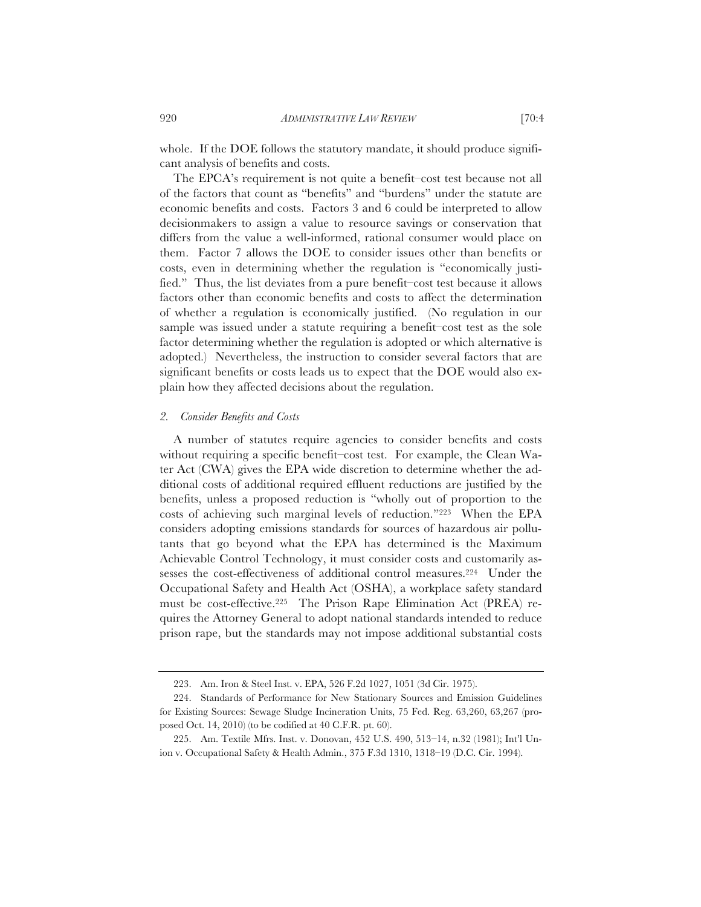whole. If the DOE follows the statutory mandate, it should produce significant analysis of benefits and costs.

The EPCA's requirement is not quite a benefit–cost test because not all of the factors that count as "benefits" and "burdens" under the statute are economic benefits and costs. Factors 3 and 6 could be interpreted to allow decisionmakers to assign a value to resource savings or conservation that differs from the value a well-informed, rational consumer would place on them. Factor 7 allows the DOE to consider issues other than benefits or costs, even in determining whether the regulation is "economically justified." Thus, the list deviates from a pure benefit–cost test because it allows factors other than economic benefits and costs to affect the determination of whether a regulation is economically justified. (No regulation in our sample was issued under a statute requiring a benefit–cost test as the sole factor determining whether the regulation is adopted or which alternative is adopted.) Nevertheless, the instruction to consider several factors that are significant benefits or costs leads us to expect that the DOE would also explain how they affected decisions about the regulation.

#### *2. Consider Benefits and Costs*

A number of statutes require agencies to consider benefits and costs without requiring a specific benefit–cost test. For example, the Clean Water Act (CWA) gives the EPA wide discretion to determine whether the additional costs of additional required effluent reductions are justified by the benefits, unless a proposed reduction is "wholly out of proportion to the costs of achieving such marginal levels of reduction."223 When the EPA considers adopting emissions standards for sources of hazardous air pollutants that go beyond what the EPA has determined is the Maximum Achievable Control Technology, it must consider costs and customarily assesses the cost-effectiveness of additional control measures.224 Under the Occupational Safety and Health Act (OSHA), a workplace safety standard must be cost-effective.225 The Prison Rape Elimination Act (PREA) requires the Attorney General to adopt national standards intended to reduce prison rape, but the standards may not impose additional substantial costs

<sup>223.</sup> Am. Iron & Steel Inst. v. EPA, 526 F.2d 1027, 1051 (3d Cir. 1975).

<sup>224.</sup> Standards of Performance for New Stationary Sources and Emission Guidelines for Existing Sources: Sewage Sludge Incineration Units, 75 Fed. Reg. 63,260, 63,267 (proposed Oct. 14, 2010) (to be codified at 40 C.F.R. pt. 60).

<sup>225.</sup> Am. Textile Mfrs. Inst. v. Donovan, 452 U.S. 490, 513–14, n.32 (1981); Int'l Union v. Occupational Safety & Health Admin., 375 F.3d 1310, 1318–19 (D.C. Cir. 1994).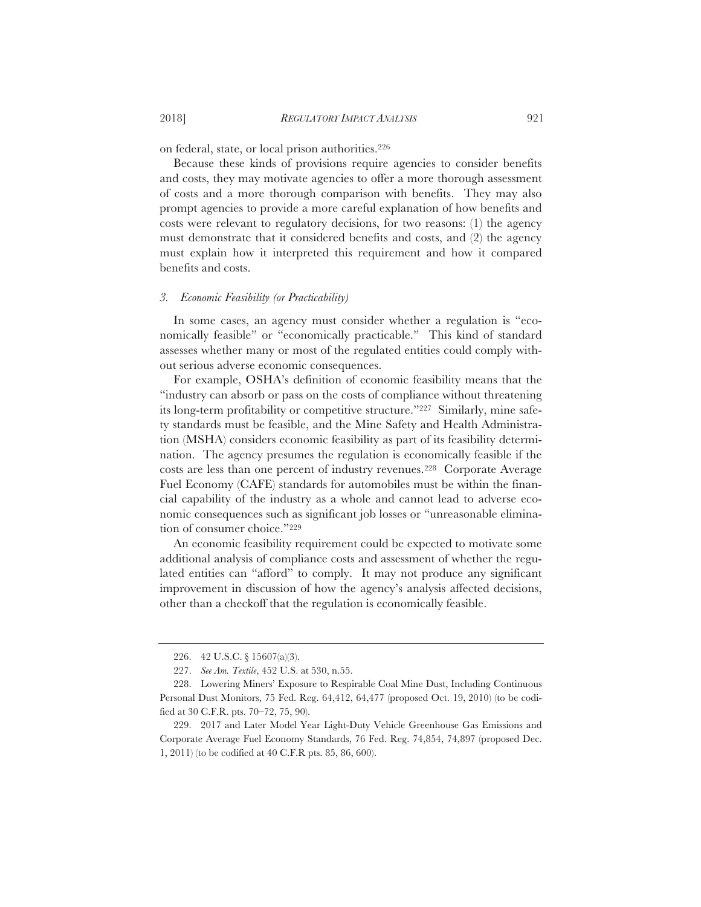on federal, state, or local prison authorities.226

Because these kinds of provisions require agencies to consider benefits and costs, they may motivate agencies to offer a more thorough assessment of costs and a more thorough comparison with benefits. They may also prompt agencies to provide a more careful explanation of how benefits and costs were relevant to regulatory decisions, for two reasons: (1) the agency must demonstrate that it considered benefits and costs, and (2) the agency must explain how it interpreted this requirement and how it compared benefits and costs.

# *3. Economic Feasibility (or Practicability)*

In some cases, an agency must consider whether a regulation is "economically feasible" or "economically practicable." This kind of standard assesses whether many or most of the regulated entities could comply without serious adverse economic consequences.

For example, OSHA's definition of economic feasibility means that the "industry can absorb or pass on the costs of compliance without threatening its long-term profitability or competitive structure."227 Similarly, mine safety standards must be feasible, and the Mine Safety and Health Administration (MSHA) considers economic feasibility as part of its feasibility determination. The agency presumes the regulation is economically feasible if the costs are less than one percent of industry revenues.228 Corporate Average Fuel Economy (CAFE) standards for automobiles must be within the financial capability of the industry as a whole and cannot lead to adverse economic consequences such as significant job losses or "unreasonable elimination of consumer choice."229

An economic feasibility requirement could be expected to motivate some additional analysis of compliance costs and assessment of whether the regulated entities can "afford" to comply. It may not produce any significant improvement in discussion of how the agency's analysis affected decisions, other than a checkoff that the regulation is economically feasible.

<sup>226. 42</sup> U.S.C. § 15607(a)(3).

<sup>227.</sup> *See Am. Textile*, 452 U.S. at 530, n.55.

<sup>228.</sup> Lowering Miners' Exposure to Respirable Coal Mine Dust, Including Continuous Personal Dust Monitors, 75 Fed. Reg. 64,412, 64,477 (proposed Oct. 19, 2010) (to be codified at 30 C.F.R. pts. 70–72, 75, 90).

<sup>229. 2017</sup> and Later Model Year Light-Duty Vehicle Greenhouse Gas Emissions and Corporate Average Fuel Economy Standards, 76 Fed. Reg. 74,854, 74,897 (proposed Dec. 1, 2011) (to be codified at 40 C.F.R pts. 85, 86, 600).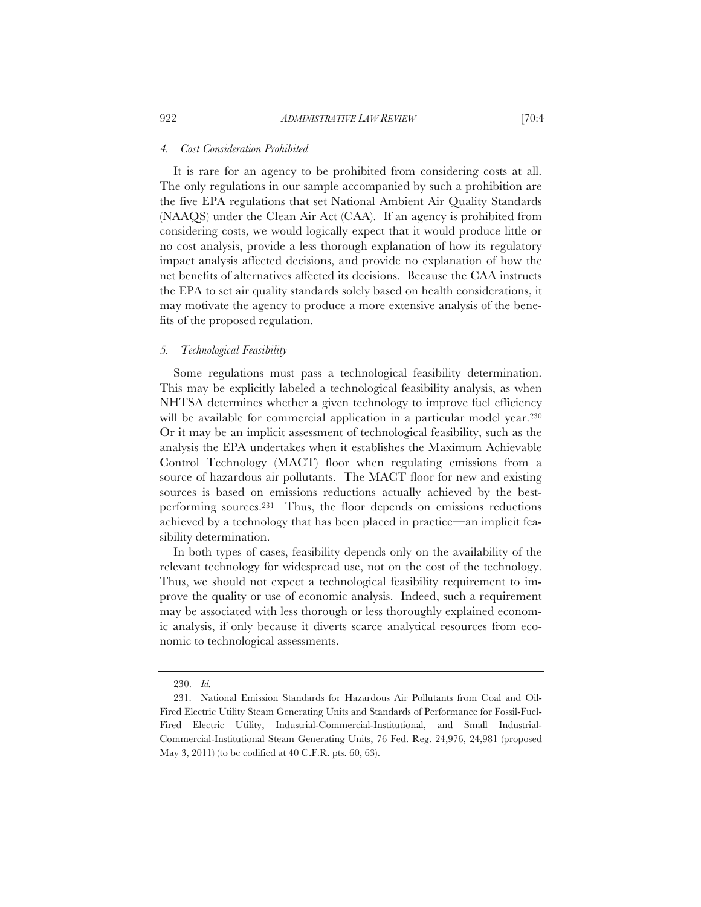#### *4. Cost Consideration Prohibited*

It is rare for an agency to be prohibited from considering costs at all. The only regulations in our sample accompanied by such a prohibition are the five EPA regulations that set National Ambient Air Quality Standards (NAAQS) under the Clean Air Act (CAA). If an agency is prohibited from considering costs, we would logically expect that it would produce little or no cost analysis, provide a less thorough explanation of how its regulatory impact analysis affected decisions, and provide no explanation of how the net benefits of alternatives affected its decisions. Because the CAA instructs the EPA to set air quality standards solely based on health considerations, it may motivate the agency to produce a more extensive analysis of the benefits of the proposed regulation.

# *5. Technological Feasibility*

Some regulations must pass a technological feasibility determination. This may be explicitly labeled a technological feasibility analysis, as when NHTSA determines whether a given technology to improve fuel efficiency will be available for commercial application in a particular model year.<sup>230</sup> Or it may be an implicit assessment of technological feasibility, such as the analysis the EPA undertakes when it establishes the Maximum Achievable Control Technology (MACT) floor when regulating emissions from a source of hazardous air pollutants. The MACT floor for new and existing sources is based on emissions reductions actually achieved by the bestperforming sources.231 Thus, the floor depends on emissions reductions achieved by a technology that has been placed in practice—an implicit feasibility determination.

In both types of cases, feasibility depends only on the availability of the relevant technology for widespread use, not on the cost of the technology. Thus, we should not expect a technological feasibility requirement to improve the quality or use of economic analysis. Indeed, such a requirement may be associated with less thorough or less thoroughly explained economic analysis, if only because it diverts scarce analytical resources from economic to technological assessments.

<sup>230.</sup> *Id.*

<sup>231.</sup> National Emission Standards for Hazardous Air Pollutants from Coal and Oil-Fired Electric Utility Steam Generating Units and Standards of Performance for Fossil-Fuel-Fired Electric Utility, Industrial-Commercial-Institutional, and Small Industrial-Commercial-Institutional Steam Generating Units, 76 Fed. Reg. 24,976, 24,981 (proposed May 3, 2011) (to be codified at 40 C.F.R. pts. 60, 63).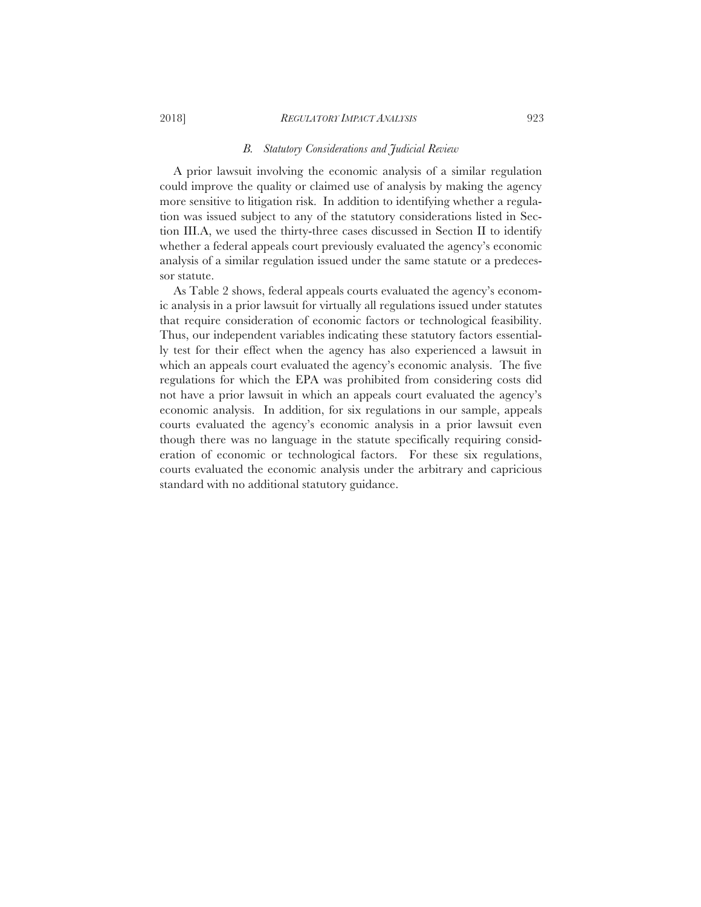#### 2018] *REGULATORY IMPACT ANALYSIS* 923

#### *B. Statutory Considerations and Judicial Review*

A prior lawsuit involving the economic analysis of a similar regulation could improve the quality or claimed use of analysis by making the agency more sensitive to litigation risk. In addition to identifying whether a regulation was issued subject to any of the statutory considerations listed in Section III.A, we used the thirty-three cases discussed in Section II to identify whether a federal appeals court previously evaluated the agency's economic analysis of a similar regulation issued under the same statute or a predecessor statute.

As Table 2 shows, federal appeals courts evaluated the agency's economic analysis in a prior lawsuit for virtually all regulations issued under statutes that require consideration of economic factors or technological feasibility. Thus, our independent variables indicating these statutory factors essentially test for their effect when the agency has also experienced a lawsuit in which an appeals court evaluated the agency's economic analysis. The five regulations for which the EPA was prohibited from considering costs did not have a prior lawsuit in which an appeals court evaluated the agency's economic analysis. In addition, for six regulations in our sample, appeals courts evaluated the agency's economic analysis in a prior lawsuit even though there was no language in the statute specifically requiring consideration of economic or technological factors. For these six regulations, courts evaluated the economic analysis under the arbitrary and capricious standard with no additional statutory guidance.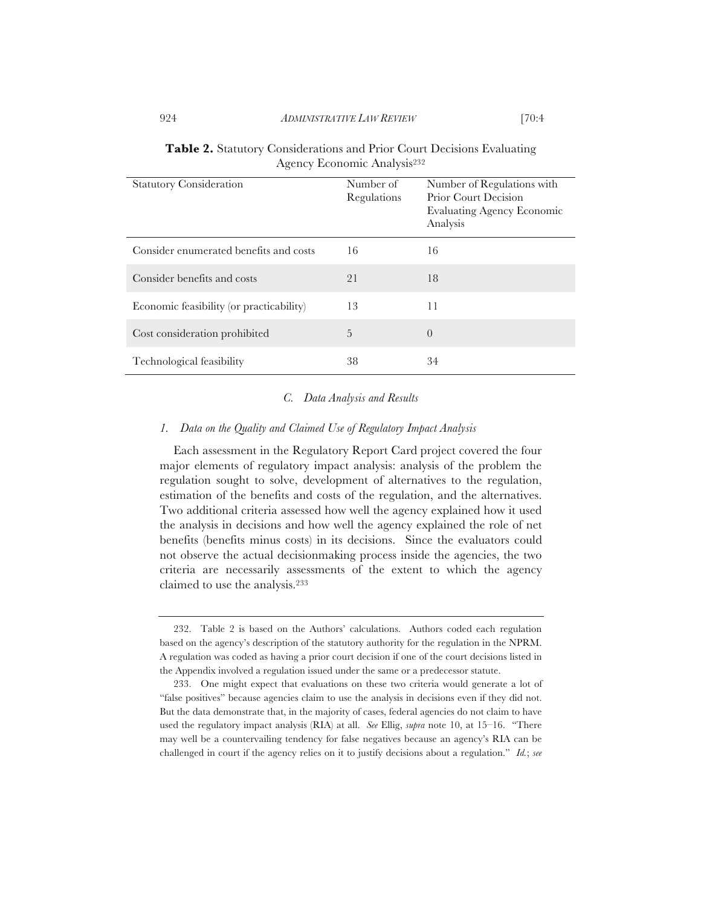|  |                                         | <b>Table 2.</b> Statutory Considerations and Prior Court Decisions Evaluating |
|--|-----------------------------------------|-------------------------------------------------------------------------------|
|  | Agency Economic Analysis <sup>232</sup> |                                                                               |

| <b>Statutory Consideration</b>           | Number of<br>Regulations | Number of Regulations with<br>Prior Court Decision<br><b>Evaluating Agency Economic</b><br>Analysis |
|------------------------------------------|--------------------------|-----------------------------------------------------------------------------------------------------|
| Consider enumerated benefits and costs   | 16                       | 16                                                                                                  |
| Consider benefits and costs              | 21                       | 18                                                                                                  |
| Economic feasibility (or practicability) | 13                       | 11                                                                                                  |
| Cost consideration prohibited            | 5                        | $\overline{0}$                                                                                      |
| Technological feasibility                | 38                       | 34                                                                                                  |

#### *C. Data Analysis and Results*

# *1. Data on the Quality and Claimed Use of Regulatory Impact Analysis*

Each assessment in the Regulatory Report Card project covered the four major elements of regulatory impact analysis: analysis of the problem the regulation sought to solve, development of alternatives to the regulation, estimation of the benefits and costs of the regulation, and the alternatives. Two additional criteria assessed how well the agency explained how it used the analysis in decisions and how well the agency explained the role of net benefits (benefits minus costs) in its decisions. Since the evaluators could not observe the actual decisionmaking process inside the agencies, the two criteria are necessarily assessments of the extent to which the agency claimed to use the analysis.233

<sup>232.</sup> Table 2 is based on the Authors' calculations. Authors coded each regulation based on the agency's description of the statutory authority for the regulation in the NPRM. A regulation was coded as having a prior court decision if one of the court decisions listed in the Appendix involved a regulation issued under the same or a predecessor statute.

<sup>233.</sup> One might expect that evaluations on these two criteria would generate a lot of "false positives" because agencies claim to use the analysis in decisions even if they did not. But the data demonstrate that, in the majority of cases, federal agencies do not claim to have used the regulatory impact analysis (RIA) at all. *See* Ellig, *supra* note 10, at 15–16. "There may well be a countervailing tendency for false negatives because an agency's RIA can be challenged in court if the agency relies on it to justify decisions about a regulation." *Id.*; *see*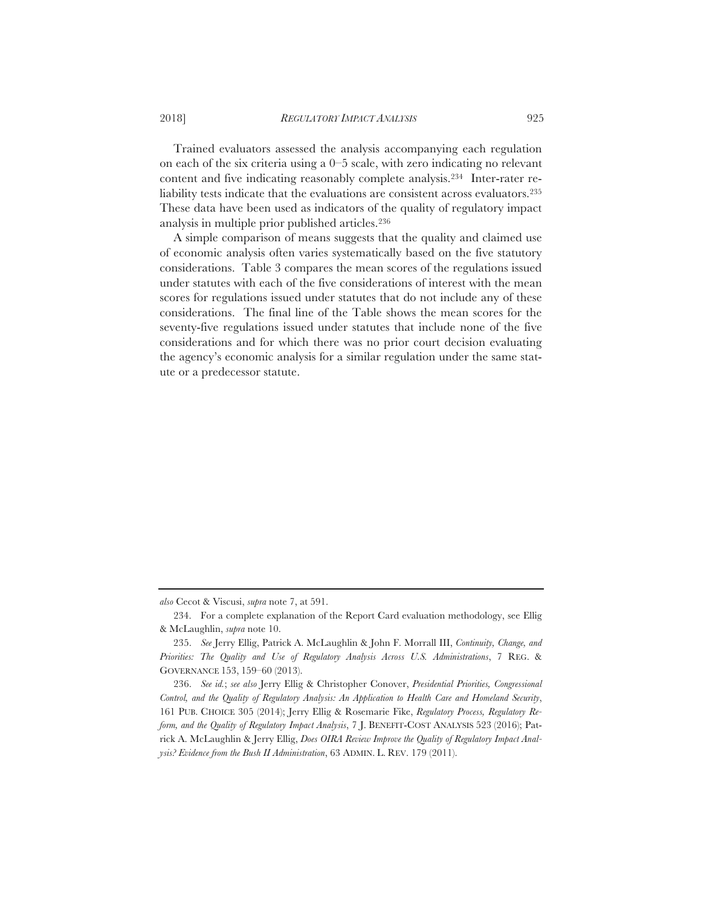Trained evaluators assessed the analysis accompanying each regulation on each of the six criteria using a  $0-5$  scale, with zero indicating no relevant content and five indicating reasonably complete analysis.234 Inter-rater reliability tests indicate that the evaluations are consistent across evaluators.235 These data have been used as indicators of the quality of regulatory impact analysis in multiple prior published articles.236

A simple comparison of means suggests that the quality and claimed use of economic analysis often varies systematically based on the five statutory considerations. Table 3 compares the mean scores of the regulations issued under statutes with each of the five considerations of interest with the mean scores for regulations issued under statutes that do not include any of these considerations. The final line of the Table shows the mean scores for the seventy-five regulations issued under statutes that include none of the five considerations and for which there was no prior court decision evaluating the agency's economic analysis for a similar regulation under the same statute or a predecessor statute.

*also* Cecot & Viscusi, *supra* note 7, at 591.

<sup>234.</sup> For a complete explanation of the Report Card evaluation methodology, see Ellig & McLaughlin, *supra* note 10.

<sup>235.</sup> *See* Jerry Ellig, Patrick A. McLaughlin & John F. Morrall III, *Continuity, Change, and Priorities: The Quality and Use of Regulatory Analysis Across U.S. Administrations*, 7 REG. & GOVERNANCE 153, 159–60 (2013).

<sup>236.</sup> *See id.*; *see also* Jerry Ellig & Christopher Conover, *Presidential Priorities, Congressional Control, and the Quality of Regulatory Analysis: An Application to Health Care and Homeland Security*, 161 PUB. CHOICE 305 (2014); Jerry Ellig & Rosemarie Fike, *Regulatory Process, Regulatory Reform, and the Quality of Regulatory Impact Analysis*, 7 J. BENEFIT-COST ANALYSIS 523 (2016); Patrick A. McLaughlin & Jerry Ellig, *Does OIRA Review Improve the Quality of Regulatory Impact Analysis? Evidence from the Bush II Administration*, 63 ADMIN. L. REV. 179 (2011).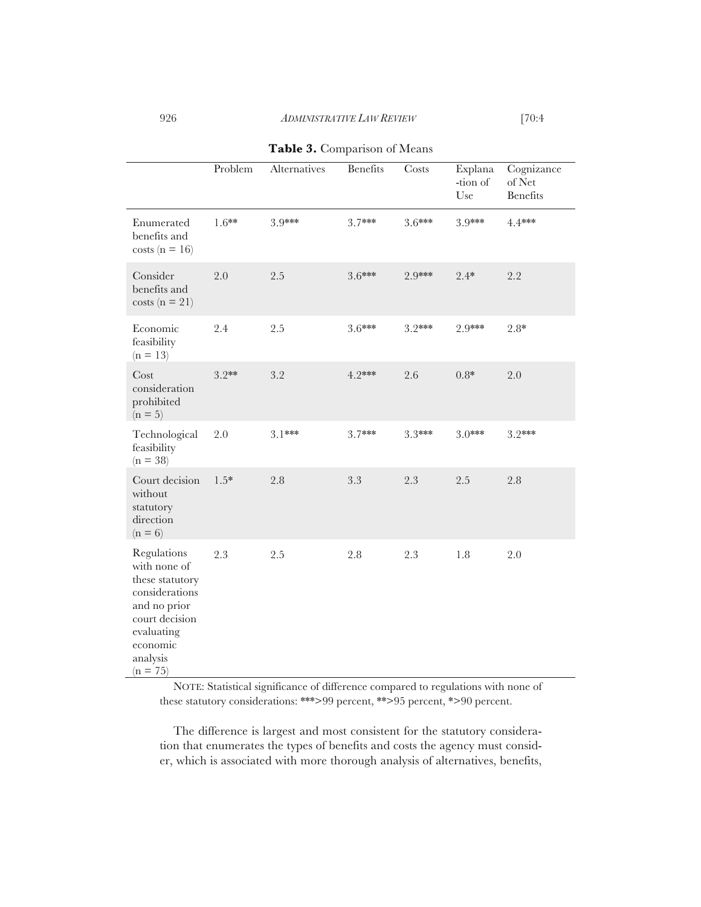926 *ADMINISTRATIVE LAW REVIEW* [70:4

|                                                                                                                                                        | Problem | Alternatives | <b>Benefits</b> | Costs    | Explana<br>-tion of<br>Use | Cognizance<br>of $Net$<br><b>Benefits</b> |
|--------------------------------------------------------------------------------------------------------------------------------------------------------|---------|--------------|-----------------|----------|----------------------------|-------------------------------------------|
| Enumerated<br>benefits and<br>$costs (n = 16)$                                                                                                         | $1.6**$ | 3.9***       | 3.7***          | $3.6***$ | 3.9***                     | 4.4***                                    |
| Consider<br>benefits and<br>$costs (n = 21)$                                                                                                           | 2.0     | 2.5          | $3.6***$        | 2.9***   | $2.4*$                     | 2.2                                       |
| Economic<br>feasibility<br>$(n = 13)$                                                                                                                  | 2.4     | $2.5\,$      | $3.6***$        | $3.2***$ | 2.9***                     | $2.8*$                                    |
| Cost<br>consideration<br>prohibited<br>$(n = 5)$                                                                                                       | $3.2**$ | 3.2          | 4.2***          | 2.6      | $0.8*$                     | 2.0                                       |
| Technological<br>feasibility<br>$(n = 38)$                                                                                                             | 2.0     | $3.1***$     | 3.7***          | $3.3***$ | $3.0***$                   | $3.2***$                                  |
| Court decision<br>without<br>statutory<br>direction<br>$(n = 6)$                                                                                       | $1.5*$  | 2.8          | 3.3             | 2.3      | 2.5                        | $2.8\,$                                   |
| Regulations<br>with none of<br>these statutory<br>considerations<br>and no prior<br>court decision<br>evaluating<br>economic<br>analysis<br>$(n = 75)$ | 2.3     | 2.5          | 2.8             | $2.3\,$  | 1.8                        | 2.0                                       |

**Table 3.** Comparison of Means

NOTE: Statistical significance of difference compared to regulations with none of these statutory considerations: \*\*\*>99 percent, \*\*>95 percent, \*>90 percent.

The difference is largest and most consistent for the statutory consideration that enumerates the types of benefits and costs the agency must consider, which is associated with more thorough analysis of alternatives, benefits,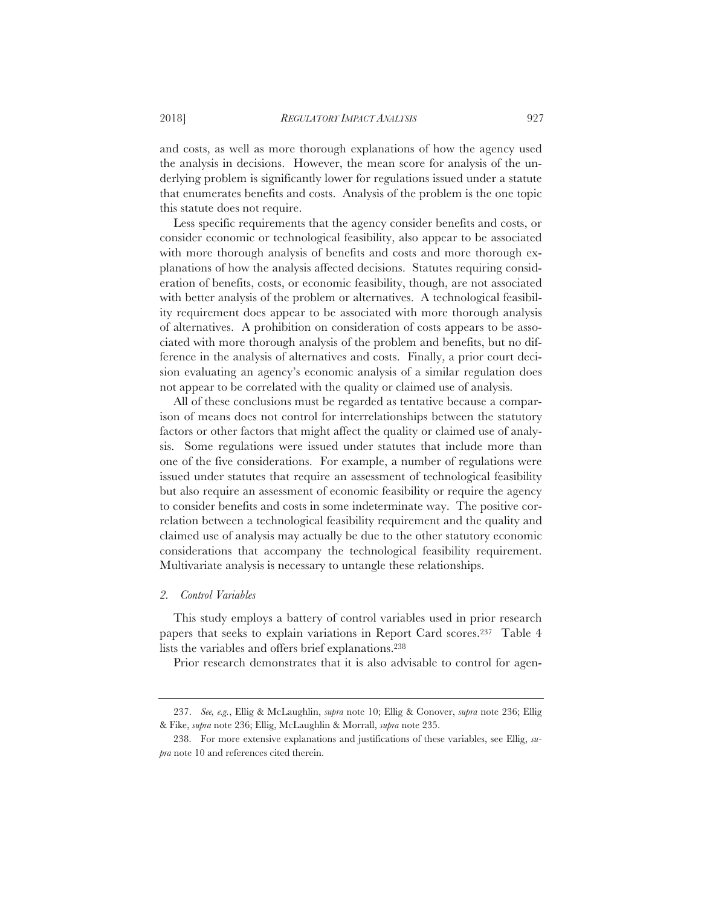and costs, as well as more thorough explanations of how the agency used the analysis in decisions. However, the mean score for analysis of the underlying problem is significantly lower for regulations issued under a statute that enumerates benefits and costs. Analysis of the problem is the one topic this statute does not require.

Less specific requirements that the agency consider benefits and costs, or consider economic or technological feasibility, also appear to be associated with more thorough analysis of benefits and costs and more thorough explanations of how the analysis affected decisions. Statutes requiring consideration of benefits, costs, or economic feasibility, though, are not associated with better analysis of the problem or alternatives. A technological feasibility requirement does appear to be associated with more thorough analysis of alternatives. A prohibition on consideration of costs appears to be associated with more thorough analysis of the problem and benefits, but no difference in the analysis of alternatives and costs. Finally, a prior court decision evaluating an agency's economic analysis of a similar regulation does not appear to be correlated with the quality or claimed use of analysis.

All of these conclusions must be regarded as tentative because a comparison of means does not control for interrelationships between the statutory factors or other factors that might affect the quality or claimed use of analysis. Some regulations were issued under statutes that include more than one of the five considerations. For example, a number of regulations were issued under statutes that require an assessment of technological feasibility but also require an assessment of economic feasibility or require the agency to consider benefits and costs in some indeterminate way. The positive correlation between a technological feasibility requirement and the quality and claimed use of analysis may actually be due to the other statutory economic considerations that accompany the technological feasibility requirement. Multivariate analysis is necessary to untangle these relationships.

#### *2. Control Variables*

This study employs a battery of control variables used in prior research papers that seeks to explain variations in Report Card scores.237 Table 4 lists the variables and offers brief explanations.238

Prior research demonstrates that it is also advisable to control for agen-

<sup>237.</sup> *See, e.g.*, Ellig & McLaughlin, *supra* note 10; Ellig & Conover, *supra* note 236; Ellig & Fike, *supra* note 236; Ellig, McLaughlin & Morrall, *supra* note 235.

<sup>238.</sup> For more extensive explanations and justifications of these variables, see Ellig, *supra* note 10 and references cited therein.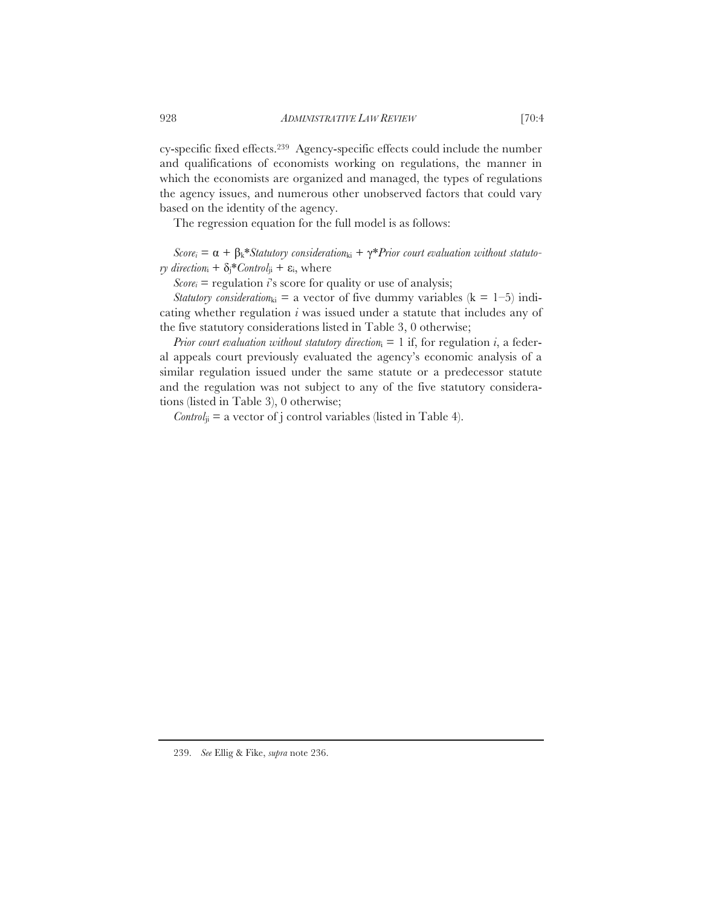cy-specific fixed effects.239 Agency-specific effects could include the number and qualifications of economists working on regulations, the manner in which the economists are organized and managed, the types of regulations the agency issues, and numerous other unobserved factors that could vary based on the identity of the agency.

The regression equation for the full model is as follows:

 $Score_i = \alpha + \beta_k * \text{Statutory consideration}_{ki} + \gamma * \text{Prior court evaluation without statuto-}$ *ry direction*<sub>i</sub> +  $\delta_i^*$ *Control*<sub>ii</sub> +  $\varepsilon_i$ , where

 $Score_i = regularization$  *i*'s score for quality or use of analysis;

*Statutory consideration*<sub>ki</sub> = a vector of five dummy variables ( $k = 1-5$ ) indicating whether regulation *i* was issued under a statute that includes any of the five statutory considerations listed in Table 3, 0 otherwise;

*Prior court evaluation without statutory direction*<sub>i</sub> = 1 if, for regulation *i*, a federal appeals court previously evaluated the agency's economic analysis of a similar regulation issued under the same statute or a predecessor statute and the regulation was not subject to any of the five statutory considerations (listed in Table 3), 0 otherwise;

 $Control_{ii}$  = a vector of j control variables (listed in Table 4).

239. *See* Ellig & Fike, *supra* note 236.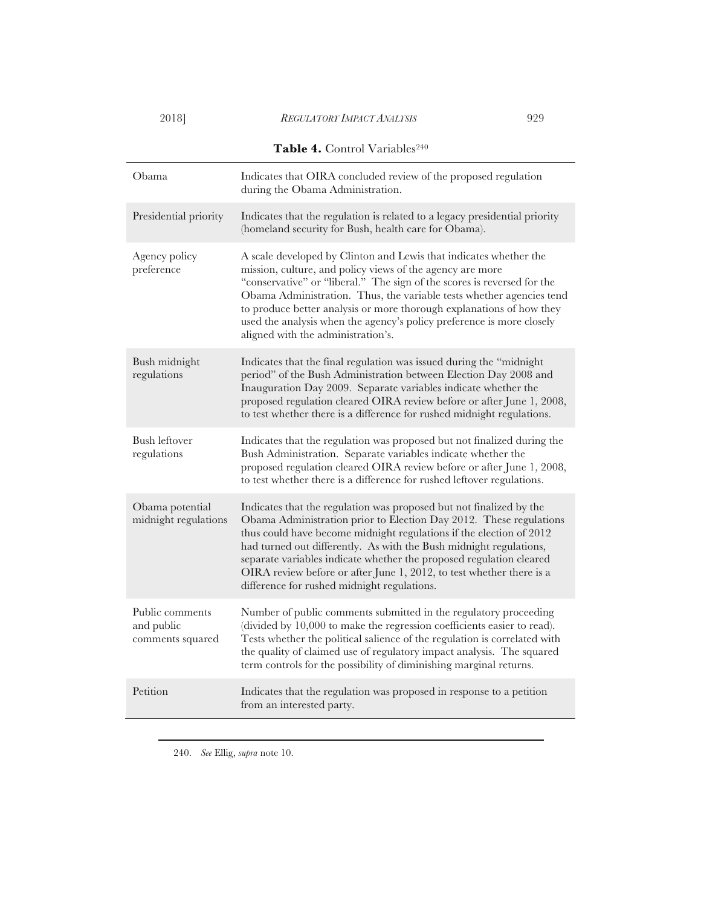| Table 4. Control Variables <sup>240</sup>         |                                                                                                                                                                                                                                                                                                                                                                                                                                                                                      |  |  |  |  |
|---------------------------------------------------|--------------------------------------------------------------------------------------------------------------------------------------------------------------------------------------------------------------------------------------------------------------------------------------------------------------------------------------------------------------------------------------------------------------------------------------------------------------------------------------|--|--|--|--|
| Obama                                             | Indicates that OIRA concluded review of the proposed regulation<br>during the Obama Administration.                                                                                                                                                                                                                                                                                                                                                                                  |  |  |  |  |
| Presidential priority                             | Indicates that the regulation is related to a legacy presidential priority<br>(homeland security for Bush, health care for Obama).                                                                                                                                                                                                                                                                                                                                                   |  |  |  |  |
| Agency policy<br>preference                       | A scale developed by Clinton and Lewis that indicates whether the<br>mission, culture, and policy views of the agency are more<br>"conservative" or "liberal." The sign of the scores is reversed for the<br>Obama Administration. Thus, the variable tests whether agencies tend<br>to produce better analysis or more thorough explanations of how they<br>used the analysis when the agency's policy preference is more closely<br>aligned with the administration's.             |  |  |  |  |
| Bush midnight<br>regulations                      | Indicates that the final regulation was issued during the "midnight<br>period" of the Bush Administration between Election Day 2008 and<br>Inauguration Day 2009. Separate variables indicate whether the<br>proposed regulation cleared OIRA review before or after June 1, 2008,<br>to test whether there is a difference for rushed midnight regulations.                                                                                                                         |  |  |  |  |
| <b>Bush leftover</b><br>regulations               | Indicates that the regulation was proposed but not finalized during the<br>Bush Administration. Separate variables indicate whether the<br>proposed regulation cleared OIRA review before or after June 1, 2008,<br>to test whether there is a difference for rushed leftover regulations.                                                                                                                                                                                           |  |  |  |  |
| Obama potential<br>midnight regulations           | Indicates that the regulation was proposed but not finalized by the<br>Obama Administration prior to Election Day 2012. These regulations<br>thus could have become midnight regulations if the election of 2012<br>had turned out differently. As with the Bush midnight regulations,<br>separate variables indicate whether the proposed regulation cleared<br>OIRA review before or after June 1, 2012, to test whether there is a<br>difference for rushed midnight regulations. |  |  |  |  |
| Public comments<br>and public<br>comments squared | Number of public comments submitted in the regulatory proceeding<br>(divided by 10,000 to make the regression coefficients easier to read).<br>Tests whether the political salience of the regulation is correlated with<br>the quality of claimed use of regulatory impact analysis. The squared<br>term controls for the possibility of diminishing marginal returns.                                                                                                              |  |  |  |  |
| Petition                                          | Indicates that the regulation was proposed in response to a petition<br>from an interested party.                                                                                                                                                                                                                                                                                                                                                                                    |  |  |  |  |

240. *See* Ellig, *supra* note 10.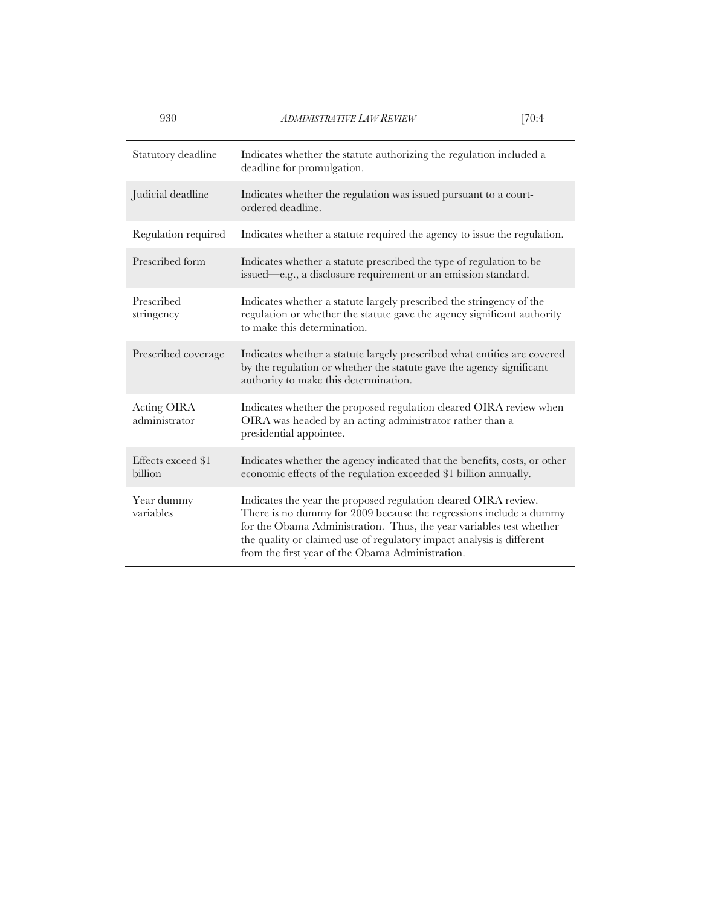| 930                           | <b>ADMINISTRATIVE LAW REVIEW</b>                                                                                                                                                                                                                                                                                                          | [70:4] |
|-------------------------------|-------------------------------------------------------------------------------------------------------------------------------------------------------------------------------------------------------------------------------------------------------------------------------------------------------------------------------------------|--------|
| Statutory deadline            | Indicates whether the statute authorizing the regulation included a<br>deadline for promulgation.                                                                                                                                                                                                                                         |        |
| Judicial deadline             | Indicates whether the regulation was issued pursuant to a court-<br>ordered deadline.                                                                                                                                                                                                                                                     |        |
| Regulation required           | Indicates whether a statute required the agency to issue the regulation.                                                                                                                                                                                                                                                                  |        |
| Prescribed form               | Indicates whether a statute prescribed the type of regulation to be<br>issued-e.g., a disclosure requirement or an emission standard.                                                                                                                                                                                                     |        |
| Prescribed<br>stringency      | Indicates whether a statute largely prescribed the stringency of the<br>regulation or whether the statute gave the agency significant authority<br>to make this determination.                                                                                                                                                            |        |
| Prescribed coverage           | Indicates whether a statute largely prescribed what entities are covered<br>by the regulation or whether the statute gave the agency significant<br>authority to make this determination.                                                                                                                                                 |        |
| Acting OIRA<br>administrator  | Indicates whether the proposed regulation cleared OIRA review when<br>OIRA was headed by an acting administrator rather than a<br>presidential appointee.                                                                                                                                                                                 |        |
| Effects exceed \$1<br>billion | Indicates whether the agency indicated that the benefits, costs, or other<br>economic effects of the regulation exceeded \$1 billion annually.                                                                                                                                                                                            |        |
| Year dummy<br>variables       | Indicates the year the proposed regulation cleared OIRA review.<br>There is no dummy for 2009 because the regressions include a dummy<br>for the Obama Administration. Thus, the year variables test whether<br>the quality or claimed use of regulatory impact analysis is different<br>from the first year of the Obama Administration. |        |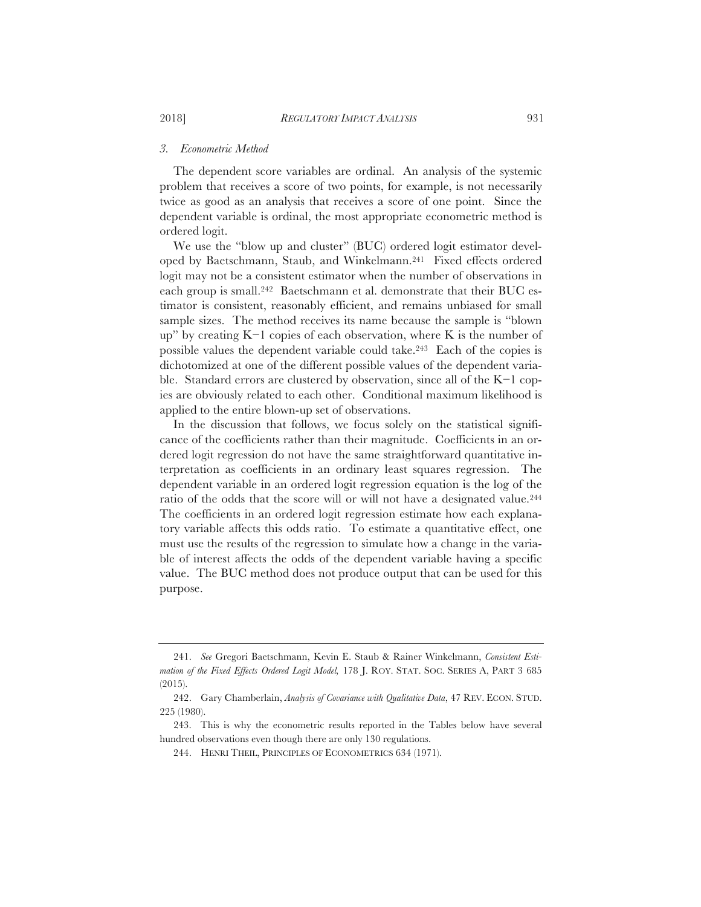#### *3. Econometric Method*

The dependent score variables are ordinal. An analysis of the systemic problem that receives a score of two points, for example, is not necessarily twice as good as an analysis that receives a score of one point. Since the dependent variable is ordinal, the most appropriate econometric method is ordered logit.

We use the "blow up and cluster" (BUC) ordered logit estimator developed by Baetschmann, Staub, and Winkelmann.241 Fixed effects ordered logit may not be a consistent estimator when the number of observations in each group is small.242 Baetschmann et al. demonstrate that their BUC estimator is consistent, reasonably efficient, and remains unbiased for small sample sizes. The method receives its name because the sample is "blown up" by creating  $K-1$  copies of each observation, where K is the number of possible values the dependent variable could take.243 Each of the copies is dichotomized at one of the different possible values of the dependent variable. Standard errors are clustered by observation, since all of the  $K-1$  copies are obviously related to each other. Conditional maximum likelihood is applied to the entire blown-up set of observations.

In the discussion that follows, we focus solely on the statistical significance of the coefficients rather than their magnitude. Coefficients in an ordered logit regression do not have the same straightforward quantitative interpretation as coefficients in an ordinary least squares regression. The dependent variable in an ordered logit regression equation is the log of the ratio of the odds that the score will or will not have a designated value.244 The coefficients in an ordered logit regression estimate how each explanatory variable affects this odds ratio. To estimate a quantitative effect, one must use the results of the regression to simulate how a change in the variable of interest affects the odds of the dependent variable having a specific value. The BUC method does not produce output that can be used for this purpose.

<sup>241.</sup> *See* Gregori Baetschmann, Kevin E. Staub & Rainer Winkelmann, *Consistent Estimation of the Fixed Effects Ordered Logit Model,* 178 J. ROY. STAT. SOC. SERIES A, PART 3 685 (2015).

<sup>242.</sup> Gary Chamberlain, *Analysis of Covariance with Qualitative Data*, 47 REV. ECON. STUD. 225 (1980).

<sup>243.</sup> This is why the econometric results reported in the Tables below have several hundred observations even though there are only 130 regulations.

<sup>244.</sup> HENRI THEIL, PRINCIPLES OF ECONOMETRICS 634 (1971).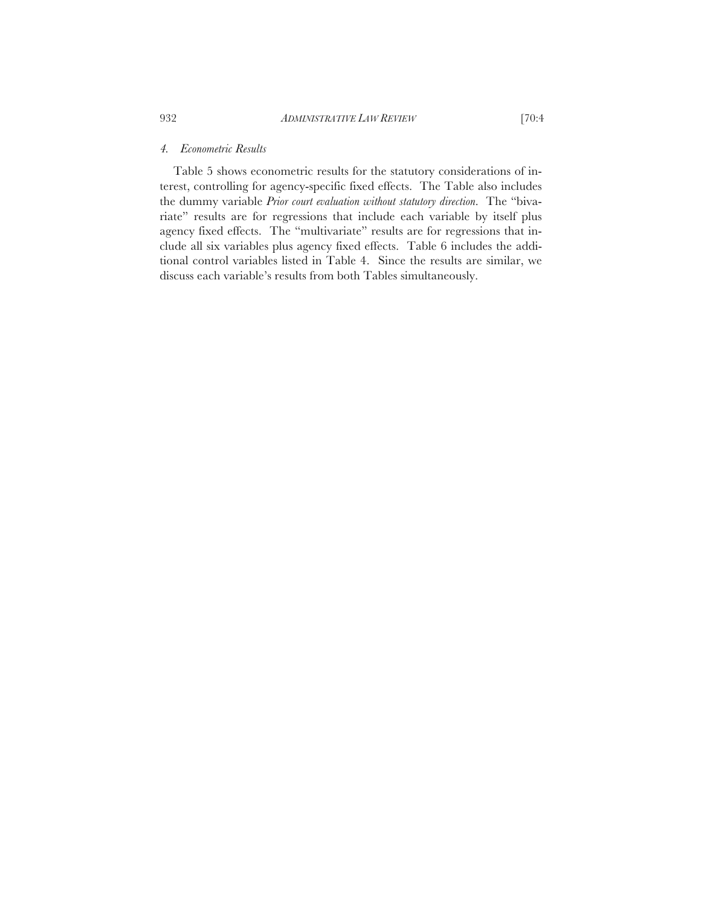# *4. Econometric Results*

Table 5 shows econometric results for the statutory considerations of interest, controlling for agency-specific fixed effects. The Table also includes the dummy variable *Prior court evaluation without statutory direction*. The "bivariate" results are for regressions that include each variable by itself plus agency fixed effects. The "multivariate" results are for regressions that include all six variables plus agency fixed effects. Table 6 includes the additional control variables listed in Table 4. Since the results are similar, we discuss each variable's results from both Tables simultaneously.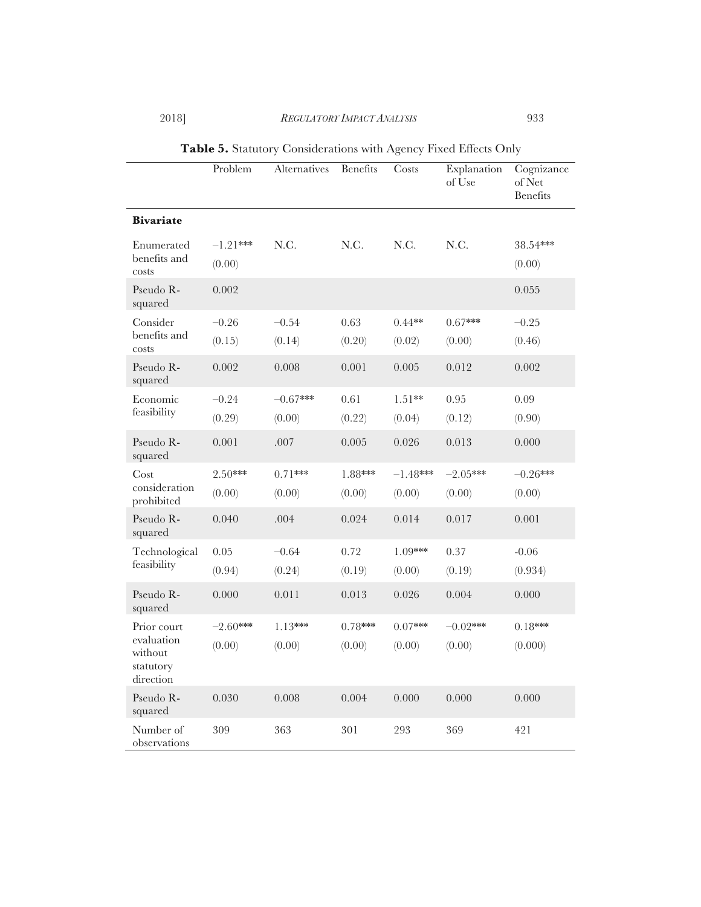# 2018] *REGULATORY IMPACT ANALYSIS* 933

|                                                                | Problem              | Alternatives         | <b>Benefits</b>     | Costs                | Explanation<br>of Use | Cognizance<br>of Net<br><b>Benefits</b> |
|----------------------------------------------------------------|----------------------|----------------------|---------------------|----------------------|-----------------------|-----------------------------------------|
| <b>Bivariate</b>                                               |                      |                      |                     |                      |                       |                                         |
| Enumerated<br>benefits and<br>costs                            | $-1.21***$<br>(0.00) | N.C.                 | N.C.                | N.C.                 | N.C.                  | 38.54***<br>(0.00)                      |
| Pseudo R-<br>squared                                           | 0.002                |                      |                     |                      |                       | 0.055                                   |
| Consider<br>benefits and<br>costs                              | $-0.26$<br>(0.15)    | $-0.54$<br>(0.14)    | 0.63<br>(0.20)      | $0.44**$<br>(0.02)   | $0.67***$<br>(0.00)   | $-0.25$<br>(0.46)                       |
| Pseudo R-<br>squared                                           | 0.002                | 0.008                | 0.001               | 0.005                | 0.012                 | 0.002                                   |
| Economic<br>feasibility                                        | $-0.24$<br>(0.29)    | $-0.67***$<br>(0.00) | 0.61<br>(0.22)      | $1.51**$<br>(0.04)   | 0.95<br>(0.12)        | 0.09<br>(0.90)                          |
| Pseudo R-<br>squared                                           | 0.001                | .007                 | 0.005               | 0.026                | 0.013                 | 0.000                                   |
| Cost<br>consideration<br>prohibited                            | $2.50***$<br>(0.00)  | $0.71***$<br>(0.00)  | 1.88***<br>(0.00)   | $-1.48***$<br>(0.00) | $-2.05***$<br>(0.00)  | $-0.26***$<br>(0.00)                    |
| Pseudo R-<br>squared                                           | 0.040                | .004                 | 0.024               | 0.014                | 0.017                 | 0.001                                   |
| Technological<br>feasibility                                   | 0.05<br>(0.94)       | $-0.64$<br>(0.24)    | 0.72<br>(0.19)      | 1.09***<br>(0.00)    | 0.37<br>(0.19)        | $-0.06$<br>(0.934)                      |
| Pseudo R-<br>squared                                           | 0.000                | 0.011                | 0.013               | 0.026                | 0.004                 | 0.000                                   |
| Prior court<br>evaluation<br>without<br>statutory<br>direction | $-2.60***$<br>(0.00) | $1.13***$<br>(0.00)  | $0.78***$<br>(0.00) | $0.07***$<br>(0.00)  | $-0.02$ ***<br>(0.00) | $0.18***$<br>(0.000)                    |
| Pseudo R-<br>squared                                           | 0.030                | 0.008                | 0.004               | 0.000                | 0.000                 | 0.000                                   |
| Number of<br>observations                                      | 309                  | 363                  | 301                 | 293                  | 369                   | 421                                     |

**Table 5.** Statutory Considerations with Agency Fixed Effects Only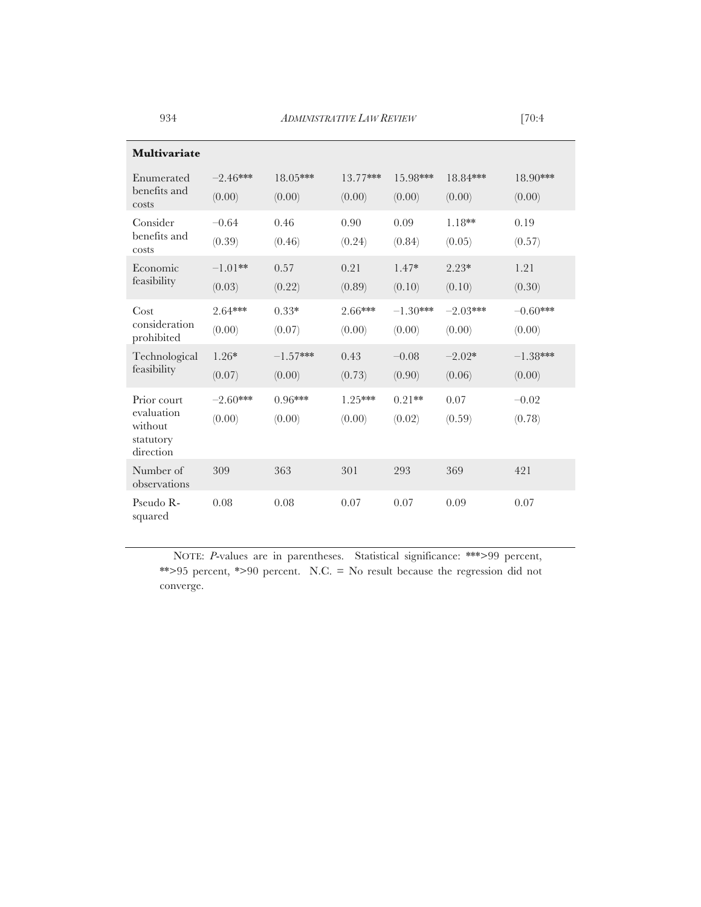934 *ADMINISTRATIVE LAW REVIEW* [70:4

| Multivariate                                                   |                      |                      |                     |                      |                      |                      |
|----------------------------------------------------------------|----------------------|----------------------|---------------------|----------------------|----------------------|----------------------|
| Enumerated<br>benefits and<br>costs                            | $-2.46***$<br>(0.00) | 18.05***<br>(0.00)   | 13.77***<br>(0.00)  | 15.98***<br>(0.00)   | 18.84***<br>(0.00)   | 18.90***<br>(0.00)   |
| Consider<br>benefits and<br>costs                              | $-0.64$<br>(0.39)    | 0.46<br>(0.46)       | 0.90<br>(0.24)      | 0.09<br>(0.84)       | $1.18**$<br>(0.05)   | 0.19<br>(0.57)       |
| Economic<br>feasibility                                        | $-1.01**$<br>(0.03)  | 0.57<br>(0.22)       | 0.21<br>(0.89)      | $1.47*$<br>(0.10)    | $2.23*$<br>(0.10)    | 1.21<br>(0.30)       |
| Cost<br>consideration<br>prohibited                            | 2.64***<br>(0.00)    | $0.33*$<br>(0.07)    | 2.66***<br>(0.00)   | $-1.30***$<br>(0.00) | $-2.03***$<br>(0.00) | $-0.60***$<br>(0.00) |
| Technological<br>feasibility                                   | $1.26*$<br>(0.07)    | $-1.57***$<br>(0.00) | 0.43<br>(0.73)      | $-0.08$<br>(0.90)    | $-2.02*$<br>(0.06)   | $-1.38***$<br>(0.00) |
| Prior court<br>evaluation<br>without<br>statutory<br>direction | $-2.60***$<br>(0.00) | $0.96***$<br>(0.00)  | $1.25***$<br>(0.00) | $0.21**$<br>(0.02)   | 0.07<br>(0.59)       | $-0.02$<br>(0.78)    |
| Number of<br>observations                                      | 309                  | 363                  | 301                 | 293                  | 369                  | 421                  |
| Pseudo R-<br>squared                                           | 0.08                 | 0.08                 | 0.07                | 0.07                 | 0.09                 | 0.07                 |

NOTE: *P*-values are in parentheses. Statistical significance: \*\*\*>99 percent, \*\*>95 percent, \*>90 percent. N.C. = No result because the regression did not converge.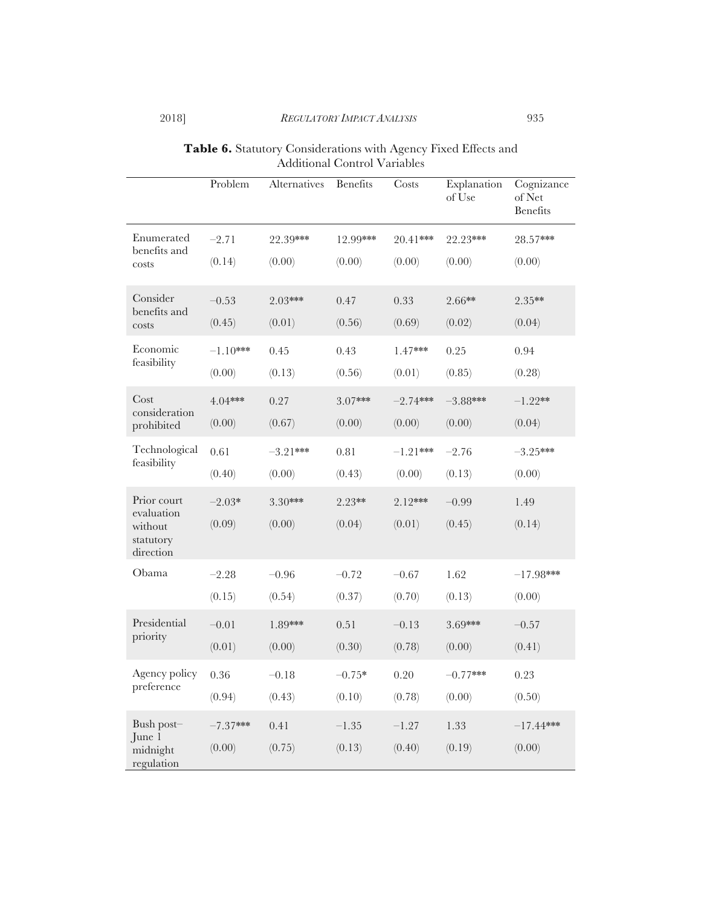| <b>Table 6.</b> Statutory Considerations with Agency Fixed Effects and |
|------------------------------------------------------------------------|
| Additional Control Variables                                           |

|                                                 | Problem    | Alternatives | <b>Benefits</b> | Costs      | Explanation<br>of Use | Cognizance<br>of Net<br><b>Benefits</b> |
|-------------------------------------------------|------------|--------------|-----------------|------------|-----------------------|-----------------------------------------|
| Enumerated<br>benefits and                      | $-2.71$    | 22.39***     | 12.99***        | 20.41***   | 22.23***              | 28.57***                                |
| costs                                           | (0.14)     | (0.00)       | (0.00)          | (0.00)     | (0.00)                | (0.00)                                  |
| Consider                                        | $-0.53$    | 2.03***      | 0.47            | 0.33       | 2.66**                | 2.35**                                  |
| benefits and<br>costs                           | (0.45)     | (0.01)       | (0.56)          | (0.69)     | (0.02)                | (0.04)                                  |
| Economic                                        | $-1.10***$ | 0.45         | 0.43            | 1.47***    | 0.25                  | 0.94                                    |
| feasibility                                     | (0.00)     | (0.13)       | (0.56)          | (0.01)     | (0.85)                | (0.28)                                  |
| Cost                                            | 4.04***    | 0.27         | $3.07***$       | $-2.74***$ | $-3.88***$            | $-1.22**$                               |
| consideration<br>prohibited                     | (0.00)     | (0.67)       | (0.00)          | (0.00)     | (0.00)                | (0.04)                                  |
| Technological                                   | 0.61       | $-3.21***$   | 0.81            | $-1.21***$ | $-2.76$               | $-3.25***$                              |
| feasibility                                     | (0.40)     | (0.00)       | (0.43)          | (0.00)     | (0.13)                | (0.00)                                  |
| Prior court                                     | $-2.03*$   | $3.30***$    | $2.23**$        | $2.12***$  | $-0.99$               | 1.49                                    |
| evaluation<br>without<br>statutory<br>direction | (0.09)     | (0.00)       | (0.04)          | (0.01)     | (0.45)                | (0.14)                                  |
| Obama                                           | $-2.28$    | $-0.96$      | $-0.72$         | $-0.67$    | 1.62                  | $-17.98***$                             |
|                                                 | (0.15)     | (0.54)       | (0.37)          | (0.70)     | (0.13)                | (0.00)                                  |
| Presidential                                    | $-0.01$    | 1.89***      | 0.51            | $-0.13$    | 3.69***               | $-0.57$                                 |
| priority                                        | (0.01)     | (0.00)       | (0.30)          | (0.78)     | (0.00)                | (0.41)                                  |
| Agency policy                                   | 0.36       | $-0.18$      | $-0.75*$        | 0.20       | $-0.77***$            | 0.23                                    |
| preference                                      | (0.94)     | (0.43)       | (0.10)          | (0.78)     | (0.00)                | (0.50)                                  |
| Bush post-                                      | $-7.37***$ | 0.41         | $-1.35$         | $-1.27$    | 1.33                  | $-17.44***$                             |
| June 1<br>midnight<br>regulation                | (0.00)     | (0.75)       | (0.13)          | (0.40)     | (0.19)                | (0.00)                                  |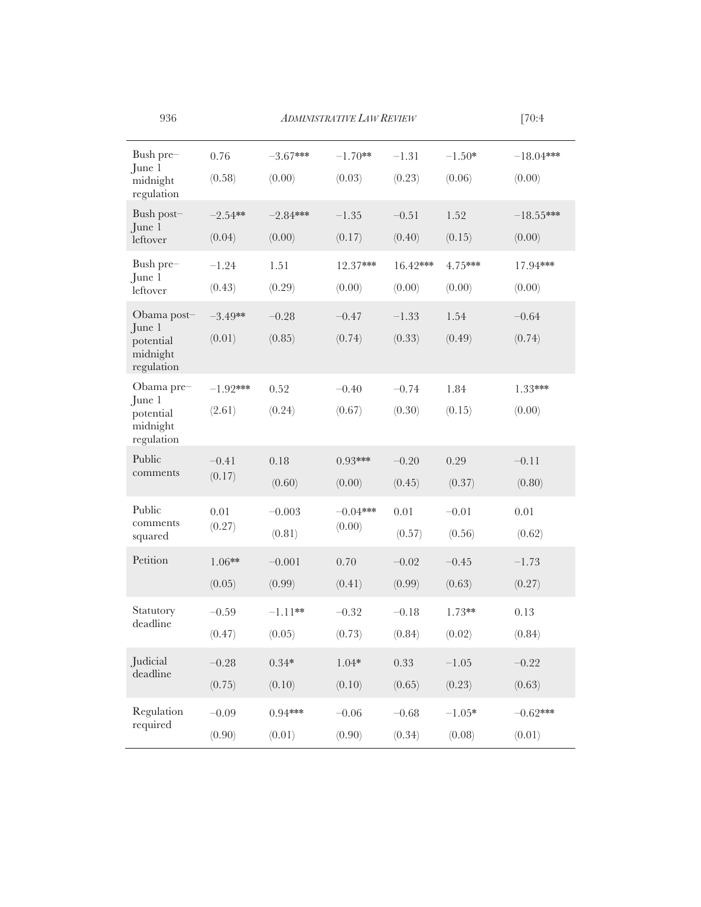936 *ADMINISTRATIVE LAW REVIEW* 

|--|--|

| Bush pre-<br>June 1<br>midnight<br>regulation | 0.76       | $-3.67***$ | $-1.70**$  | $-1.31$  | $-1.50*$ | $-18.04***$ |
|-----------------------------------------------|------------|------------|------------|----------|----------|-------------|
|                                               | (0.58)     | (0.00)     | (0.03)     | (0.23)   | (0.06)   | (0.00)      |
| Bush post-<br>June 1<br>leftover              | $-2.54**$  | $-2.84***$ | $-1.35$    | $-0.51$  | 1.52     | $-18.55***$ |
|                                               | (0.04)     | (0.00)     | (0.17)     | (0.40)   | (0.15)   | (0.00)      |
| Bush pre-<br>June 1<br>leftover               | $-1.24$    | 1.51       | 12.37***   | 16.42*** | 4.75***  | 17.94***    |
|                                               | (0.43)     | (0.29)     | (0.00)     | (0.00)   | (0.00)   | (0.00)      |
| Obama post-                                   | $-3.49**$  | $-0.28$    | $-0.47$    | $-1.33$  | 1.54     | $-0.64$     |
| June 1<br>potential<br>midnight<br>regulation | (0.01)     | (0.85)     | (0.74)     | (0.33)   | (0.49)   | (0.74)      |
| Obama pre-                                    | $-1.92***$ | 0.52       | $-0.40$    | $-0.74$  | 1.84     | 1.33***     |
| June 1<br>potential<br>midnight<br>regulation | (2.61)     | (0.24)     | (0.67)     | (0.30)   | (0.15)   | (0.00)      |
| Public<br>comments                            | $-0.41$    | 0.18       | $0.93***$  | $-0.20$  | 0.29     | $-0.11$     |
|                                               | (0.17)     | (0.60)     | (0.00)     | (0.45)   | (0.37)   | (0.80)      |
| Public<br>comments<br>squared                 | 0.01       | $-0.003$   | $-0.04***$ | 0.01     | $-0.01$  | 0.01        |
|                                               | (0.27)     | (0.81)     | (0.00)     | (0.57)   | (0.56)   | (0.62)      |
| Petition                                      | $1.06**$   | $-0.001$   | 0.70       | $-0.02$  | $-0.45$  | $-1.73$     |
|                                               | (0.05)     | (0.99)     | (0.41)     | (0.99)   | (0.63)   | (0.27)      |
| Statutory                                     | $-0.59$    | $-1.11**$  | $-0.32$    | $-0.18$  | $1.73**$ | 0.13        |
| deadline                                      | (0.47)     | (0.05)     | (0.73)     | (0.84)   | (0.02)   | (0.84)      |
| Judicial<br>deadline                          | $-0.28$    | $0.34*$    | $1.04*$    | 0.33     | $-1.05$  | $-0.22$     |
|                                               | (0.75)     | (0.10)     | (0.10)     | (0.65)   | (0.23)   | (0.63)      |
| Regulation<br>required                        | $-0.09$    | $0.94***$  | $-0.06$    | $-0.68$  | $-1.05*$ | $-0.62***$  |
|                                               | (0.90)     | (0.01)     | (0.90)     | (0.34)   | (0.08)   | (0.01)      |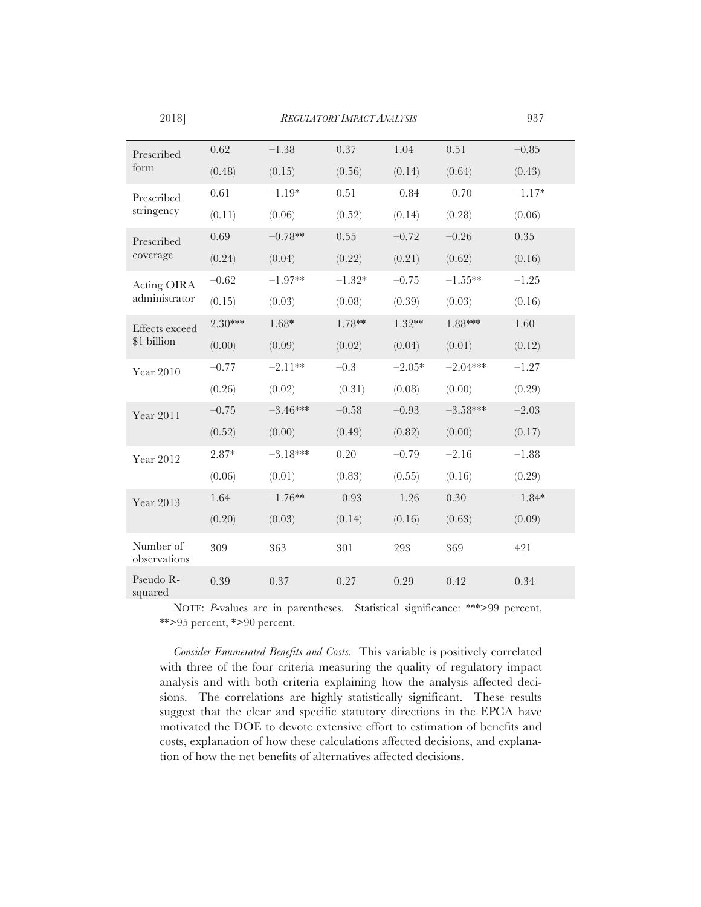| Prescribed<br>form                  | 0.62    | $-1.38$    | 0.37     | 1.04     | 0.51       | $-0.85$  |
|-------------------------------------|---------|------------|----------|----------|------------|----------|
|                                     | (0.48)  | (0.15)     | (0.56)   | (0.14)   | (0.64)     | (0.43)   |
| Prescribed<br>stringency            | 0.61    | $-1.19*$   | 0.51     | $-0.84$  | $-0.70$    | $-1.17*$ |
|                                     | (0.11)  | (0.06)     | (0.52)   | (0.14)   | (0.28)     | (0.06)   |
| Prescribed                          | 0.69    | $-0.78**$  | 0.55     | $-0.72$  | $-0.26$    | 0.35     |
| coverage                            | (0.24)  | (0.04)     | (0.22)   | (0.21)   | (0.62)     | (0.16)   |
| <b>Acting OIRA</b><br>administrator | $-0.62$ | $-1.97**$  | $-1.32*$ | $-0.75$  | $-1.55**$  | $-1.25$  |
|                                     | (0.15)  | (0.03)     | (0.08)   | (0.39)   | (0.03)     | (0.16)   |
| Effects exceed<br>\$1 billion       | 2.30*** | $1.68*$    | 1.78**   | $1.32**$ | 1.88***    | 1.60     |
|                                     | (0.00)  | (0.09)     | (0.02)   | (0.04)   | (0.01)     | (0.12)   |
| Year 2010                           | $-0.77$ | $-2.11**$  | $-0.3$   | $-2.05*$ | $-2.04***$ | $-1.27$  |
|                                     | (0.26)  | (0.02)     | (0.31)   | (0.08)   | (0.00)     | (0.29)   |
| Year 2011                           | $-0.75$ | $-3.46***$ | $-0.58$  | $-0.93$  | $-3.58***$ | $-2.03$  |
|                                     | (0.52)  | (0.00)     | (0.49)   | (0.82)   | (0.00)     | (0.17)   |
| Year 2012                           | $2.87*$ | $-3.18***$ | 0.20     | $-0.79$  | $-2.16$    | $-1.88$  |
|                                     | (0.06)  | (0.01)     | (0.83)   | (0.55)   | (0.16)     | (0.29)   |
| Year 2013                           | 1.64    | $-1.76**$  | $-0.93$  | $-1.26$  | $0.30\,$   | $-1.84*$ |
|                                     | (0.20)  | (0.03)     | (0.14)   | (0.16)   | (0.63)     | (0.09)   |
| Number of<br>observations           | 309     | 363        | 301      | 293      | 369        | 421      |
| Pseudo R-<br>squared                | 0.39    | 0.37       | 0.27     | 0.29     | 0.42       | 0.34     |

NOTE: *P*-values are in parentheses. Statistical significance: \*\*\*>99 percent, \*\*>95 percent, \*>90 percent.

*Consider Enumerated Benefits and Costs.* This variable is positively correlated with three of the four criteria measuring the quality of regulatory impact analysis and with both criteria explaining how the analysis affected decisions. The correlations are highly statistically significant. These results suggest that the clear and specific statutory directions in the EPCA have motivated the DOE to devote extensive effort to estimation of benefits and costs, explanation of how these calculations affected decisions, and explanation of how the net benefits of alternatives affected decisions.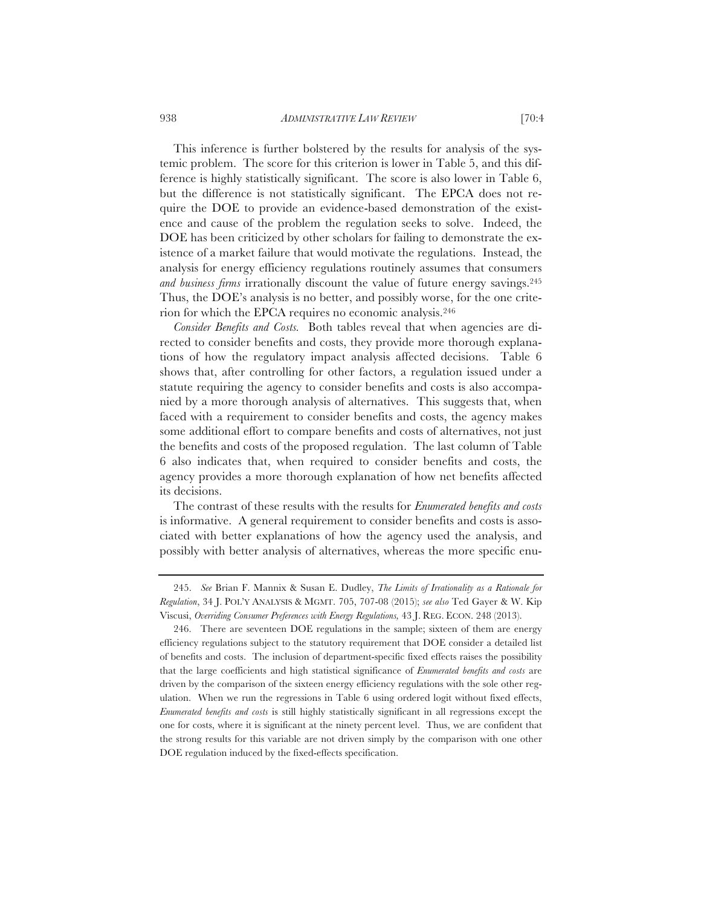This inference is further bolstered by the results for analysis of the systemic problem. The score for this criterion is lower in Table 5, and this difference is highly statistically significant. The score is also lower in Table 6, but the difference is not statistically significant. The EPCA does not require the DOE to provide an evidence-based demonstration of the existence and cause of the problem the regulation seeks to solve. Indeed, the DOE has been criticized by other scholars for failing to demonstrate the existence of a market failure that would motivate the regulations. Instead, the analysis for energy efficiency regulations routinely assumes that consumers *and business firms* irrationally discount the value of future energy savings.<sup>245</sup> Thus, the DOE's analysis is no better, and possibly worse, for the one criterion for which the EPCA requires no economic analysis.246

*Consider Benefits and Costs.* Both tables reveal that when agencies are directed to consider benefits and costs, they provide more thorough explanations of how the regulatory impact analysis affected decisions. Table 6 shows that, after controlling for other factors, a regulation issued under a statute requiring the agency to consider benefits and costs is also accompanied by a more thorough analysis of alternatives. This suggests that, when faced with a requirement to consider benefits and costs, the agency makes some additional effort to compare benefits and costs of alternatives, not just the benefits and costs of the proposed regulation. The last column of Table 6 also indicates that, when required to consider benefits and costs, the agency provides a more thorough explanation of how net benefits affected its decisions.

The contrast of these results with the results for *Enumerated benefits and costs* is informative. A general requirement to consider benefits and costs is associated with better explanations of how the agency used the analysis, and possibly with better analysis of alternatives, whereas the more specific enu-

<sup>245.</sup> *See* Brian F. Mannix & Susan E. Dudley, *The Limits of Irrationality as a Rationale for Regulation*, 34 J. POL'Y ANALYSIS & MGMT. 705, 707-08 (2015); *see also* Ted Gayer & W. Kip Viscusi, *Overriding Consumer Preferences with Energy Regulations,* 43 J. REG. ECON. 248 (2013).

<sup>246.</sup> There are seventeen DOE regulations in the sample; sixteen of them are energy efficiency regulations subject to the statutory requirement that DOE consider a detailed list of benefits and costs. The inclusion of department-specific fixed effects raises the possibility that the large coefficients and high statistical significance of *Enumerated benefits and costs* are driven by the comparison of the sixteen energy efficiency regulations with the sole other regulation. When we run the regressions in Table 6 using ordered logit without fixed effects, *Enumerated benefits and costs* is still highly statistically significant in all regressions except the one for costs, where it is significant at the ninety percent level. Thus, we are confident that the strong results for this variable are not driven simply by the comparison with one other DOE regulation induced by the fixed-effects specification.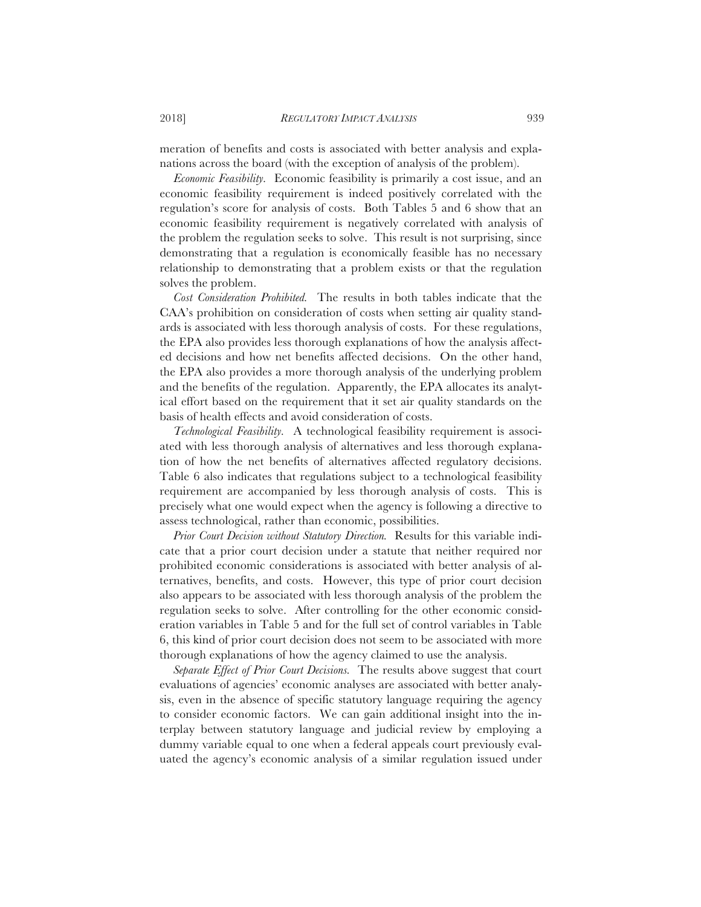meration of benefits and costs is associated with better analysis and explanations across the board (with the exception of analysis of the problem).

*Economic Feasibility.* Economic feasibility is primarily a cost issue, and an economic feasibility requirement is indeed positively correlated with the regulation's score for analysis of costs. Both Tables 5 and 6 show that an economic feasibility requirement is negatively correlated with analysis of the problem the regulation seeks to solve. This result is not surprising, since demonstrating that a regulation is economically feasible has no necessary relationship to demonstrating that a problem exists or that the regulation solves the problem.

*Cost Consideration Prohibited.* The results in both tables indicate that the CAA's prohibition on consideration of costs when setting air quality standards is associated with less thorough analysis of costs. For these regulations, the EPA also provides less thorough explanations of how the analysis affected decisions and how net benefits affected decisions. On the other hand, the EPA also provides a more thorough analysis of the underlying problem and the benefits of the regulation. Apparently, the EPA allocates its analytical effort based on the requirement that it set air quality standards on the basis of health effects and avoid consideration of costs.

*Technological Feasibility.* A technological feasibility requirement is associated with less thorough analysis of alternatives and less thorough explanation of how the net benefits of alternatives affected regulatory decisions. Table 6 also indicates that regulations subject to a technological feasibility requirement are accompanied by less thorough analysis of costs. This is precisely what one would expect when the agency is following a directive to assess technological, rather than economic, possibilities.

*Prior Court Decision without Statutory Direction.* Results for this variable indicate that a prior court decision under a statute that neither required nor prohibited economic considerations is associated with better analysis of alternatives, benefits, and costs. However, this type of prior court decision also appears to be associated with less thorough analysis of the problem the regulation seeks to solve. After controlling for the other economic consideration variables in Table 5 and for the full set of control variables in Table 6, this kind of prior court decision does not seem to be associated with more thorough explanations of how the agency claimed to use the analysis.

*Separate Effect of Prior Court Decisions.* The results above suggest that court evaluations of agencies' economic analyses are associated with better analysis, even in the absence of specific statutory language requiring the agency to consider economic factors. We can gain additional insight into the interplay between statutory language and judicial review by employing a dummy variable equal to one when a federal appeals court previously evaluated the agency's economic analysis of a similar regulation issued under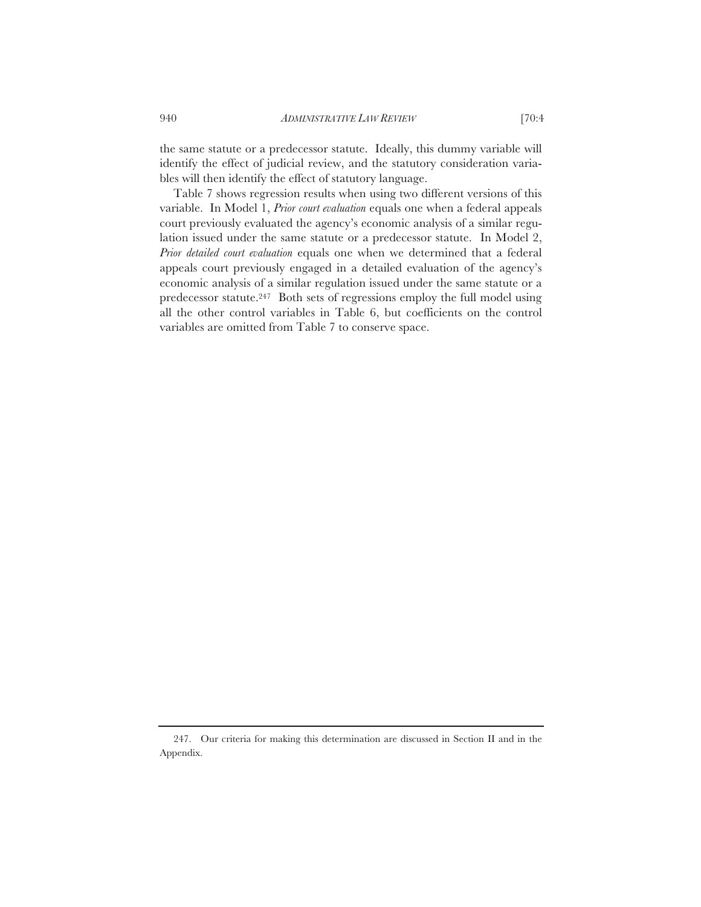the same statute or a predecessor statute. Ideally, this dummy variable will identify the effect of judicial review, and the statutory consideration variables will then identify the effect of statutory language.

Table 7 shows regression results when using two different versions of this variable. In Model 1, *Prior court evaluation* equals one when a federal appeals court previously evaluated the agency's economic analysis of a similar regulation issued under the same statute or a predecessor statute. In Model 2, *Prior detailed court evaluation* equals one when we determined that a federal appeals court previously engaged in a detailed evaluation of the agency's economic analysis of a similar regulation issued under the same statute or a predecessor statute.247 Both sets of regressions employ the full model using all the other control variables in Table 6, but coefficients on the control variables are omitted from Table 7 to conserve space.

<sup>247.</sup> Our criteria for making this determination are discussed in Section II and in the Appendix.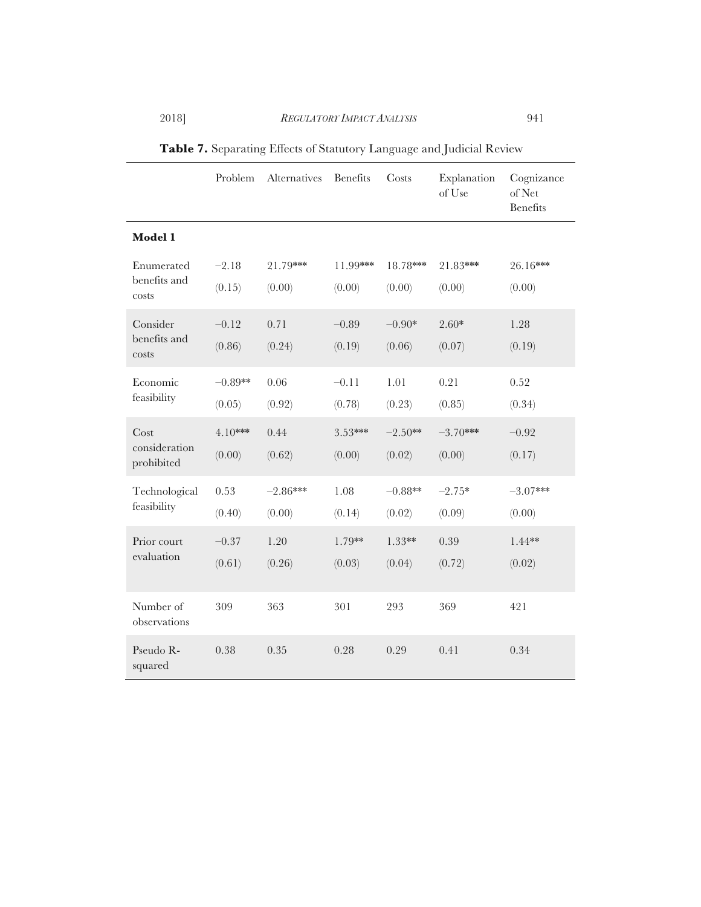|                                     | Problem           | Alternatives       | Benefits           | Costs              | Explanation<br>of Use | Cognizance<br>of Net<br><b>Benefits</b> |
|-------------------------------------|-------------------|--------------------|--------------------|--------------------|-----------------------|-----------------------------------------|
| Model 1                             |                   |                    |                    |                    |                       |                                         |
| Enumerated<br>benefits and          | $-2.18$<br>(0.15) | 21.79***<br>(0.00) | 11.99***<br>(0.00) | 18.78***<br>(0.00) | 21.83***<br>(0.00)    | 26.16***<br>(0.00)                      |
| costs                               |                   |                    |                    |                    |                       |                                         |
| Consider<br>benefits and            | $-0.12$           | 0.71               | $-0.89$            | $-0.90*$           | $2.60*$               | 1.28                                    |
| costs                               | (0.86)            | (0.24)             | (0.19)             | (0.06)             | (0.07)                | (0.19)                                  |
| Economic                            | $-0.89**$         | 0.06               | $-0.11$            | 1.01               | 0.21                  | 0.52                                    |
| feasibility                         | (0.05)            | (0.92)             | (0.78)             | (0.23)             | (0.85)                | (0.34)                                  |
| Cost<br>consideration<br>prohibited | $4.10***$         | 0.44               | 3.53***            | $-2.50**$          | $-3.70***$            | $-0.92$                                 |
|                                     | (0.00)            | (0.62)             | (0.00)             | (0.02)             | (0.00)                | (0.17)                                  |
| Technological<br>feasibility        | 0.53              | $-2.86***$         | 1.08               | $-0.88**$          | $-2.75*$              | $-3.07***$                              |
|                                     | (0.40)            | (0.00)             | (0.14)             | (0.02)             | (0.09)                | (0.00)                                  |
| Prior court<br>evaluation           | $-0.37$           | 1.20               | 1.79**             | 1.33**             | 0.39                  | $1.44**$                                |
|                                     | (0.61)            | (0.26)             | (0.03)             | (0.04)             | (0.72)                | (0.02)                                  |
| Number of<br>observations           | 309               | 363                | 301                | 293                | 369                   | 421                                     |
| Pseudo R-<br>squared                | 0.38              | 0.35               | 0.28               | 0.29               | 0.41                  | 0.34                                    |

**Table 7.** Separating Effects of Statutory Language and Judicial Review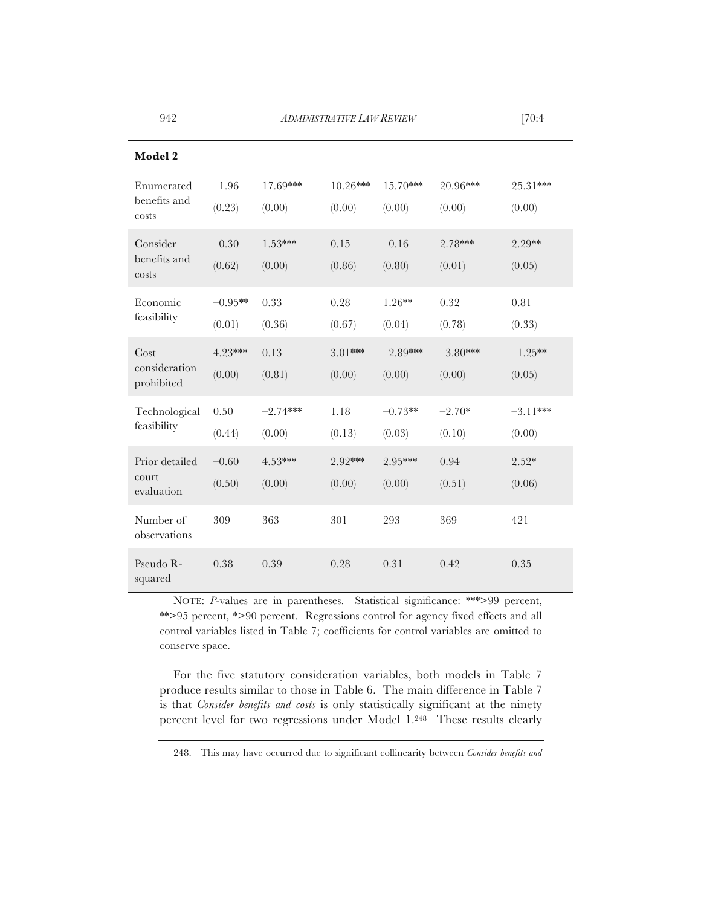| <b>Model 2</b>                        |                     |                      |                      |                      |                      |                      |
|---------------------------------------|---------------------|----------------------|----------------------|----------------------|----------------------|----------------------|
| Enumerated<br>benefits and<br>costs   | $-1.96$<br>(0.23)   | 17.69***<br>(0.00)   | $10.26***$<br>(0.00) | $15.70***$<br>(0.00) | 20.96***<br>(0.00)   | 25.31***<br>(0.00)   |
| Consider<br>benefits and<br>costs     | $-0.30$<br>(0.62)   | $1.53***$<br>(0.00)  | 0.15<br>(0.86)       | $-0.16$<br>(0.80)    | 2.78***<br>(0.01)    | 2.29**<br>(0.05)     |
| Economic<br>feasibility               | $-0.95**$<br>(0.01) | 0.33<br>(0.36)       | 0.28<br>(0.67)       | $1.26**$<br>(0.04)   | 0.32<br>(0.78)       | 0.81<br>(0.33)       |
| Cost<br>consideration<br>prohibited   | 4.23***<br>(0.00)   | 0.13<br>(0.81)       | 3.01***<br>(0.00)    | $-2.89***$<br>(0.00) | $-3.80***$<br>(0.00) | $-1.25**$<br>(0.05)  |
| Technological<br>feasibility          | 0.50<br>(0.44)      | $-2.74***$<br>(0.00) | 1.18<br>(0.13)       | $-0.73**$<br>(0.03)  | $-2.70*$<br>(0.10)   | $-3.11***$<br>(0.00) |
| Prior detailed<br>court<br>evaluation | $-0.60$<br>(0.50)   | $4.53***$<br>(0.00)  | 2.92***<br>(0.00)    | 2.95***<br>(0.00)    | 0.94<br>(0.51)       | $2.52*$<br>(0.06)    |
| Number of<br>observations             | 309                 | 363                  | 301                  | 293                  | 369                  | 421                  |
| Pseudo R-<br>squared                  | 0.38                | 0.39                 | 0.28                 | 0.31                 | 0.42                 | 0.35                 |

NOTE: *P*-values are in parentheses. Statistical significance: \*\*\*>99 percent, \*\*>95 percent, \*>90 percent. Regressions control for agency fixed effects and all control variables listed in Table 7; coefficients for control variables are omitted to conserve space.

For the five statutory consideration variables, both models in Table 7 produce results similar to those in Table 6. The main difference in Table 7 is that *Consider benefits and costs* is only statistically significant at the ninety percent level for two regressions under Model 1.248 These results clearly

<sup>248.</sup> This may have occurred due to significant collinearity between *Consider benefits and*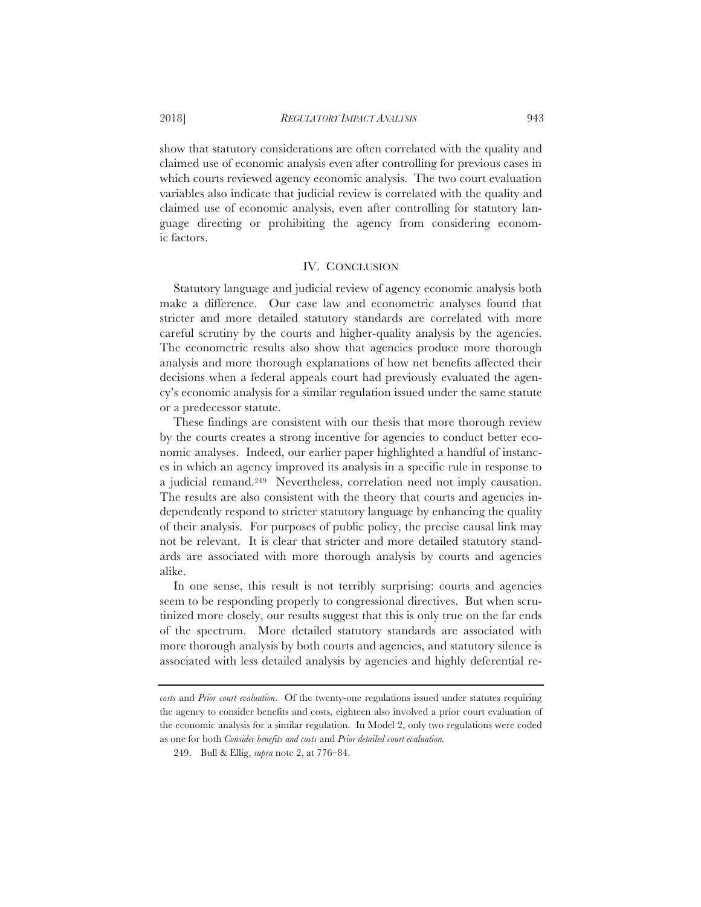show that statutory considerations are often correlated with the quality and claimed use of economic analysis even after controlling for previous cases in which courts reviewed agency economic analysis. The two court evaluation variables also indicate that judicial review is correlated with the quality and claimed use of economic analysis, even after controlling for statutory language directing or prohibiting the agency from considering economic factors.

# IV. CONCLUSION

Statutory language and judicial review of agency economic analysis both make a difference. Our case law and econometric analyses found that stricter and more detailed statutory standards are correlated with more careful scrutiny by the courts and higher-quality analysis by the agencies. The econometric results also show that agencies produce more thorough analysis and more thorough explanations of how net benefits affected their decisions when a federal appeals court had previously evaluated the agency's economic analysis for a similar regulation issued under the same statute or a predecessor statute.

These findings are consistent with our thesis that more thorough review by the courts creates a strong incentive for agencies to conduct better economic analyses. Indeed, our earlier paper highlighted a handful of instances in which an agency improved its analysis in a specific rule in response to a judicial remand.249 Nevertheless, correlation need not imply causation. The results are also consistent with the theory that courts and agencies independently respond to stricter statutory language by enhancing the quality of their analysis. For purposes of public policy, the precise causal link may not be relevant. It is clear that stricter and more detailed statutory standards are associated with more thorough analysis by courts and agencies alike.

In one sense, this result is not terribly surprising: courts and agencies seem to be responding properly to congressional directives. But when scrutinized more closely, our results suggest that this is only true on the far ends of the spectrum. More detailed statutory standards are associated with more thorough analysis by both courts and agencies, and statutory silence is associated with less detailed analysis by agencies and highly deferential re-

*costs* and *Prior court evaluation*. Of the twenty-one regulations issued under statutes requiring the agency to consider benefits and costs, eighteen also involved a prior court evaluation of the economic analysis for a similar regulation. In Model 2, only two regulations were coded as one for both *Consider benefits and costs* and *Prior detailed court evaluation.*

<sup>249.</sup> Bull & Ellig, *supra* note 2, at 776–84.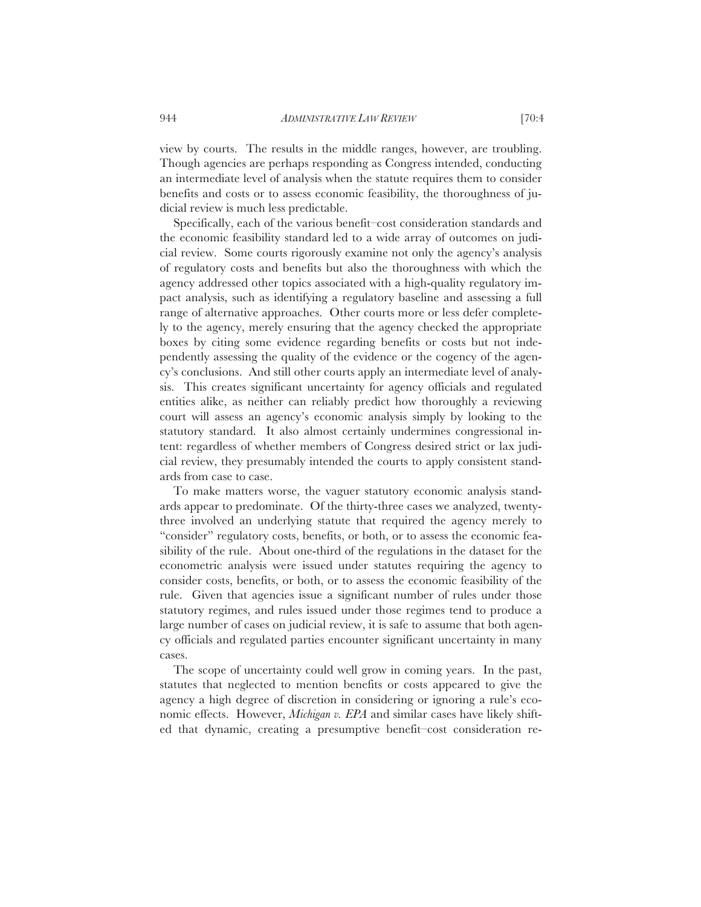view by courts. The results in the middle ranges, however, are troubling. Though agencies are perhaps responding as Congress intended, conducting an intermediate level of analysis when the statute requires them to consider benefits and costs or to assess economic feasibility, the thoroughness of judicial review is much less predictable.

Specifically, each of the various benefit–cost consideration standards and the economic feasibility standard led to a wide array of outcomes on judicial review. Some courts rigorously examine not only the agency's analysis of regulatory costs and benefits but also the thoroughness with which the agency addressed other topics associated with a high-quality regulatory impact analysis, such as identifying a regulatory baseline and assessing a full range of alternative approaches. Other courts more or less defer completely to the agency, merely ensuring that the agency checked the appropriate boxes by citing some evidence regarding benefits or costs but not independently assessing the quality of the evidence or the cogency of the agency's conclusions. And still other courts apply an intermediate level of analysis. This creates significant uncertainty for agency officials and regulated entities alike, as neither can reliably predict how thoroughly a reviewing court will assess an agency's economic analysis simply by looking to the statutory standard. It also almost certainly undermines congressional intent: regardless of whether members of Congress desired strict or lax judicial review, they presumably intended the courts to apply consistent standards from case to case.

To make matters worse, the vaguer statutory economic analysis standards appear to predominate. Of the thirty-three cases we analyzed, twentythree involved an underlying statute that required the agency merely to "consider" regulatory costs, benefits, or both, or to assess the economic feasibility of the rule. About one-third of the regulations in the dataset for the econometric analysis were issued under statutes requiring the agency to consider costs, benefits, or both, or to assess the economic feasibility of the rule. Given that agencies issue a significant number of rules under those statutory regimes, and rules issued under those regimes tend to produce a large number of cases on judicial review, it is safe to assume that both agency officials and regulated parties encounter significant uncertainty in many cases.

The scope of uncertainty could well grow in coming years. In the past, statutes that neglected to mention benefits or costs appeared to give the agency a high degree of discretion in considering or ignoring a rule's economic effects. However, *Michigan v. EPA* and similar cases have likely shifted that dynamic, creating a presumptive benefit–cost consideration re-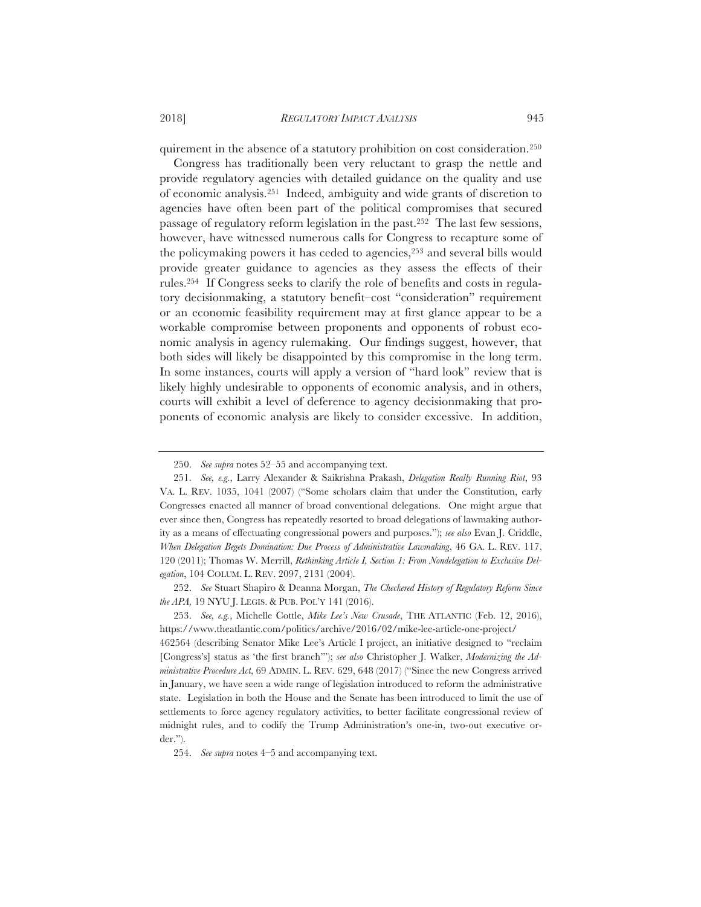quirement in the absence of a statutory prohibition on cost consideration.250

Congress has traditionally been very reluctant to grasp the nettle and provide regulatory agencies with detailed guidance on the quality and use of economic analysis.251 Indeed, ambiguity and wide grants of discretion to agencies have often been part of the political compromises that secured passage of regulatory reform legislation in the past.252 The last few sessions, however, have witnessed numerous calls for Congress to recapture some of the policymaking powers it has ceded to agencies,253 and several bills would provide greater guidance to agencies as they assess the effects of their rules.254 If Congress seeks to clarify the role of benefits and costs in regulatory decisionmaking, a statutory benefit–cost "consideration" requirement or an economic feasibility requirement may at first glance appear to be a workable compromise between proponents and opponents of robust economic analysis in agency rulemaking. Our findings suggest, however, that both sides will likely be disappointed by this compromise in the long term. In some instances, courts will apply a version of "hard look" review that is likely highly undesirable to opponents of economic analysis, and in others, courts will exhibit a level of deference to agency decisionmaking that proponents of economic analysis are likely to consider excessive. In addition,

252. *See* Stuart Shapiro & Deanna Morgan, *The Checkered History of Regulatory Reform Since the APA,* 19 NYU J. LEGIS. & PUB. POL'Y 141 (2016).

253. *See, e.g.*, Michelle Cottle, *Mike Lee's New Crusade*, THE ATLANTIC (Feb. 12, 2016), https://www.theatlantic.com/politics/archive/2016/02/mike-lee-article-one-project/ 462564 (describing Senator Mike Lee's Article I project, an initiative designed to "reclaim [Congress's] status as 'the first branch'"); *see also* Christopher J. Walker, *Modernizing the Administrative Procedure Act*, 69 ADMIN. L. REV. 629, 648 (2017) ("Since the new Congress arrived in January, we have seen a wide range of legislation introduced to reform the administrative state. Legislation in both the House and the Senate has been introduced to limit the use of settlements to force agency regulatory activities, to better facilitate congressional review of midnight rules, and to codify the Trump Administration's one-in, two-out executive order.").

254. *See supra* notes 4–5 and accompanying text.

<sup>250.</sup> *See supra* notes 52–55 and accompanying text.

<sup>251.</sup> *See, e.g.*, Larry Alexander & Saikrishna Prakash, *Delegation Really Running Riot*, 93 VA. L. REV. 1035, 1041 (2007) ("Some scholars claim that under the Constitution, early Congresses enacted all manner of broad conventional delegations. One might argue that ever since then, Congress has repeatedly resorted to broad delegations of lawmaking authority as a means of effectuating congressional powers and purposes."); *see also* Evan J. Criddle, *When Delegation Begets Domination: Due Process of Administrative Lawmaking*, 46 GA. L. REV. 117, 120 (2011); Thomas W. Merrill, *Rethinking Article I, Section 1: From Nondelegation to Exclusive Delegation*, 104 COLUM. L. REV. 2097, 2131 (2004).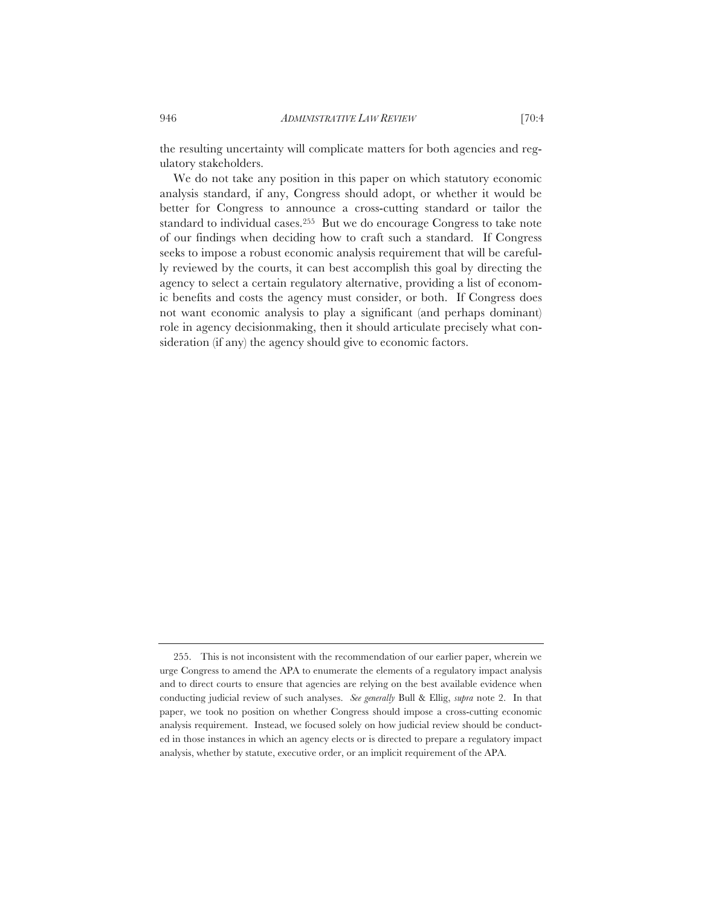the resulting uncertainty will complicate matters for both agencies and regulatory stakeholders.

We do not take any position in this paper on which statutory economic analysis standard, if any, Congress should adopt, or whether it would be better for Congress to announce a cross-cutting standard or tailor the standard to individual cases.255 But we do encourage Congress to take note of our findings when deciding how to craft such a standard. If Congress seeks to impose a robust economic analysis requirement that will be carefully reviewed by the courts, it can best accomplish this goal by directing the agency to select a certain regulatory alternative, providing a list of economic benefits and costs the agency must consider, or both. If Congress does not want economic analysis to play a significant (and perhaps dominant) role in agency decisionmaking, then it should articulate precisely what consideration (if any) the agency should give to economic factors.

<sup>255.</sup> This is not inconsistent with the recommendation of our earlier paper, wherein we urge Congress to amend the APA to enumerate the elements of a regulatory impact analysis and to direct courts to ensure that agencies are relying on the best available evidence when conducting judicial review of such analyses. *See generally* Bull & Ellig, *supra* note 2. In that paper, we took no position on whether Congress should impose a cross-cutting economic analysis requirement. Instead, we focused solely on how judicial review should be conducted in those instances in which an agency elects or is directed to prepare a regulatory impact analysis, whether by statute, executive order, or an implicit requirement of the APA.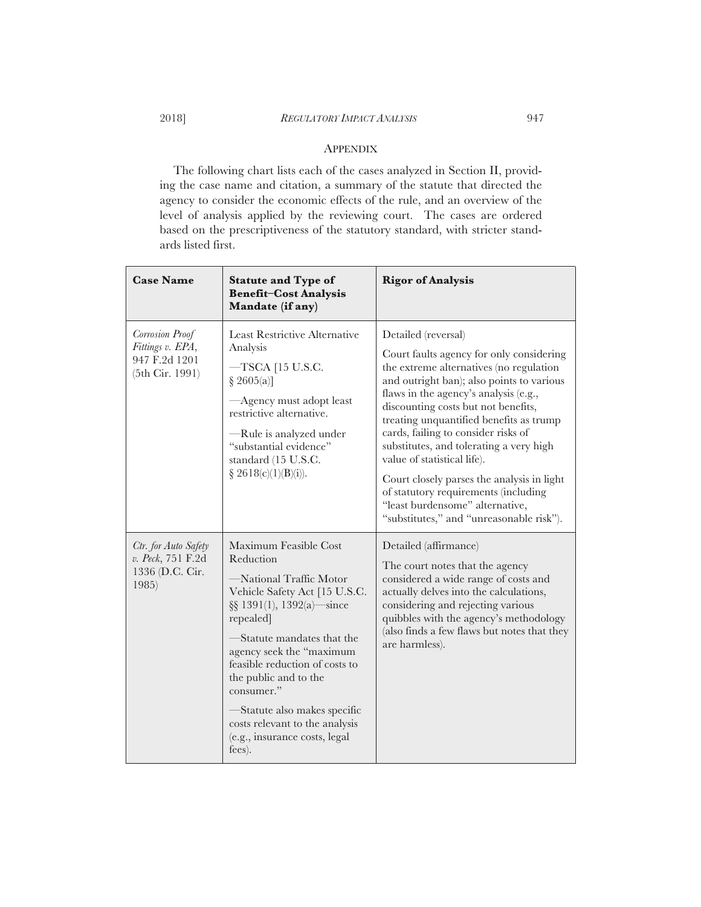## APPENDIX

The following chart lists each of the cases analyzed in Section II, providing the case name and citation, a summary of the statute that directed the agency to consider the economic effects of the rule, and an overview of the level of analysis applied by the reviewing court. The cases are ordered based on the prescriptiveness of the statutory standard, with stricter standards listed first.

| <b>Case Name</b>                                                        | <b>Statute and Type of</b><br><b>Benefit-Cost Analysis</b><br>Mandate (if any)                                                                                                                                                                                                                                                                                                               | <b>Rigor of Analysis</b>                                                                                                                                                                                                                                                                                                                                                                                                                                                                                                                                                 |
|-------------------------------------------------------------------------|----------------------------------------------------------------------------------------------------------------------------------------------------------------------------------------------------------------------------------------------------------------------------------------------------------------------------------------------------------------------------------------------|--------------------------------------------------------------------------------------------------------------------------------------------------------------------------------------------------------------------------------------------------------------------------------------------------------------------------------------------------------------------------------------------------------------------------------------------------------------------------------------------------------------------------------------------------------------------------|
| Corrosion Proof<br>Fittings v. EPA,<br>947 F.2d 1201<br>(5th Cir. 1991) | Least Restrictive Alternative<br>Analysis<br>$-TSCA$ [15 U.S.C.<br>§ 2605(a)<br>-Agency must adopt least<br>restrictive alternative.<br>—Rule is analyzed under<br>"substantial evidence"<br>standard (15 U.S.C.<br>§ 2618(c)(1)(B)(i)).                                                                                                                                                     | Detailed (reversal)<br>Court faults agency for only considering<br>the extreme alternatives (no regulation<br>and outright ban); also points to various<br>flaws in the agency's analysis (e.g.,<br>discounting costs but not benefits,<br>treating unquantified benefits as trump<br>cards, failing to consider risks of<br>substitutes, and tolerating a very high<br>value of statistical life).<br>Court closely parses the analysis in light<br>of statutory requirements (including<br>"least burdensome" alternative,<br>"substitutes," and "unreasonable risk"). |
| Ctr. for Auto Safety<br>v. Peck, 751 F.2d<br>1336 (D.C. Cir.<br>1985)   | Maximum Feasible Cost<br>Reduction<br>-National Traffic Motor<br>Vehicle Safety Act [15 U.S.C.<br>$\S\ S 1391(1), 1392(a)$ since<br>repealed<br>-Statute mandates that the<br>agency seek the "maximum<br>feasible reduction of costs to<br>the public and to the<br>consumer."<br>-Statute also makes specific<br>costs relevant to the analysis<br>(e.g., insurance costs, legal<br>fees). | Detailed (affirmance)<br>The court notes that the agency<br>considered a wide range of costs and<br>actually delves into the calculations,<br>considering and rejecting various<br>quibbles with the agency's methodology<br>(also finds a few flaws but notes that they<br>are harmless).                                                                                                                                                                                                                                                                               |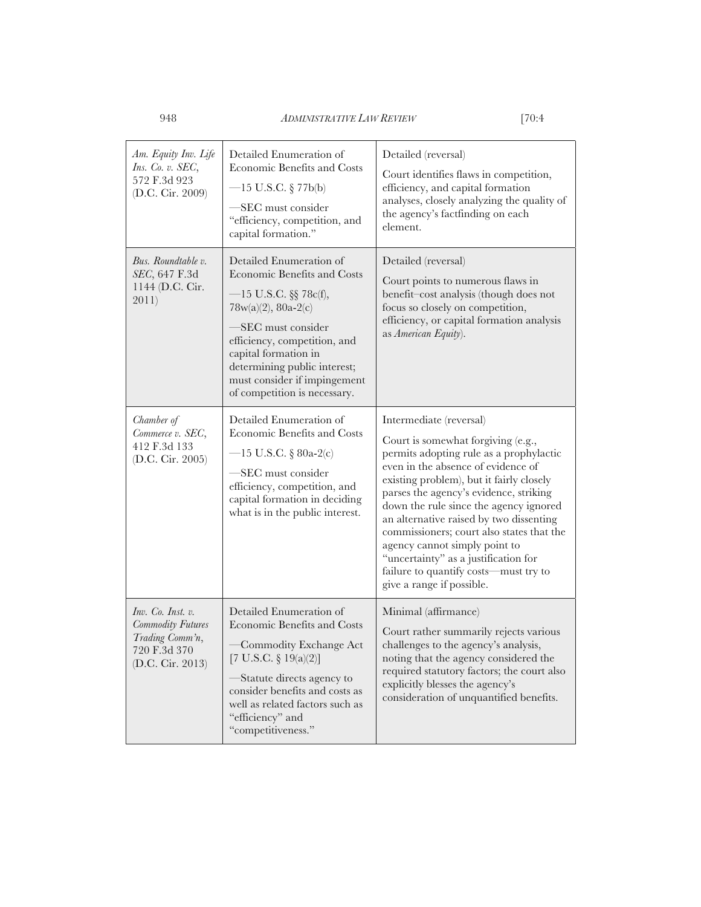| Am. Equity Inv. Life<br>Ins. Co. v. SEC,<br>572 F.3d 923<br>(D.C. Cir. 2009)                         | Detailed Enumeration of<br>Economic Benefits and Costs<br>$-15$ U.S.C. § 77b(b)<br>-SEC must consider<br>"efficiency, competition, and<br>capital formation."                                                                                                                            | Detailed (reversal)<br>Court identifies flaws in competition,<br>efficiency, and capital formation<br>analyses, closely analyzing the quality of<br>the agency's factfinding on each<br>element.                                                                                                                                                                                                                                                                                                                      |
|------------------------------------------------------------------------------------------------------|------------------------------------------------------------------------------------------------------------------------------------------------------------------------------------------------------------------------------------------------------------------------------------------|-----------------------------------------------------------------------------------------------------------------------------------------------------------------------------------------------------------------------------------------------------------------------------------------------------------------------------------------------------------------------------------------------------------------------------------------------------------------------------------------------------------------------|
| Bus. Roundtable v.<br>SEC, 647 F.3d<br>1144 (D.C. Cir.<br>2011)                                      | Detailed Enumeration of<br>Economic Benefits and Costs<br>$-15$ U.S.C. §§ 78c(f),<br>$78w(a)(2), 80a-2(c)$<br>-SEC must consider<br>efficiency, competition, and<br>capital formation in<br>determining public interest;<br>must consider if impingement<br>of competition is necessary. | Detailed (reversal)<br>Court points to numerous flaws in<br>benefit-cost analysis (though does not<br>focus so closely on competition,<br>efficiency, or capital formation analysis<br>as American Equity).                                                                                                                                                                                                                                                                                                           |
| Chamber of<br>Commerce v. SEC,<br>412 F.3d 133<br>(D.C. Cir. 2005)                                   | Detailed Enumeration of<br>Economic Benefits and Costs<br>-15 U.S.C. § 80a-2(c)<br>-SEC must consider<br>efficiency, competition, and<br>capital formation in deciding<br>what is in the public interest.                                                                                | Intermediate (reversal)<br>Court is somewhat forgiving (e.g.,<br>permits adopting rule as a prophylactic<br>even in the absence of evidence of<br>existing problem), but it fairly closely<br>parses the agency's evidence, striking<br>down the rule since the agency ignored<br>an alternative raised by two dissenting<br>commissioners; court also states that the<br>agency cannot simply point to<br>"uncertainty" as a justification for<br>failure to quantify costs—must try to<br>give a range if possible. |
| Inv. Co. Inst. v.<br><b>Commodity Futures</b><br>Trading Comm'n,<br>720 F.3d 370<br>(D.C. Cir. 2013) | Detailed Enumeration of<br>Economic Benefits and Costs<br>Commodity Exchange Act<br>[7 U.S.C. $\S 19(a)(2)$ ]<br>-Statute directs agency to<br>consider benefits and costs as<br>well as related factors such as<br>"efficiency" and<br>"competitiveness."                               | Minimal (affirmance)<br>Court rather summarily rejects various<br>challenges to the agency's analysis,<br>noting that the agency considered the<br>required statutory factors; the court also<br>explicitly blesses the agency's<br>consideration of unquantified benefits.                                                                                                                                                                                                                                           |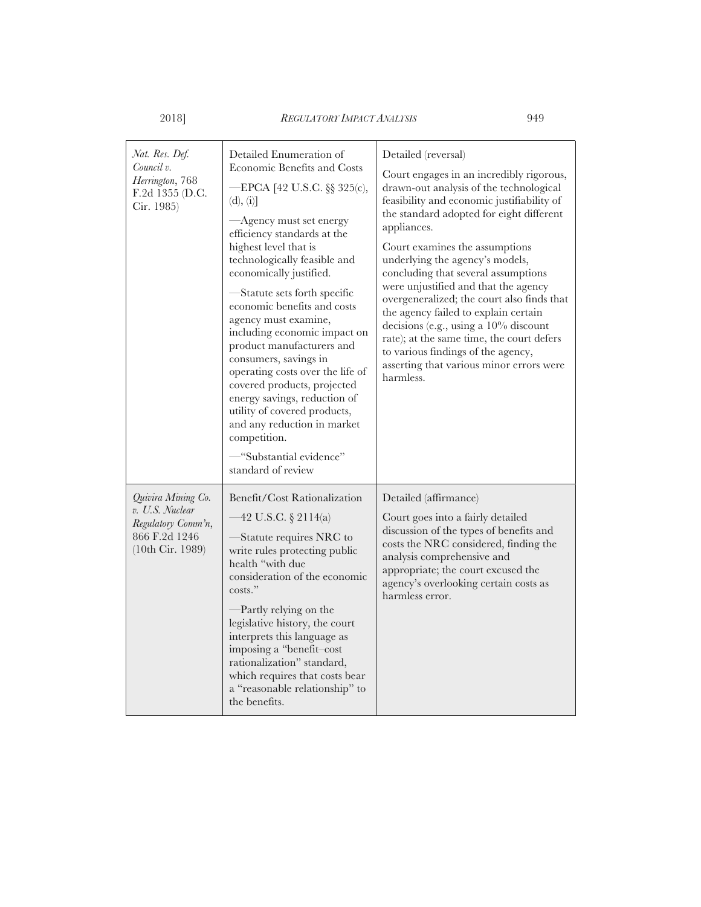| Nat. Res. Def.<br>Council v.<br>Herrington, 768<br>F.2d 1355 (D.C.<br>Cir. 1985)                 | Detailed Enumeration of<br>Economic Benefits and Costs<br>—EPCA [42 U.S.C. §§ 325(c),<br>(d), (i)<br>—Agency must set energy<br>efficiency standards at the<br>highest level that is<br>technologically feasible and<br>economically justified.<br>-Statute sets forth specific<br>economic benefits and costs<br>agency must examine,<br>including economic impact on<br>product manufacturers and<br>consumers, savings in<br>operating costs over the life of<br>covered products, projected<br>energy savings, reduction of<br>utility of covered products,<br>and any reduction in market<br>competition.<br>-"Substantial evidence"<br>standard of review | Detailed (reversal)<br>Court engages in an incredibly rigorous,<br>drawn-out analysis of the technological<br>feasibility and economic justifiability of<br>the standard adopted for eight different<br>appliances.<br>Court examines the assumptions<br>underlying the agency's models,<br>concluding that several assumptions<br>were unjustified and that the agency<br>overgeneralized; the court also finds that<br>the agency failed to explain certain<br>decisions (e.g., using a $10\%$ discount<br>rate); at the same time, the court defers<br>to various findings of the agency,<br>asserting that various minor errors were<br>harmless. |
|--------------------------------------------------------------------------------------------------|-----------------------------------------------------------------------------------------------------------------------------------------------------------------------------------------------------------------------------------------------------------------------------------------------------------------------------------------------------------------------------------------------------------------------------------------------------------------------------------------------------------------------------------------------------------------------------------------------------------------------------------------------------------------|-------------------------------------------------------------------------------------------------------------------------------------------------------------------------------------------------------------------------------------------------------------------------------------------------------------------------------------------------------------------------------------------------------------------------------------------------------------------------------------------------------------------------------------------------------------------------------------------------------------------------------------------------------|
| Quivira Mining Co.<br>v. U.S. Nuclear<br>Regulatory Comm'n,<br>866 F.2d 1246<br>(10th Cir. 1989) | Benefit/Cost Rationalization<br>-42 U.S.C. § 2114(a)<br>-Statute requires NRC to<br>write rules protecting public<br>health "with due<br>consideration of the economic<br>costs."<br>-Partly relying on the<br>legislative history, the court<br>interprets this language as<br>imposing a "benefit-cost<br>rationalization" standard,<br>which requires that costs bear<br>a "reasonable relationship" to<br>the benefits.                                                                                                                                                                                                                                     | Detailed (affirmance)<br>Court goes into a fairly detailed<br>discussion of the types of benefits and<br>costs the NRC considered, finding the<br>analysis comprehensive and<br>appropriate; the court excused the<br>agency's overlooking certain costs as<br>harmless error.                                                                                                                                                                                                                                                                                                                                                                        |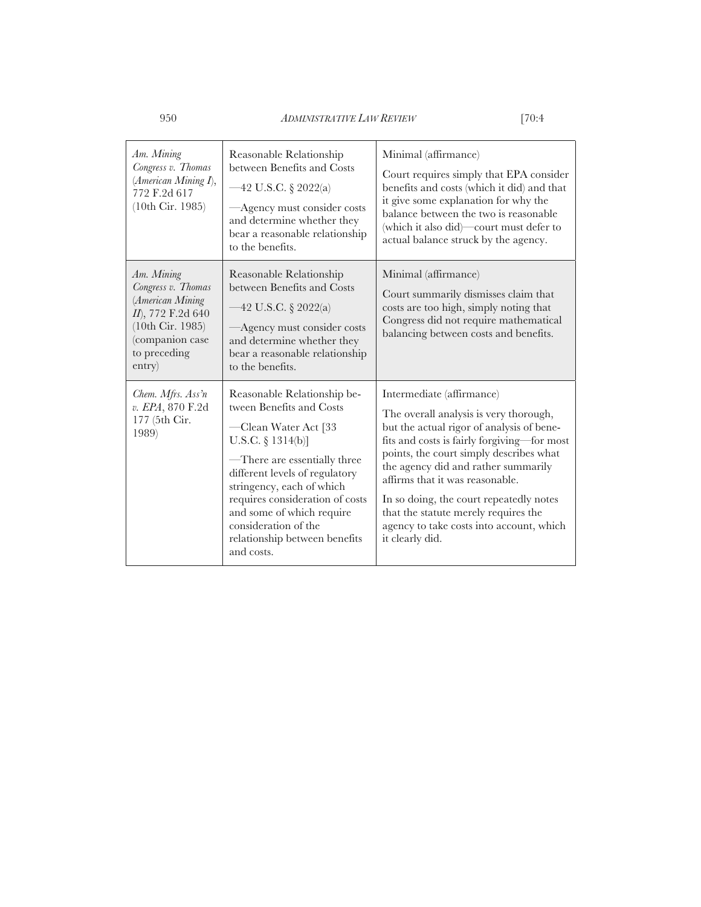| Am. Mining<br>Congress v. Thomas<br>(American Mining I),<br>772 F.2d 617<br>(10th Cir. 1985)                                               | Reasonable Relationship<br>between Benefits and Costs<br>$-42$ U.S.C. § 2022(a)<br>-Agency must consider costs<br>and determine whether they<br>bear a reasonable relationship<br>to the benefits.                                                                                                                                            | Minimal (affirmance)<br>Court requires simply that EPA consider<br>benefits and costs (which it did) and that<br>it give some explanation for why the<br>balance between the two is reasonable<br>(which it also did)—court must defer to<br>actual balance struck by the agency.                                                                                                                                                      |
|--------------------------------------------------------------------------------------------------------------------------------------------|-----------------------------------------------------------------------------------------------------------------------------------------------------------------------------------------------------------------------------------------------------------------------------------------------------------------------------------------------|----------------------------------------------------------------------------------------------------------------------------------------------------------------------------------------------------------------------------------------------------------------------------------------------------------------------------------------------------------------------------------------------------------------------------------------|
| Am. Mining<br>Congress v. Thomas<br>(American Mining<br>II), 772 F.2d 640<br>(10th Cir. 1985)<br>(companion case<br>to preceding<br>entry) | Reasonable Relationship<br>between Benefits and Costs<br>42 U.S.C. § 2022(a)<br>Agency must consider costs<br>and determine whether they<br>bear a reasonable relationship<br>to the benefits.                                                                                                                                                | Minimal (affirmance)<br>Court summarily dismisses claim that<br>costs are too high, simply noting that<br>Congress did not require mathematical<br>balancing between costs and benefits.                                                                                                                                                                                                                                               |
| Chem. Mfrs. Ass'n<br>v. EPA, 870 F.2d<br>177 (5th Cir.<br>1989)                                                                            | Reasonable Relationship be-<br>tween Benefits and Costs<br>-Clean Water Act [33<br>U.S.C. $\S$ 1314(b)]<br>—There are essentially three<br>different levels of regulatory<br>stringency, each of which<br>requires consideration of costs<br>and some of which require<br>consideration of the<br>relationship between benefits<br>and costs. | Intermediate (affirmance)<br>The overall analysis is very thorough,<br>but the actual rigor of analysis of bene-<br>fits and costs is fairly forgiving-for most<br>points, the court simply describes what<br>the agency did and rather summarily<br>affirms that it was reasonable.<br>In so doing, the court repeatedly notes<br>that the statute merely requires the<br>agency to take costs into account, which<br>it clearly did. |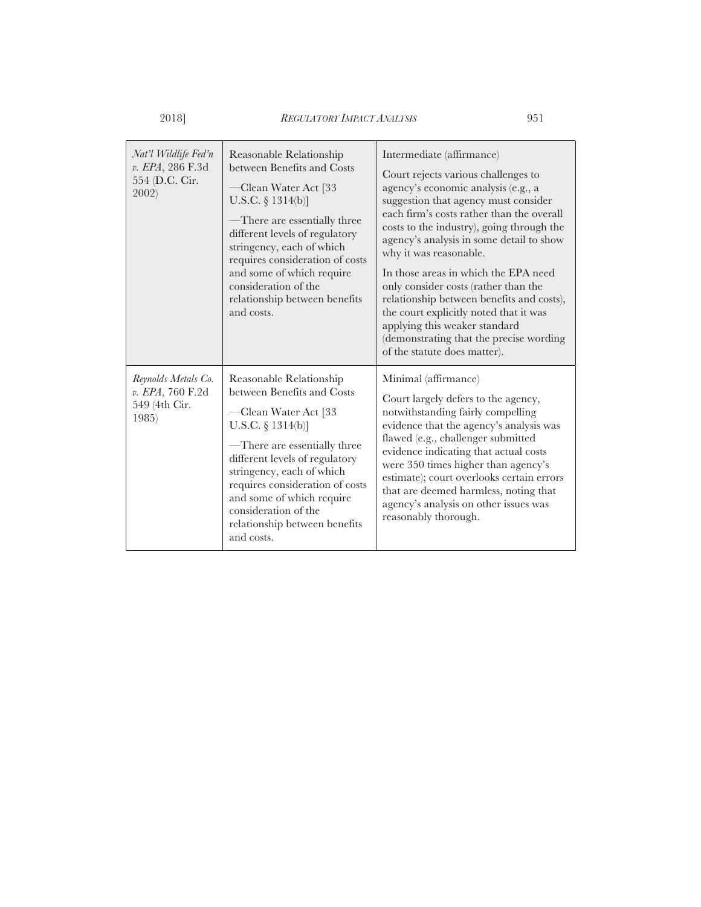| Nat'l Wildlife Fed'n<br>v. EPA, 286 F.3d<br>554 (D.C. Cir.<br>2002) | Reasonable Relationship<br>between Benefits and Costs<br>—Clean Water Act [33<br>U.S.C. $\S 1314(b)$ ]<br>-There are essentially three<br>different levels of regulatory<br>stringency, each of which<br>requires consideration of costs<br>and some of which require<br>consideration of the<br>relationship between benefits<br>and costs. | Intermediate (affirmance)<br>Court rejects various challenges to<br>agency's economic analysis (e.g., a<br>suggestion that agency must consider<br>each firm's costs rather than the overall<br>costs to the industry), going through the<br>agency's analysis in some detail to show<br>why it was reasonable.<br>In those areas in which the EPA need<br>only consider costs (rather than the<br>relationship between benefits and costs),<br>the court explicitly noted that it was<br>applying this weaker standard<br>(demonstrating that the precise wording<br>of the statute does matter). |
|---------------------------------------------------------------------|----------------------------------------------------------------------------------------------------------------------------------------------------------------------------------------------------------------------------------------------------------------------------------------------------------------------------------------------|----------------------------------------------------------------------------------------------------------------------------------------------------------------------------------------------------------------------------------------------------------------------------------------------------------------------------------------------------------------------------------------------------------------------------------------------------------------------------------------------------------------------------------------------------------------------------------------------------|
| Reynolds Metals Co.<br>v. EPA, 760 F.2d<br>549 (4th Cir.<br>1985)   | Reasonable Relationship<br>between Benefits and Costs<br>-Clean Water Act [33<br>U.S.C. $\S$ 1314(b)]<br>-There are essentially three<br>different levels of regulatory<br>stringency, each of which<br>requires consideration of costs<br>and some of which require<br>consideration of the<br>relationship between benefits<br>and costs.  | Minimal (affirmance)<br>Court largely defers to the agency,<br>notwithstanding fairly compelling<br>evidence that the agency's analysis was<br>flawed (e.g., challenger submitted<br>evidence indicating that actual costs<br>were 350 times higher than agency's<br>estimate); court overlooks certain errors<br>that are deemed harmless, noting that<br>agency's analysis on other issues was<br>reasonably thorough.                                                                                                                                                                           |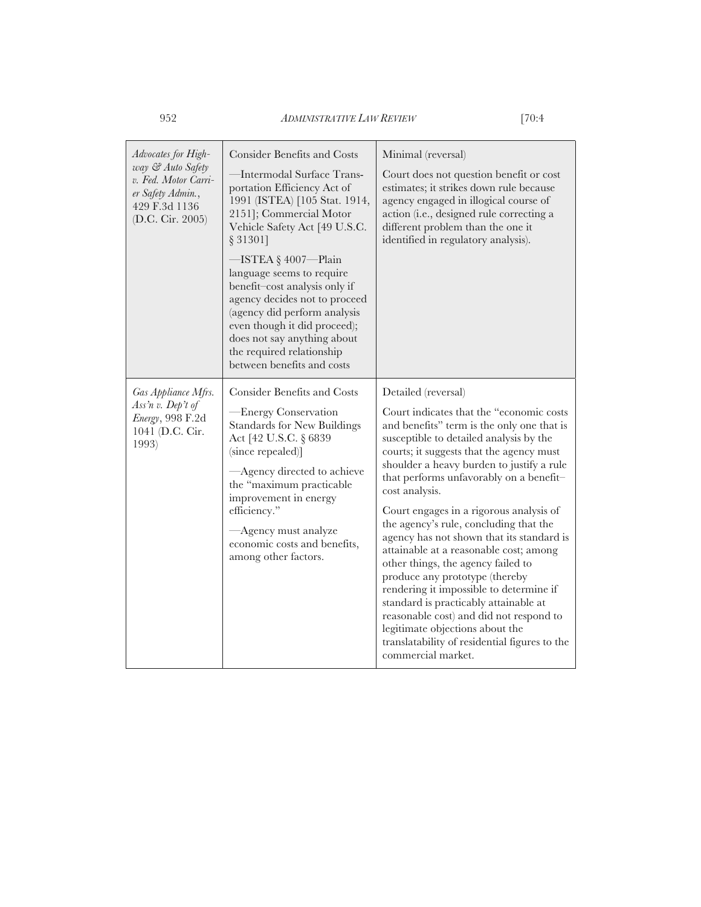| Advocates for High-<br>way & Auto Safety<br>v. Fed. Motor Carri-<br>er Safety Admin.,<br>429 F.3d 1136<br>(D.C. Cir. 2005) | <b>Consider Benefits and Costs</b><br>-Intermodal Surface Trans-<br>portation Efficiency Act of<br>1991 (ISTEA) [105 Stat. 1914,<br>2151]; Commercial Motor<br>Vehicle Safety Act [49 U.S.C.<br>§ 31301]<br>−ISTEA§4007−Plain<br>language seems to require<br>benefit-cost analysis only if<br>agency decides not to proceed<br>(agency did perform analysis<br>even though it did proceed);<br>does not say anything about<br>the required relationship<br>between benefits and costs | Minimal (reversal)<br>Court does not question benefit or cost<br>estimates; it strikes down rule because<br>agency engaged in illogical course of<br>action (i.e., designed rule correcting a<br>different problem than the one it<br>identified in regulatory analysis).                                                                                                                                                                                                                                                                                                                                                                                                                                                                                                                                    |
|----------------------------------------------------------------------------------------------------------------------------|----------------------------------------------------------------------------------------------------------------------------------------------------------------------------------------------------------------------------------------------------------------------------------------------------------------------------------------------------------------------------------------------------------------------------------------------------------------------------------------|--------------------------------------------------------------------------------------------------------------------------------------------------------------------------------------------------------------------------------------------------------------------------------------------------------------------------------------------------------------------------------------------------------------------------------------------------------------------------------------------------------------------------------------------------------------------------------------------------------------------------------------------------------------------------------------------------------------------------------------------------------------------------------------------------------------|
| Gas Appliance Mfrs.<br>Ass'n v. Dep't of<br>Energy, 998 F.2d<br>1041 (D.C. Cir.<br>1993)                                   | <b>Consider Benefits and Costs</b><br>— Energy Conservation<br><b>Standards for New Buildings</b><br>Act [42 U.S.C. § 6839<br>(since repealed)]<br>-Agency directed to achieve<br>the "maximum practicable<br>improvement in energy<br>efficiency."<br>-Agency must analyze<br>economic costs and benefits,<br>among other factors.                                                                                                                                                    | Detailed (reversal)<br>Court indicates that the "economic costs"<br>and benefits" term is the only one that is<br>susceptible to detailed analysis by the<br>courts; it suggests that the agency must<br>shoulder a heavy burden to justify a rule<br>that performs unfavorably on a benefit-<br>cost analysis.<br>Court engages in a rigorous analysis of<br>the agency's rule, concluding that the<br>agency has not shown that its standard is<br>attainable at a reasonable cost; among<br>other things, the agency failed to<br>produce any prototype (thereby<br>rendering it impossible to determine if<br>standard is practicably attainable at<br>reasonable cost) and did not respond to<br>legitimate objections about the<br>translatability of residential figures to the<br>commercial market. |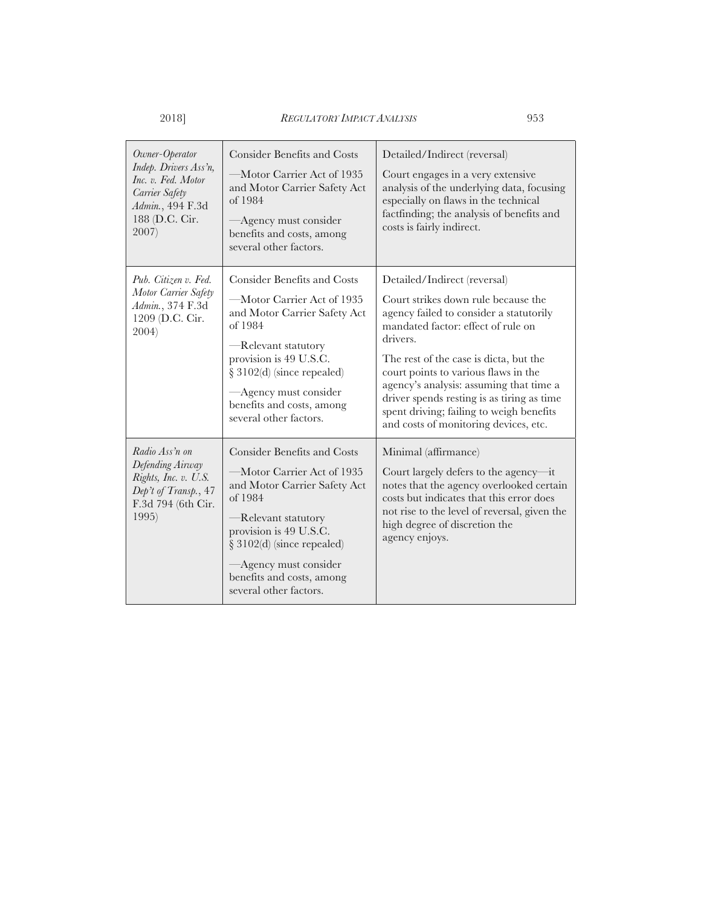| Owner-Operator<br>Indep. Drivers Ass'n,<br>Inc. v. Fed. Motor<br>Carrier Safety<br>Admin., 494 F.3d<br>188 (D.C. Cir.<br>2007) | <b>Consider Benefits and Costs</b><br>-Motor Carrier Act of 1935<br>and Motor Carrier Safety Act<br>of 1984<br>-Agency must consider<br>benefits and costs, among<br>several other factors.                                                                                  | Detailed/Indirect (reversal)<br>Court engages in a very extensive<br>analysis of the underlying data, focusing<br>especially on flaws in the technical<br>factfinding; the analysis of benefits and<br>costs is fairly indirect.                                                                                                                                                                                                 |
|--------------------------------------------------------------------------------------------------------------------------------|------------------------------------------------------------------------------------------------------------------------------------------------------------------------------------------------------------------------------------------------------------------------------|----------------------------------------------------------------------------------------------------------------------------------------------------------------------------------------------------------------------------------------------------------------------------------------------------------------------------------------------------------------------------------------------------------------------------------|
| Pub. Citizen v. Fed.<br>Motor Carrier Safety<br>Admin., 374 F.3d<br>1209 (D.C. Cir.<br>2004)                                   | <b>Consider Benefits and Costs</b><br>—Motor Carrier Act of 1935<br>and Motor Carrier Safety Act<br>of 1984<br>-Relevant statutory<br>provision is 49 U.S.C.<br>§ 3102(d) (since repealed)<br>-Agency must consider<br>benefits and costs, among<br>several other factors.   | Detailed/Indirect (reversal)<br>Court strikes down rule because the<br>agency failed to consider a statutorily<br>mandated factor: effect of rule on<br>drivers.<br>The rest of the case is dicta, but the<br>court points to various flaws in the<br>agency's analysis: assuming that time a<br>driver spends resting is as tiring as time<br>spent driving; failing to weigh benefits<br>and costs of monitoring devices, etc. |
| Radio Ass'n on<br>Defending Airway<br>Rights, Inc. v. U.S.<br>Dep't of Transp., 47<br>F.3d 794 (6th Cir.<br>1995)              | <b>Consider Benefits and Costs</b><br>—Motor Carrier Act of 1935<br>and Motor Carrier Safety Act<br>of 1984<br>-Relevant statutory<br>provision is 49 U.S.C.<br>$\S 3102(d)$ (since repealed)<br>Agency must consider<br>benefits and costs, among<br>several other factors. | Minimal (affirmance)<br>Court largely defers to the agency—it<br>notes that the agency overlooked certain<br>costs but indicates that this error does<br>not rise to the level of reversal, given the<br>high degree of discretion the<br>agency enjoys.                                                                                                                                                                         |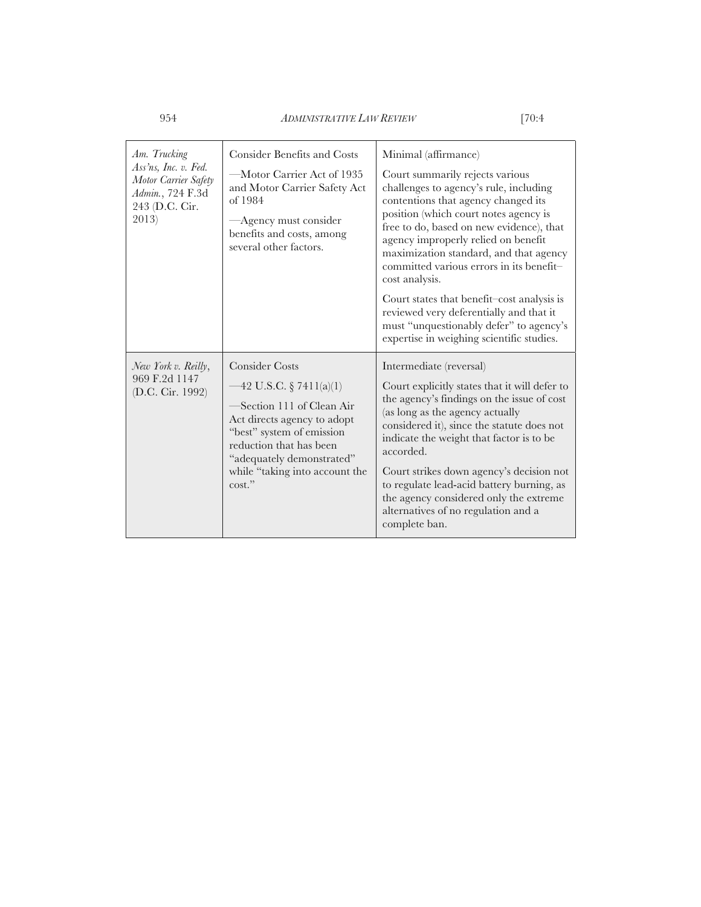| Am. Trucking<br>Ass'ns, Inc. v. Fed.<br>Motor Carrier Safety<br>Admin., 724 F.3d<br>243 (D.C. Cir.<br>2013) | <b>Consider Benefits and Costs</b><br>-Motor Carrier Act of 1935<br>and Motor Carrier Safety Act<br>of 1984<br>-Agency must consider<br>benefits and costs, among<br>several other factors.                                                    | Minimal (affirmance)<br>Court summarily rejects various<br>challenges to agency's rule, including<br>contentions that agency changed its<br>position (which court notes agency is<br>free to do, based on new evidence), that<br>agency improperly relied on benefit<br>maximization standard, and that agency<br>committed various errors in its benefit-<br>cost analysis.<br>Court states that benefit-cost analysis is<br>reviewed very deferentially and that it<br>must "unquestionably defer" to agency's<br>expertise in weighing scientific studies. |
|-------------------------------------------------------------------------------------------------------------|------------------------------------------------------------------------------------------------------------------------------------------------------------------------------------------------------------------------------------------------|---------------------------------------------------------------------------------------------------------------------------------------------------------------------------------------------------------------------------------------------------------------------------------------------------------------------------------------------------------------------------------------------------------------------------------------------------------------------------------------------------------------------------------------------------------------|
| New York v. Reilly,<br>969 F.2d 1147<br>(D.C. Cir. 1992)                                                    | <b>Consider Costs</b><br>$-42$ U.S.C. § 7411(a)(1)<br>Section 111 of Clean Air<br>Act directs agency to adopt<br>"best" system of emission<br>reduction that has been<br>"adequately demonstrated"<br>while "taking into account the<br>cost." | Intermediate (reversal)<br>Court explicitly states that it will defer to<br>the agency's findings on the issue of cost<br>(as long as the agency actually<br>considered it), since the statute does not<br>indicate the weight that factor is to be<br>accorded.<br>Court strikes down agency's decision not<br>to regulate lead-acid battery burning, as<br>the agency considered only the extreme<br>alternatives of no regulation and a<br>complete ban.                                                                                                   |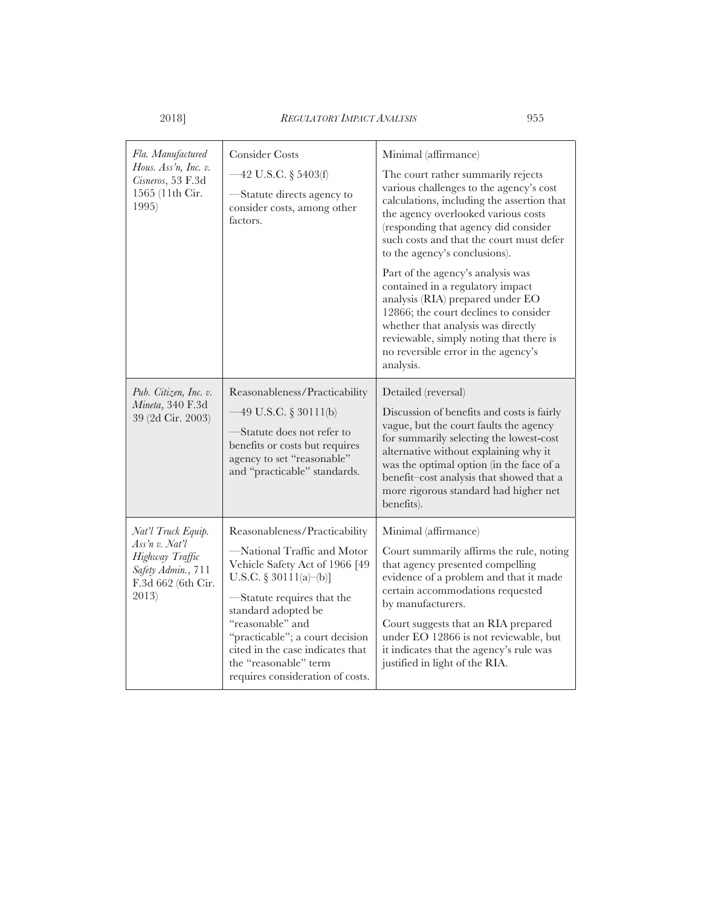| Fla. Manufactured<br>Hous. Ass'n, Inc. v.<br>Cisneros, 53 F.3d<br>1565 (11th Cir.<br>1995)                   | <b>Consider Costs</b><br>$-42$ U.S.C. § 5403(f)<br>-Statute directs agency to<br>consider costs, among other<br>factors.                                                                                                                                                                                                              | Minimal (affirmance)<br>The court rather summarily rejects<br>various challenges to the agency's cost<br>calculations, including the assertion that<br>the agency overlooked various costs<br>(responding that agency did consider<br>such costs and that the court must defer<br>to the agency's conclusions).<br>Part of the agency's analysis was<br>contained in a regulatory impact<br>analysis (RIA) prepared under EO<br>12866; the court declines to consider<br>whether that analysis was directly<br>reviewable, simply noting that there is<br>no reversible error in the agency's<br>analysis. |
|--------------------------------------------------------------------------------------------------------------|---------------------------------------------------------------------------------------------------------------------------------------------------------------------------------------------------------------------------------------------------------------------------------------------------------------------------------------|------------------------------------------------------------------------------------------------------------------------------------------------------------------------------------------------------------------------------------------------------------------------------------------------------------------------------------------------------------------------------------------------------------------------------------------------------------------------------------------------------------------------------------------------------------------------------------------------------------|
| Pub. Citizen, Inc. v.<br>Mineta, 340 F.3d<br>39 (2d Cir. 2003)                                               | Reasonableness/Practicability<br>$-49$ U.S.C. § 30111(b)<br>-Statute does not refer to<br>benefits or costs but requires<br>agency to set "reasonable"<br>and "practicable" standards.                                                                                                                                                | Detailed (reversal)<br>Discussion of benefits and costs is fairly<br>vague, but the court faults the agency<br>for summarily selecting the lowest-cost<br>alternative without explaining why it<br>was the optimal option (in the face of a<br>benefit-cost analysis that showed that a<br>more rigorous standard had higher net<br>benefits).                                                                                                                                                                                                                                                             |
| Nat'l Truck Equip.<br>Ass'n v. Nat'l<br>Highway Traffic<br>Safety Admin., 711<br>F.3d 662 (6th Cir.<br>2013) | Reasonableness/Practicability<br>-National Traffic and Motor<br>Vehicle Safety Act of 1966 [49<br>U.S.C. § 30111(a)–(b)]<br>-Statute requires that the<br>standard adopted be<br>"reasonable" and<br>"practicable"; a court decision<br>cited in the case indicates that<br>the "reasonable" term<br>requires consideration of costs. | Minimal (affirmance)<br>Court summarily affirms the rule, noting<br>that agency presented compelling<br>evidence of a problem and that it made<br>certain accommodations requested<br>by manufacturers.<br>Court suggests that an RIA prepared<br>under EO 12866 is not reviewable, but<br>it indicates that the agency's rule was<br>justified in light of the RIA.                                                                                                                                                                                                                                       |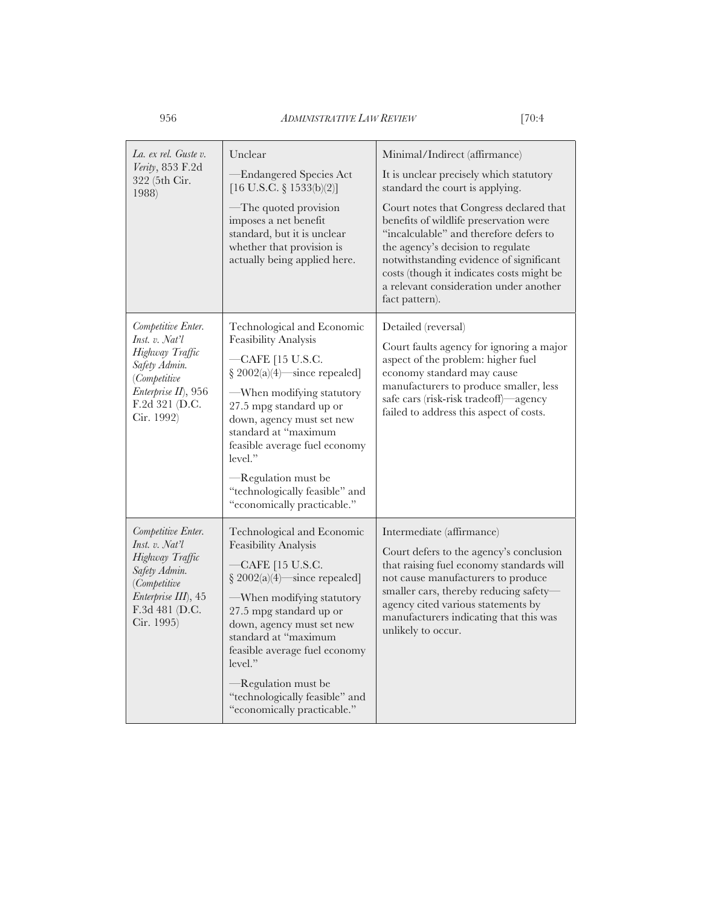| La. ex rel. Guste v.<br>Verity, 853 F.2d<br>322 (5th Cir.<br>1988)                                                                                     | Unclear<br>-Endangered Species Act<br>$[16 \text{ U.S.C. } \S 1533(b)(2)]$<br>—The quoted provision<br>imposes a net benefit<br>standard, but it is unclear<br>whether that provision is<br>actually being applied here.                                                                                                                                               | Minimal/Indirect (affirmance)<br>It is unclear precisely which statutory<br>standard the court is applying.<br>Court notes that Congress declared that<br>benefits of wildlife preservation were<br>"incalculable" and therefore defers to<br>the agency's decision to regulate<br>notwithstanding evidence of significant<br>costs (though it indicates costs might be<br>a relevant consideration under another<br>fact pattern). |
|--------------------------------------------------------------------------------------------------------------------------------------------------------|------------------------------------------------------------------------------------------------------------------------------------------------------------------------------------------------------------------------------------------------------------------------------------------------------------------------------------------------------------------------|-------------------------------------------------------------------------------------------------------------------------------------------------------------------------------------------------------------------------------------------------------------------------------------------------------------------------------------------------------------------------------------------------------------------------------------|
| Competitive Enter.<br>Inst. v. Nat'l<br>Highway Traffic<br>Safety Admin.<br><i>(Competitive</i><br>Enterprise II), 956<br>F.2d 321 (D.C.<br>Cir. 1992) | Technological and Economic<br>Feasibility Analysis<br>-CAFE [15 U.S.C.<br>$§ 2002(a)(4)$ since repealed]<br>—When modifying statutory<br>27.5 mpg standard up or<br>down, agency must set new<br>standard at "maximum<br>feasible average fuel economy<br>level."<br>$\mathcal{-}$ Regulation must be<br>"technologically feasible" and<br>"economically practicable." | Detailed (reversal)<br>Court faults agency for ignoring a major<br>aspect of the problem: higher fuel<br>economy standard may cause<br>manufacturers to produce smaller, less<br>safe cars (risk-risk tradeoff)—agency<br>failed to address this aspect of costs.                                                                                                                                                                   |
| Competitive Enter.<br>Inst. v. Nat'l<br>Highway Traffic<br>Safety Admin.<br><i>(Competitive</i><br>Enterprise III), 45<br>F.3d 481 (D.C.<br>Cir. 1995) | Technological and Economic<br>Feasibility Analysis<br>-CAFE [15 U.S.C.<br>$§ 2002(a)(4)$ since repealed]<br>—When modifying statutory<br>27.5 mpg standard up or<br>down, agency must set new<br>standard at "maximum<br>feasible average fuel economy<br>level."<br>-Regulation must be<br>"technologically feasible" and<br>"economically practicable."              | Intermediate (affirmance)<br>Court defers to the agency's conclusion<br>that raising fuel economy standards will<br>not cause manufacturers to produce<br>smaller cars, thereby reducing safety-<br>agency cited various statements by<br>manufacturers indicating that this was<br>unlikely to occur.                                                                                                                              |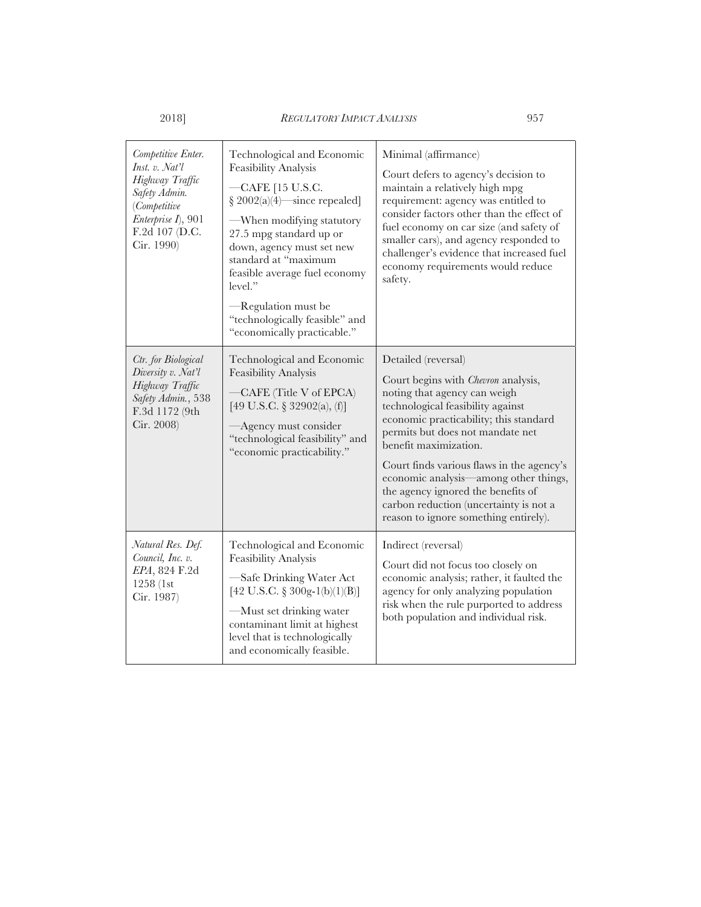| Competitive Enter.<br>Inst. v. Nat'l<br>Highway Traffic<br>Safety Admin.<br><i>(Competitive</i><br>Enterprise I), 901<br>F.2d 107 (D.C.<br>Cir. 1990) | Technological and Economic<br><b>Feasibility Analysis</b><br>-CAFE [15 U.S.C.<br>$§ 2002(a)(4)$ since repealed<br>-When modifying statutory<br>27.5 mpg standard up or<br>down, agency must set new<br>standard at "maximum<br>feasible average fuel economy<br>level."<br>-Regulation must be<br>"technologically feasible" and<br>"economically practicable." | Minimal (affirmance)<br>Court defers to agency's decision to<br>maintain a relatively high mpg<br>requirement: agency was entitled to<br>consider factors other than the effect of<br>fuel economy on car size (and safety of<br>smaller cars), and agency responded to<br>challenger's evidence that increased fuel<br>economy requirements would reduce<br>safety.                                                                                         |
|-------------------------------------------------------------------------------------------------------------------------------------------------------|-----------------------------------------------------------------------------------------------------------------------------------------------------------------------------------------------------------------------------------------------------------------------------------------------------------------------------------------------------------------|--------------------------------------------------------------------------------------------------------------------------------------------------------------------------------------------------------------------------------------------------------------------------------------------------------------------------------------------------------------------------------------------------------------------------------------------------------------|
| Ctr. for Biological<br>Diversity v. Nat'l<br>Highway Traffic<br>Safety Admin., 538<br>F.3d 1172 (9th<br>Cir. 2008)                                    | Technological and Economic<br><b>Feasibility Analysis</b><br>CAFE (Title V of EPCA)<br>[49 U.S.C. § 32902(a), $(f)$ ]<br>-Agency must consider<br>"technological feasibility" and<br>"economic practicability."                                                                                                                                                 | Detailed (reversal)<br>Court begins with <i>Chevron</i> analysis,<br>noting that agency can weigh<br>technological feasibility against<br>economic practicability; this standard<br>permits but does not mandate net<br>benefit maximization.<br>Court finds various flaws in the agency's<br>economic analysis—among other things,<br>the agency ignored the benefits of<br>carbon reduction (uncertainty is not a<br>reason to ignore something entirely). |
| Natural Res. Def.<br>Council, Inc. v.<br>EPA, 824 F.2d<br>1258 (1st<br>Cir. 1987)                                                                     | Technological and Economic<br>Feasibility Analysis<br>Safe Drinking Water Act<br>[42 U.S.C. § 300g-1(b)(1)(B)]<br>—Must set drinking water<br>contaminant limit at highest<br>level that is technologically<br>and economically feasible.                                                                                                                       | Indirect (reversal)<br>Court did not focus too closely on<br>economic analysis; rather, it faulted the<br>agency for only analyzing population<br>risk when the rule purported to address<br>both population and individual risk.                                                                                                                                                                                                                            |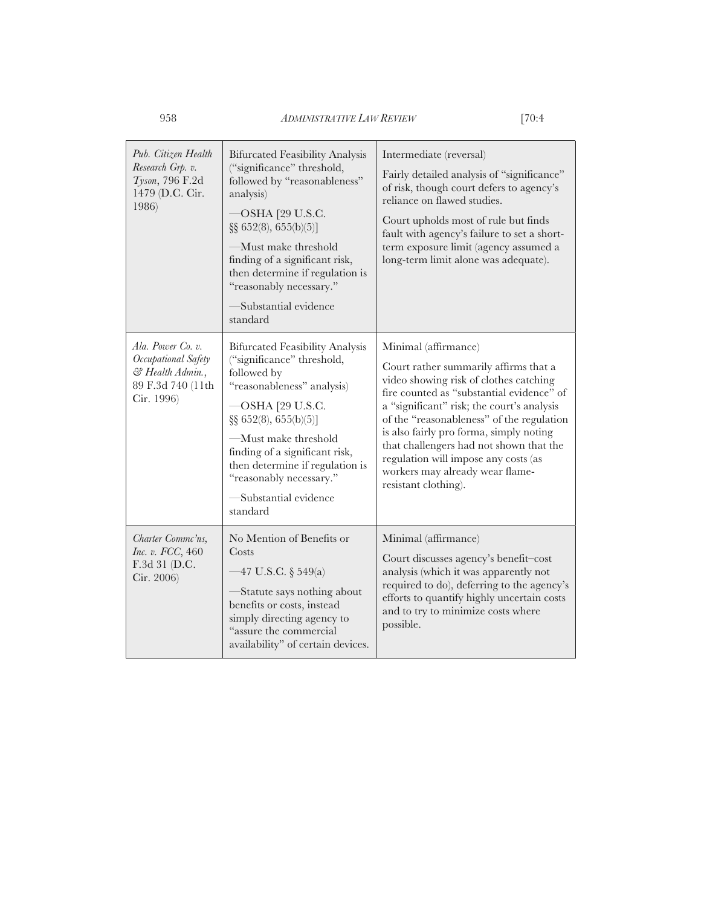| Pub. Citizen Health<br>Research Grp. v.<br>Tyson, 796 F.2d<br>1479 (D.C. Cir.<br>1986)          | <b>Bifurcated Feasibility Analysis</b><br>("significance" threshold,<br>followed by "reasonableness"<br>analysis)<br>OSHA [29 U.S.C.<br>§§ 652(8), 655(b)(5)]<br>-Must make threshold<br>finding of a significant risk,<br>then determine if regulation is<br>"reasonably necessary."<br>Substantial evidence<br>standard     | Intermediate (reversal)<br>Fairly detailed analysis of "significance"<br>of risk, though court defers to agency's<br>reliance on flawed studies.<br>Court upholds most of rule but finds<br>fault with agency's failure to set a short-<br>term exposure limit (agency assumed a<br>long-term limit alone was adequate).                                                                                                                 |
|-------------------------------------------------------------------------------------------------|-------------------------------------------------------------------------------------------------------------------------------------------------------------------------------------------------------------------------------------------------------------------------------------------------------------------------------|------------------------------------------------------------------------------------------------------------------------------------------------------------------------------------------------------------------------------------------------------------------------------------------------------------------------------------------------------------------------------------------------------------------------------------------|
| Ala. Power Co. v.<br>Occupational Safety<br>& Health Admin.,<br>89 F.3d 740 (11th<br>Cir. 1996) | <b>Bifurcated Feasibility Analysis</b><br>("significance" threshold,<br>followed by<br>"reasonableness" analysis)<br>OSHA [29 U.S.C.<br>$\S\S 652(8), 655(b)(5)$<br>-Must make threshold<br>finding of a significant risk,<br>then determine if regulation is<br>"reasonably necessary."<br>-Substantial evidence<br>standard | Minimal (affirmance)<br>Court rather summarily affirms that a<br>video showing risk of clothes catching<br>fire counted as "substantial evidence" of<br>a "significant" risk; the court's analysis<br>of the "reasonableness" of the regulation<br>is also fairly pro forma, simply noting<br>that challengers had not shown that the<br>regulation will impose any costs (as<br>workers may already wear flame-<br>resistant clothing). |
| Charter Commc'ns.<br>Inc. v. FCC, 460<br>F.3d 31 (D.C.<br>Cir. 2006)                            | No Mention of Benefits or<br>Costs<br>$-47$ U.S.C. § 549(a)<br>Statute says nothing about<br>benefits or costs, instead<br>simply directing agency to<br>"assure the commercial<br>availability" of certain devices.                                                                                                          | Minimal (affirmance)<br>Court discusses agency's benefit-cost<br>analysis (which it was apparently not<br>required to do), deferring to the agency's<br>efforts to quantify highly uncertain costs<br>and to try to minimize costs where<br>possible.                                                                                                                                                                                    |